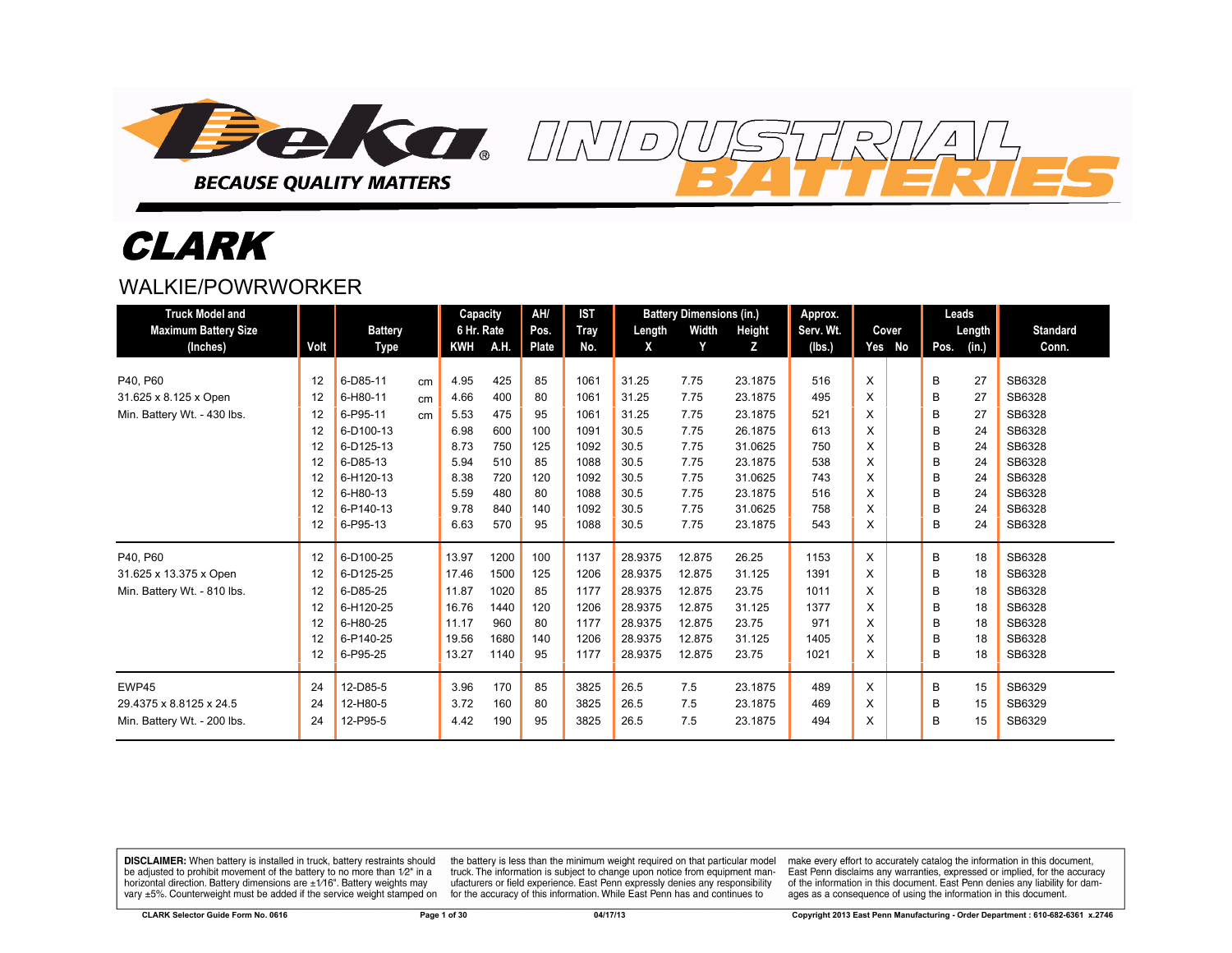

# CLARK

#### WAI KIF/POWRWORKFR

| <b>Truck Model and</b>      |      |                |    | <b>Capacity</b> |      | AH/   | <b>IST</b>  |         | <b>Battery Dimensions (in.)</b> |               | Approx.   |   |        | Leads |        |                 |
|-----------------------------|------|----------------|----|-----------------|------|-------|-------------|---------|---------------------------------|---------------|-----------|---|--------|-------|--------|-----------------|
| <b>Maximum Battery Size</b> |      | <b>Battery</b> |    | 6 Hr. Rate      |      | Pos.  | <b>Tray</b> | Length  | Width                           | <b>Height</b> | Serv. Wt. |   | Cover  |       | Length | <b>Standard</b> |
| (Inches)                    | Volt | Type           |    | <b>KWH</b>      | A.H. | Plate | No.         | X       | Y                               | z             | (lbs.)    |   | Yes No | Pos.  | (in.)  | Conn.           |
|                             |      |                |    |                 |      |       |             |         |                                 |               |           |   |        |       |        |                 |
| P40, P60                    | 12   | 6-D85-11       | cm | 4.95            | 425  | 85    | 1061        | 31.25   | 7.75                            | 23.1875       | 516       | X |        | B     | 27     | SB6328          |
| 31.625 x 8.125 x Open       | 12   | 6-H80-11       | cm | 4.66            | 400  | 80    | 1061        | 31.25   | 7.75                            | 23.1875       | 495       | X |        | B     | 27     | SB6328          |
| Min. Battery Wt. - 430 lbs. | 12   | 6-P95-11       | cm | 5.53            | 475  | 95    | 1061        | 31.25   | 7.75                            | 23.1875       | 521       | X |        | B     | 27     | SB6328          |
|                             | 12   | 6-D100-13      |    | 6.98            | 600  | 100   | 1091        | 30.5    | 7.75                            | 26.1875       | 613       | X |        | В     | 24     | SB6328          |
|                             | 12   | 6-D125-13      |    | 8.73            | 750  | 125   | 1092        | 30.5    | 7.75                            | 31.0625       | 750       | X |        | B     | 24     | SB6328          |
|                             | 12   | 6-D85-13       |    | 5.94            | 510  | 85    | 1088        | 30.5    | 7.75                            | 23.1875       | 538       | X |        | B     | 24     | SB6328          |
|                             | 12   | 6-H120-13      |    | 8.38            | 720  | 120   | 1092        | 30.5    | 7.75                            | 31.0625       | 743       | X |        | B     | 24     | SB6328          |
|                             | 12   | 6-H80-13       |    | 5.59            | 480  | 80    | 1088        | 30.5    | 7.75                            | 23.1875       | 516       | X |        | B     | 24     | SB6328          |
|                             | 12   | 6-P140-13      |    | 9.78            | 840  | 140   | 1092        | 30.5    | 7.75                            | 31.0625       | 758       | X |        | B     | 24     | SB6328          |
|                             | 12   | 6-P95-13       |    | 6.63            | 570  | 95    | 1088        | 30.5    | 7.75                            | 23.1875       | 543       | X |        | в     | 24     | SB6328          |
| P40, P60                    | 12   | 6-D100-25      |    | 13.97           | 1200 | 100   | 1137        | 28.9375 | 12.875                          | 26.25         | 1153      | X |        | B     | 18     | SB6328          |
| 31.625 x 13.375 x Open      | 12   | 6-D125-25      |    | 17.46           | 1500 | 125   | 1206        | 28.9375 | 12.875                          | 31.125        | 1391      | X |        | B     | 18     | SB6328          |
| Min. Battery Wt. - 810 lbs. | 12   | 6-D85-25       |    | 11.87           | 1020 | 85    | 1177        | 28.9375 | 12.875                          | 23.75         | 1011      | X |        | B     | 18     | SB6328          |
|                             | 12   | 6-H120-25      |    | 16.76           | 1440 | 120   | 1206        | 28.9375 | 12.875                          | 31.125        | 1377      | X |        | B     | 18     | SB6328          |
|                             | 12   | 6-H80-25       |    | 11.17           | 960  | 80    | 1177        | 28.9375 | 12.875                          | 23.75         | 971       | X |        | B     | 18     | SB6328          |
|                             | 12   | 6-P140-25      |    | 19.56           | 1680 | 140   | 1206        | 28.9375 | 12.875                          | 31.125        | 1405      | X |        | B     | 18     | SB6328          |
|                             | 12   | 6-P95-25       |    | 13.27           | 1140 | 95    | 1177        | 28.9375 | 12.875                          | 23.75         | 1021      | X |        | B     | 18     | SB6328          |
| EWP45                       | 24   | 12-D85-5       |    | 3.96            | 170  | 85    | 3825        | 26.5    | 7.5                             | 23.1875       | 489       | X |        | B     | 15     | SB6329          |
| 29.4375 x 8.8125 x 24.5     | 24   | 12-H80-5       |    | 3.72            | 160  | 80    | 3825        | 26.5    | 7.5                             | 23.1875       | 469       | X |        | B     | 15     | SB6329          |
| Min. Battery Wt. - 200 lbs. | 24   | 12-P95-5       |    | 4.42            | 190  | 95    | 3825        | 26.5    | 7.5                             | 23.1875       | 494       | X |        | B     | 15     | SB6329          |

 $\overline{D}$ 

**DISCLAIMER:** When battery is installed in truck, battery restraints should be adjusted to prohibit movement of the battery to no more than 1/2" in a horizontal direction. Battery dimensions are  $\pm 1/16$ ". Battery weights may vary  $\pm 5\%$ . Counterweight must be added if the service weight stamped on

the battery is less than the minimum weight required on that particular model<br>truck. The information is subject to change upon notice from equipment manufacturers or field experience. East Penn expressly denies any responsibility for the accuracy of this information. While East Penn has and continues to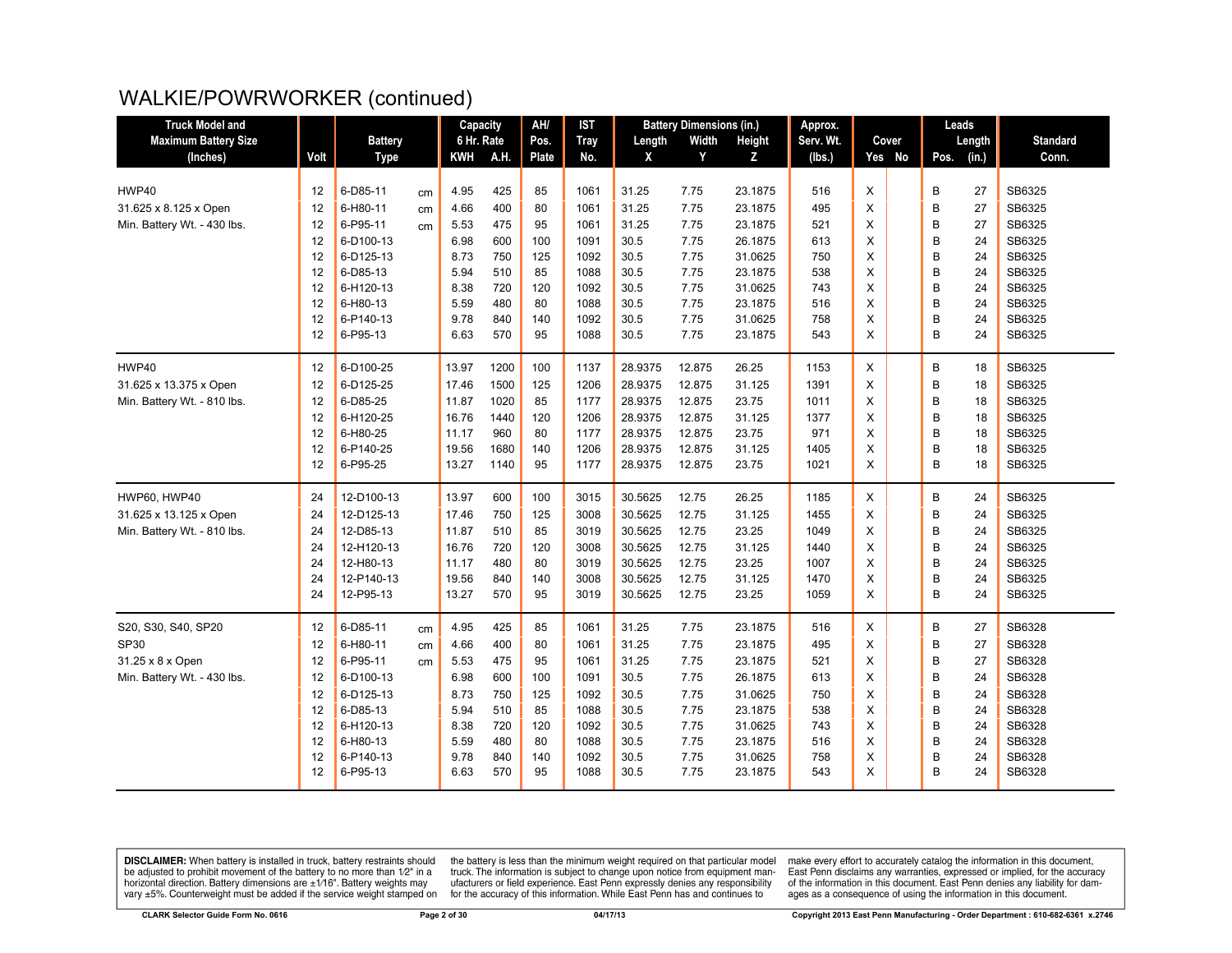| <b>Truck Model and</b>      |      |                |    | Capacity   |      | AH/   | <b>IST</b>  |         | <b>Battery Dimensions (in.)</b> |         | Approx.   |   |        |      | Leads  |                 |
|-----------------------------|------|----------------|----|------------|------|-------|-------------|---------|---------------------------------|---------|-----------|---|--------|------|--------|-----------------|
| <b>Maximum Battery Size</b> |      | <b>Battery</b> |    | 6 Hr. Rate |      | Pos.  | <b>Tray</b> | Length  | Width                           | Height  | Serv. Wt. |   | Cover  |      | Length | <b>Standard</b> |
| (Inches)                    | Volt | <b>Type</b>    |    | KWH        | A.H. | Plate | No.         | X       | Y                               | Z       | (lbs.)    |   | Yes No | Pos. | (in.)  | Conn.           |
|                             |      |                |    |            |      |       |             |         |                                 |         |           |   |        |      |        |                 |
| HWP40                       | 12   | 6-D85-11       | cm | 4.95       | 425  | 85    | 1061        | 31.25   | 7.75                            | 23.1875 | 516       | X |        | B    | 27     | SB6325          |
| 31.625 x 8.125 x Open       | 12   | 6-H80-11       | cm | 4.66       | 400  | 80    | 1061        | 31.25   | 7.75                            | 23.1875 | 495       | X |        | B    | 27     | SB6325          |
| Min. Battery Wt. - 430 lbs. | 12   | 6-P95-11       | cm | 5.53       | 475  | 95    | 1061        | 31.25   | 7.75                            | 23.1875 | 521       | X |        | B    | 27     | SB6325          |
|                             | 12   | 6-D100-13      |    | 6.98       | 600  | 100   | 1091        | 30.5    | 7.75                            | 26.1875 | 613       | X |        | B    | 24     | SB6325          |
|                             | 12   | 6-D125-13      |    | 8.73       | 750  | 125   | 1092        | 30.5    | 7.75                            | 31.0625 | 750       | X |        | B    | 24     | SB6325          |
|                             | 12   | 6-D85-13       |    | 5.94       | 510  | 85    | 1088        | 30.5    | 7.75                            | 23.1875 | 538       | X |        | B    | 24     | SB6325          |
|                             | 12   | 6-H120-13      |    | 8.38       | 720  | 120   | 1092        | 30.5    | 7.75                            | 31.0625 | 743       | X |        | B    | 24     | SB6325          |
|                             | 12   | 6-H80-13       |    | 5.59       | 480  | 80    | 1088        | 30.5    | 7.75                            | 23.1875 | 516       | X |        | B    | 24     | SB6325          |
|                             | 12   | 6-P140-13      |    | 9.78       | 840  | 140   | 1092        | 30.5    | 7.75                            | 31.0625 | 758       | X |        | B    | 24     | SB6325          |
|                             | 12   | 6-P95-13       |    | 6.63       | 570  | 95    | 1088        | 30.5    | 7.75                            | 23.1875 | 543       | X |        | B    | 24     | SB6325          |
| HWP40                       | 12   | 6-D100-25      |    | 13.97      | 1200 | 100   | 1137        | 28.9375 | 12.875                          | 26.25   | 1153      | X |        | B    | 18     | SB6325          |
| 31.625 x 13.375 x Open      | 12   | 6-D125-25      |    | 17.46      | 1500 | 125   | 1206        | 28.9375 | 12.875                          | 31.125  | 1391      | X |        | B    | 18     | SB6325          |
| Min. Battery Wt. - 810 lbs. | 12   | 6-D85-25       |    | 11.87      | 1020 | 85    | 1177        | 28.9375 | 12.875                          | 23.75   | 1011      | X |        | B    | 18     | SB6325          |
|                             | 12   | 6-H120-25      |    | 16.76      | 1440 | 120   | 1206        | 28.9375 | 12.875                          | 31.125  | 1377      | X |        | B    | 18     | SB6325          |
|                             | 12   | 6-H80-25       |    | 11.17      | 960  | 80    | 1177        | 28.9375 | 12.875                          | 23.75   | 971       | X |        | B    | 18     | SB6325          |
|                             | 12   | 6-P140-25      |    | 19.56      | 1680 | 140   | 1206        | 28.9375 | 12.875                          | 31.125  | 1405      | X |        | B    | 18     | SB6325          |
|                             | 12   | 6-P95-25       |    | 13.27      | 1140 | 95    | 1177        | 28.9375 | 12.875                          | 23.75   | 1021      | X |        | B    | 18     | SB6325          |
| HWP60, HWP40                | 24   | 12-D100-13     |    | 13.97      | 600  | 100   | 3015        | 30.5625 | 12.75                           | 26.25   | 1185      | X |        | B    | 24     | SB6325          |
| 31.625 x 13.125 x Open      | 24   | 12-D125-13     |    | 17.46      | 750  | 125   | 3008        | 30.5625 | 12.75                           | 31.125  | 1455      | X |        | B    | 24     | SB6325          |
| Min. Battery Wt. - 810 lbs. | 24   | 12-D85-13      |    | 11.87      | 510  | 85    | 3019        | 30.5625 | 12.75                           | 23.25   | 1049      | X |        | B    | 24     | SB6325          |
|                             | 24   | 12-H120-13     |    | 16.76      | 720  | 120   | 3008        | 30.5625 | 12.75                           | 31.125  | 1440      | X |        | B    | 24     | SB6325          |
|                             | 24   | 12-H80-13      |    | 11.17      | 480  | 80    | 3019        | 30.5625 | 12.75                           | 23.25   | 1007      | X |        | B    | 24     | SB6325          |
|                             | 24   | 12-P140-13     |    | 19.56      | 840  | 140   | 3008        | 30.5625 | 12.75                           | 31.125  | 1470      | X |        | B    | 24     | SB6325          |
|                             | 24   | 12-P95-13      |    | 13.27      | 570  | 95    | 3019        | 30.5625 | 12.75                           | 23.25   | 1059      | X |        | B    | 24     | SB6325          |
| S20, S30, S40, SP20         | 12   | 6-D85-11       | cm | 4.95       | 425  | 85    | 1061        | 31.25   | 7.75                            | 23.1875 | 516       | X |        | B    | 27     | SB6328          |
| SP30                        | 12   | 6-H80-11       | cm | 4.66       | 400  | 80    | 1061        | 31.25   | 7.75                            | 23.1875 | 495       | X |        | B    | 27     | SB6328          |
| 31.25 x 8 x Open            | 12   | 6-P95-11       | cm | 5.53       | 475  | 95    | 1061        | 31.25   | 7.75                            | 23.1875 | 521       | X |        | B    | 27     | SB6328          |
| Min. Battery Wt. - 430 lbs. | 12   | 6-D100-13      |    | 6.98       | 600  | 100   | 1091        | 30.5    | 7.75                            | 26.1875 | 613       | X |        | B    | 24     | SB6328          |
|                             | 12   | 6-D125-13      |    | 8.73       | 750  | 125   | 1092        | 30.5    | 7.75                            | 31.0625 | 750       | X |        | B    | 24     | SB6328          |
|                             | 12   | 6-D85-13       |    | 5.94       | 510  | 85    | 1088        | 30.5    | 7.75                            | 23.1875 | 538       | X |        | B    | 24     | SB6328          |
|                             | 12   | 6-H120-13      |    | 8.38       | 720  | 120   | 1092        | 30.5    | 7.75                            | 31.0625 | 743       | X |        | B    | 24     | SB6328          |
|                             | 12   | 6-H80-13       |    | 5.59       | 480  | 80    | 1088        | 30.5    | 7.75                            | 23.1875 | 516       | X |        | B    | 24     | SB6328          |
|                             | 12   | 6-P140-13      |    | 9.78       | 840  | 140   | 1092        | 30.5    | 7.75                            | 31.0625 | 758       | X |        | B    | 24     | SB6328          |
|                             | 12   | 6-P95-13       |    | 6.63       | 570  | 95    | 1088        | 30.5    | 7.75                            | 23.1875 | 543       | X |        | B    | 24     | SB6328          |
|                             |      |                |    |            |      |       |             |         |                                 |         |           |   |        |      |        |                 |

**DISCLAIMER:** When battery is installed in truck, battery restraints should be adjusted to prohibit movement of the battery to no more than  $12^v$  in a horizontal direction. Battery dimensions are  $\pm 1/16^v$ . Battery wei

the battery is less than the minimum weight required on that particular model<br>truck. The information is subject to change upon notice from equipment man-<br>ufacturers or field experience. East Penn expressly denies any respo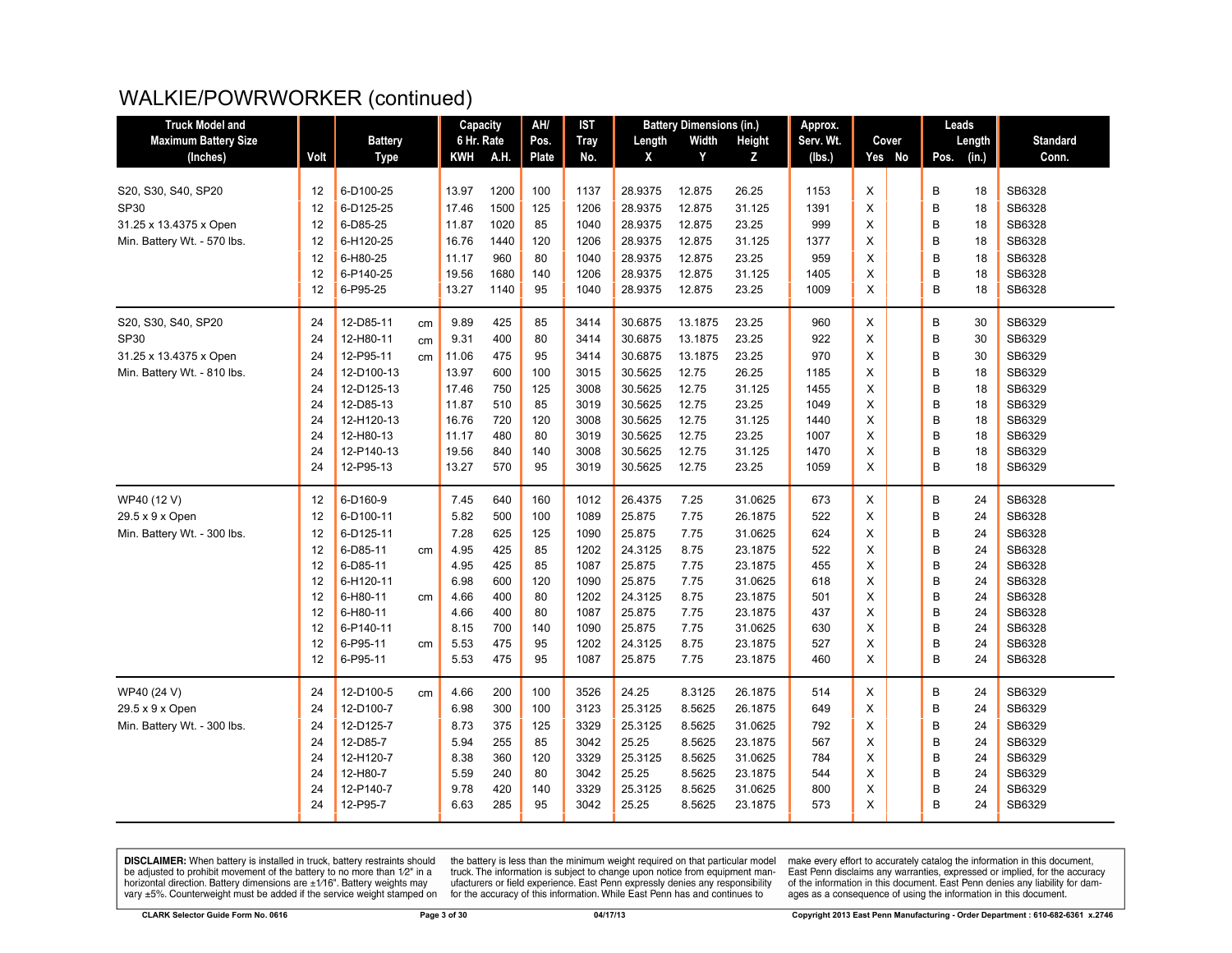| <b>Truck Model and</b>      |      |                |    | Capacity   |      | AH/   | IST         |         | <b>Battery Dimensions (in.)</b> |         | Approx.   |          | Leads         |                 |
|-----------------------------|------|----------------|----|------------|------|-------|-------------|---------|---------------------------------|---------|-----------|----------|---------------|-----------------|
| <b>Maximum Battery Size</b> |      | <b>Battery</b> |    | 6 Hr. Rate |      | Pos.  | <b>Tray</b> | Length  | Width                           | Height  | Serv. Wt. | Cover    | Length        | <b>Standard</b> |
| (Inches)                    | Volt | <b>Type</b>    |    | <b>KWH</b> | A.H. | Plate | No.         | X       | Y                               | z       | (lbs.)    | Yes No   | (in.)<br>Pos. | Conn.           |
|                             |      |                |    |            |      |       |             |         |                                 |         |           |          |               |                 |
| S20, S30, S40, SP20         | 12   | 6-D100-25      |    | 13.97      | 1200 | 100   | 1137        | 28.9375 | 12.875                          | 26.25   | 1153      | X        | В<br>18       | SB6328          |
| <b>SP30</b>                 | 12   | 6-D125-25      |    | 17.46      | 1500 | 125   | 1206        | 28.9375 | 12.875                          | 31.125  | 1391      | X        | B<br>18       | SB6328          |
| 31.25 x 13.4375 x Open      | 12   | 6-D85-25       |    | 11.87      | 1020 | 85    | 1040        | 28.9375 | 12.875                          | 23.25   | 999       | X        | B<br>18       | SB6328          |
| Min. Battery Wt. - 570 lbs. | 12   | 6-H120-25      |    | 16.76      | 1440 | 120   | 1206        | 28.9375 | 12.875                          | 31.125  | 1377      | X        | B<br>18       | SB6328          |
|                             | 12   | 6-H80-25       |    | 11.17      | 960  | 80    | 1040        | 28.9375 | 12.875                          | 23.25   | 959       | X        | B<br>18       | SB6328          |
|                             | 12   | 6-P140-25      |    | 19.56      | 1680 | 140   | 1206        | 28.9375 | 12.875                          | 31.125  | 1405      | X        | B<br>18       | SB6328          |
|                             | 12   | 6-P95-25       |    | 13.27      | 1140 | 95    | 1040        | 28.9375 | 12.875                          | 23.25   | 1009      | X        | B<br>18       | SB6328          |
| S20, S30, S40, SP20         | 24   | 12-D85-11      | cm | 9.89       | 425  | 85    | 3414        | 30.6875 | 13.1875                         | 23.25   | 960       | X        | B<br>30       | SB6329          |
| SP30                        | 24   | 12-H80-11      | cm | 9.31       | 400  | 80    | 3414        | 30.6875 | 13.1875                         | 23.25   | 922       | X        | B<br>30       | SB6329          |
| 31.25 x 13.4375 x Open      | 24   | 12-P95-11      | cm | 11.06      | 475  | 95    | 3414        | 30.6875 | 13.1875                         | 23.25   | 970       | X        | B<br>30       | SB6329          |
| Min. Battery Wt. - 810 lbs. | 24   | 12-D100-13     |    | 13.97      | 600  | 100   | 3015        | 30.5625 | 12.75                           | 26.25   | 1185      | X        | B<br>18       | SB6329          |
|                             | 24   | 12-D125-13     |    | 17.46      | 750  | 125   | 3008        | 30.5625 | 12.75                           | 31.125  | 1455      | X        | B<br>18       | SB6329          |
|                             | 24   | 12-D85-13      |    | 11.87      | 510  | 85    | 3019        | 30.5625 | 12.75                           | 23.25   | 1049      | X        | B<br>18       | SB6329          |
|                             | 24   | 12-H120-13     |    | 16.76      | 720  | 120   | 3008        | 30.5625 | 12.75                           | 31.125  | 1440      | X        | B<br>18       | SB6329          |
|                             | 24   | 12-H80-13      |    | 11.17      | 480  | 80    | 3019        | 30.5625 | 12.75                           | 23.25   | 1007      | X        | B<br>18       | SB6329          |
|                             | 24   | 12-P140-13     |    | 19.56      | 840  | 140   | 3008        | 30.5625 | 12.75                           | 31.125  | 1470      | X        | B<br>18       | SB6329          |
|                             | 24   | 12-P95-13      |    | 13.27      | 570  | 95    | 3019        | 30.5625 | 12.75                           | 23.25   | 1059      | X        | B<br>18       | SB6329          |
| WP40 (12 V)                 | 12   | 6-D160-9       |    | 7.45       | 640  | 160   | 1012        | 26.4375 | 7.25                            | 31.0625 | 673       | X        | B<br>24       | SB6328          |
| 29.5 x 9 x Open             | 12   | 6-D100-11      |    | 5.82       | 500  | 100   | 1089        | 25.875  | 7.75                            | 26.1875 | 522       | X        | B<br>24       | SB6328          |
| Min. Battery Wt. - 300 lbs. | 12   | 6-D125-11      |    | 7.28       | 625  | 125   | 1090        | 25.875  | 7.75                            | 31.0625 | 624       | $\times$ | B<br>24       | SB6328          |
|                             | 12   | 6-D85-11       | cm | 4.95       | 425  | 85    | 1202        | 24.3125 | 8.75                            | 23.1875 | 522       | X        | B<br>24       | SB6328          |
|                             | 12   | 6-D85-11       |    | 4.95       | 425  | 85    | 1087        | 25.875  | 7.75                            | 23.1875 | 455       | X        | B<br>24       | SB6328          |
|                             | 12   | 6-H120-11      |    | 6.98       | 600  | 120   | 1090        | 25.875  | 7.75                            | 31.0625 | 618       | X        | B<br>24       | SB6328          |
|                             | 12   | 6-H80-11       | cm | 4.66       | 400  | 80    | 1202        | 24.3125 | 8.75                            | 23.1875 | 501       | X        | B<br>24       | SB6328          |
|                             | 12   | 6-H80-11       |    | 4.66       | 400  | 80    | 1087        | 25.875  | 7.75                            | 23.1875 | 437       | X        | B<br>24       | SB6328          |
|                             | 12   | 6-P140-11      |    | 8.15       | 700  | 140   | 1090        | 25.875  | 7.75                            | 31.0625 | 630       | X        | B<br>24       | SB6328          |
|                             | 12   | 6-P95-11       | cm | 5.53       | 475  | 95    | 1202        | 24.3125 | 8.75                            | 23.1875 | 527       | X        | B<br>24       | SB6328          |
|                             | 12   | 6-P95-11       |    | 5.53       | 475  | 95    | 1087        | 25.875  | 7.75                            | 23.1875 | 460       | X        | B<br>24       | SB6328          |
| WP40 (24 V)                 | 24   | 12-D100-5      | cm | 4.66       | 200  | 100   | 3526        | 24.25   | 8.3125                          | 26.1875 | 514       | Χ        | B<br>24       | SB6329          |
| 29.5 x 9 x Open             | 24   | 12-D100-7      |    | 6.98       | 300  | 100   | 3123        | 25.3125 | 8.5625                          | 26.1875 | 649       | X        | B<br>24       | SB6329          |
| Min. Battery Wt. - 300 lbs. | 24   | 12-D125-7      |    | 8.73       | 375  | 125   | 3329        | 25.3125 | 8.5625                          | 31.0625 | 792       | X        | B<br>24       | SB6329          |
|                             | 24   | 12-D85-7       |    | 5.94       | 255  | 85    | 3042        | 25.25   | 8.5625                          | 23.1875 | 567       | X        | B<br>24       | SB6329          |
|                             | 24   | 12-H120-7      |    | 8.38       | 360  | 120   | 3329        | 25.3125 | 8.5625                          | 31.0625 | 784       | $\sf X$  | B<br>24       | SB6329          |
|                             | 24   | 12-H80-7       |    | 5.59       | 240  | 80    | 3042        | 25.25   | 8.5625                          | 23.1875 | 544       | X        | B<br>24       | SB6329          |
|                             | 24   | 12-P140-7      |    | 9.78       | 420  | 140   | 3329        | 25.3125 | 8.5625                          | 31.0625 | 800       | X        | B<br>24       | SB6329          |
|                             | 24   | 12-P95-7       |    | 6.63       | 285  | 95    | 3042        | 25.25   | 8.5625                          | 23.1875 | 573       | X        | B<br>24       | SB6329          |

**DISCLAIMER:** When battery is installed in truck, battery restraints should be adjusted to prohibit movement of the battery to no more than  $12^v$  in a horizontal direction. Battery dimensions are  $\pm 1/16^v$ . Battery wei

the battery is less than the minimum weight required on that particular model<br>truck. The information is subject to change upon notice from equipment man-<br>ufacturers or field experience. East Penn expressly denies any respo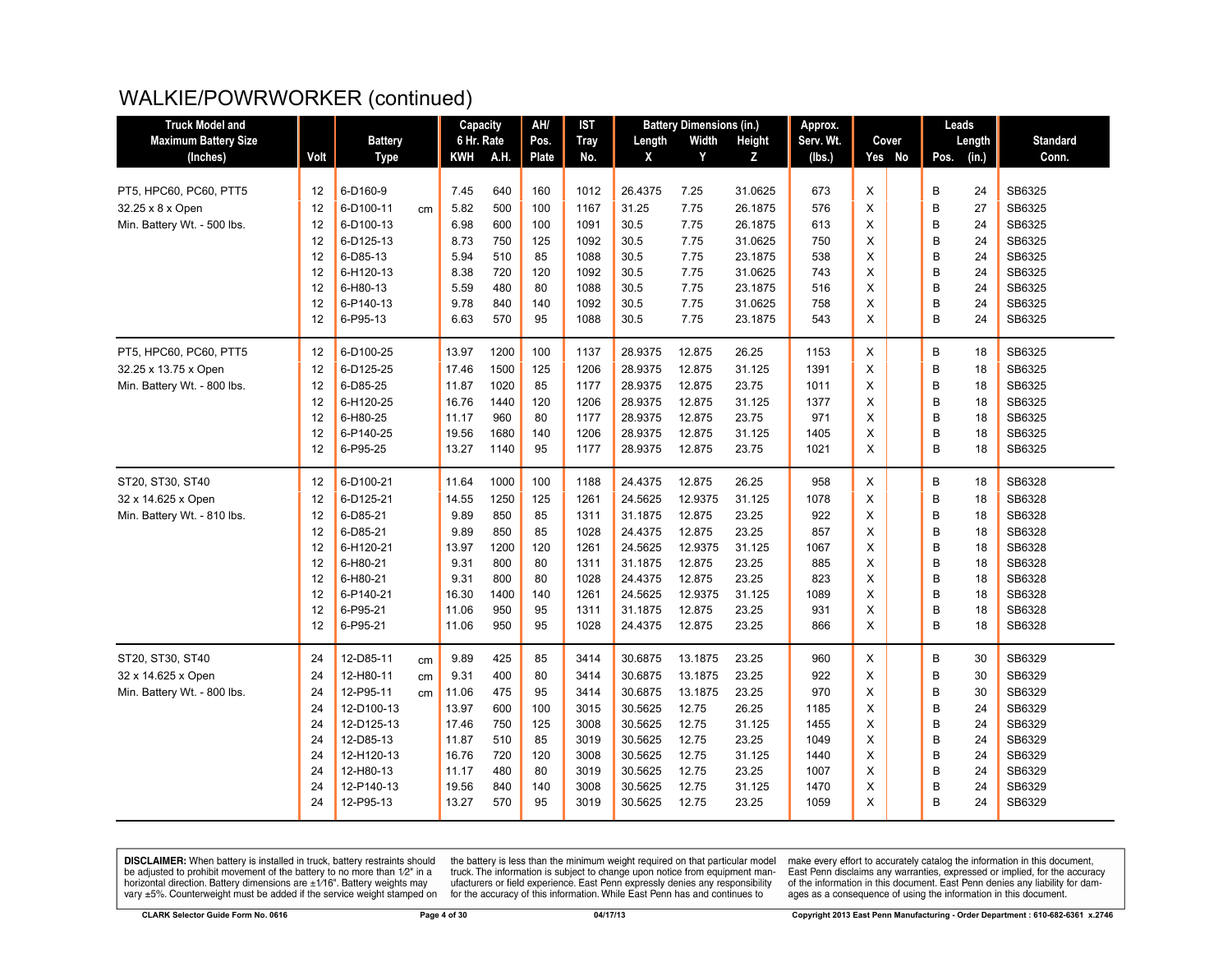| <b>Truck Model and</b>      |      |                |    | Capacity   |      | AH/   | <b>IST</b>  |         | <b>Battery Dimensions (in.)</b> |         | Approx.   |                | Leads         |                 |
|-----------------------------|------|----------------|----|------------|------|-------|-------------|---------|---------------------------------|---------|-----------|----------------|---------------|-----------------|
| <b>Maximum Battery Size</b> |      | <b>Battery</b> |    | 6 Hr. Rate |      | Pos.  | <b>Tray</b> | Length  | Width                           | Height  | Serv. Wt. | Cover          | Length        | <b>Standard</b> |
| (Inches)                    | Volt | <b>Type</b>    |    | <b>KWH</b> | A.H. | Plate | No.         | X       | Y                               | Z.      | (Ibs.)    | Yes No         | (in.)<br>Pos. | Conn.           |
|                             |      |                |    |            |      |       |             |         |                                 |         |           |                |               |                 |
| PT5, HPC60, PC60, PTT5      | 12   | 6-D160-9       |    | 7.45       | 640  | 160   | 1012        | 26.4375 | 7.25                            | 31.0625 | 673       | X              | B<br>24       | SB6325          |
| 32.25 x 8 x Open            | 12   | 6-D100-11      | cm | 5.82       | 500  | 100   | 1167        | 31.25   | 7.75                            | 26.1875 | 576       | X              | B<br>27       | SB6325          |
| Min. Battery Wt. - 500 lbs. | 12   | 6-D100-13      |    | 6.98       | 600  | 100   | 1091        | 30.5    | 7.75                            | 26.1875 | 613       | $\pmb{\times}$ | B<br>24       | SB6325          |
|                             | 12   | 6-D125-13      |    | 8.73       | 750  | 125   | 1092        | 30.5    | 7.75                            | 31.0625 | 750       | X              | B<br>24       | SB6325          |
|                             | 12   | 6-D85-13       |    | 5.94       | 510  | 85    | 1088        | 30.5    | 7.75                            | 23.1875 | 538       | X              | B<br>24       | SB6325          |
|                             | 12   | 6-H120-13      |    | 8.38       | 720  | 120   | 1092        | 30.5    | 7.75                            | 31.0625 | 743       | X              | B<br>24       | SB6325          |
|                             | 12   | 6-H80-13       |    | 5.59       | 480  | 80    | 1088        | 30.5    | 7.75                            | 23.1875 | 516       | X              | B<br>24       | SB6325          |
|                             | 12   | 6-P140-13      |    | 9.78       | 840  | 140   | 1092        | 30.5    | 7.75                            | 31.0625 | 758       | X              | B<br>24       | SB6325          |
|                             | 12   | 6-P95-13       |    | 6.63       | 570  | 95    | 1088        | 30.5    | 7.75                            | 23.1875 | 543       | $\times$       | B<br>24       | SB6325          |
| PT5, HPC60, PC60, PTT5      | 12   | 6-D100-25      |    | 13.97      | 1200 | 100   | 1137        | 28.9375 | 12.875                          | 26.25   | 1153      | X              | В<br>18       | SB6325          |
| 32.25 x 13.75 x Open        | 12   | 6-D125-25      |    | 17.46      | 1500 | 125   | 1206        | 28.9375 | 12.875                          | 31.125  | 1391      | X              | B<br>18       | SB6325          |
| Min. Battery Wt. - 800 lbs. | 12   | 6-D85-25       |    | 11.87      | 1020 | 85    | 1177        | 28.9375 | 12.875                          | 23.75   | 1011      | X              | B<br>18       | SB6325          |
|                             | 12   | 6-H120-25      |    | 16.76      | 1440 | 120   | 1206        | 28.9375 | 12.875                          | 31.125  | 1377      | X              | B<br>18       | SB6325          |
|                             | 12   | 6-H80-25       |    | 11.17      | 960  | 80    | 1177        | 28.9375 | 12.875                          | 23.75   | 971       | X              | B<br>18       | SB6325          |
|                             | 12   | 6-P140-25      |    | 19.56      | 1680 | 140   | 1206        | 28.9375 | 12.875                          | 31.125  | 1405      | X              | B<br>18       | SB6325          |
|                             | 12   | 6-P95-25       |    | 13.27      | 1140 | 95    | 1177        | 28.9375 | 12.875                          | 23.75   | 1021      | X              | B<br>18       | SB6325          |
| ST20, ST30, ST40            | 12   | 6-D100-21      |    | 11.64      | 1000 | 100   | 1188        | 24.4375 | 12.875                          | 26.25   | 958       | X              | B<br>18       | SB6328          |
| 32 x 14.625 x Open          | 12   | 6-D125-21      |    | 14.55      | 1250 | 125   | 1261        | 24.5625 | 12.9375                         | 31.125  | 1078      | X              | B<br>18       | SB6328          |
| Min. Battery Wt. - 810 lbs. | 12   | 6-D85-21       |    | 9.89       | 850  | 85    | 1311        | 31.1875 | 12.875                          | 23.25   | 922       | X              | B<br>18       | SB6328          |
|                             | 12   | 6-D85-21       |    | 9.89       | 850  | 85    | 1028        | 24.4375 | 12.875                          | 23.25   | 857       | X              | B<br>18       | SB6328          |
|                             | 12   | 6-H120-21      |    | 13.97      | 1200 | 120   | 1261        | 24.5625 | 12.9375                         | 31.125  | 1067      | X              | B<br>18       | SB6328          |
|                             | 12   | 6-H80-21       |    | 9.31       | 800  | 80    | 1311        | 31.1875 | 12.875                          | 23.25   | 885       | X              | B<br>18       | SB6328          |
|                             | 12   | 6-H80-21       |    | 9.31       | 800  | 80    | 1028        | 24.4375 | 12.875                          | 23.25   | 823       | X              | B<br>18       | SB6328          |
|                             | 12   | 6-P140-21      |    | 16.30      | 1400 | 140   | 1261        | 24.5625 | 12.9375                         | 31.125  | 1089      | X              | B<br>18       | SB6328          |
|                             | 12   | 6-P95-21       |    | 11.06      | 950  | 95    | 1311        | 31.1875 | 12.875                          | 23.25   | 931       | X              | B<br>18       | SB6328          |
|                             | 12   | 6-P95-21       |    | 11.06      | 950  | 95    | 1028        | 24.4375 | 12.875                          | 23.25   | 866       | X              | B<br>18       | SB6328          |
| ST20, ST30, ST40            | 24   | 12-D85-11      | cm | 9.89       | 425  | 85    | 3414        | 30.6875 | 13.1875                         | 23.25   | 960       | X              | B<br>30       | SB6329          |
| 32 x 14.625 x Open          | 24   | 12-H80-11      | cm | 9.31       | 400  | 80    | 3414        | 30.6875 | 13.1875                         | 23.25   | 922       | X              | B<br>30       | SB6329          |
| Min. Battery Wt. - 800 lbs. | 24   | 12-P95-11      | cm | 11.06      | 475  | 95    | 3414        | 30.6875 | 13.1875                         | 23.25   | 970       | X              | B<br>30       | SB6329          |
|                             | 24   | 12-D100-13     |    | 13.97      | 600  | 100   | 3015        | 30.5625 | 12.75                           | 26.25   | 1185      | X              | B<br>24       | SB6329          |
|                             | 24   | 12-D125-13     |    | 17.46      | 750  | 125   | 3008        | 30.5625 | 12.75                           | 31.125  | 1455      | X              | B<br>24       | SB6329          |
|                             | 24   | 12-D85-13      |    | 11.87      | 510  | 85    | 3019        | 30.5625 | 12.75                           | 23.25   | 1049      | X              | B<br>24       | SB6329          |
|                             | 24   | 12-H120-13     |    | 16.76      | 720  | 120   | 3008        | 30.5625 | 12.75                           | 31.125  | 1440      | X              | B<br>24       | SB6329          |
|                             | 24   | 12-H80-13      |    | 11.17      | 480  | 80    | 3019        | 30.5625 | 12.75                           | 23.25   | 1007      | X              | B<br>24       | SB6329          |
|                             | 24   | 12-P140-13     |    | 19.56      | 840  | 140   | 3008        | 30.5625 | 12.75                           | 31.125  | 1470      | X              | B<br>24       | SB6329          |
|                             | 24   | 12-P95-13      |    | 13.27      | 570  | 95    | 3019        | 30.5625 | 12.75                           | 23.25   | 1059      | X              | B<br>24       | SB6329          |
|                             |      |                |    |            |      |       |             |         |                                 |         |           |                |               |                 |

**DISCLAIMER:** When battery is installed in truck, battery restraints should be adjusted to prohibit movement of the battery to no more than  $12^v$  in a horizontal direction. Battery dimensions are  $\pm 1/16^v$ . Battery wei

the battery is less than the minimum weight required on that particular model<br>truck. The information is subject to change upon notice from equipment man-<br>ufacturers or field experience. East Penn expressly denies any respo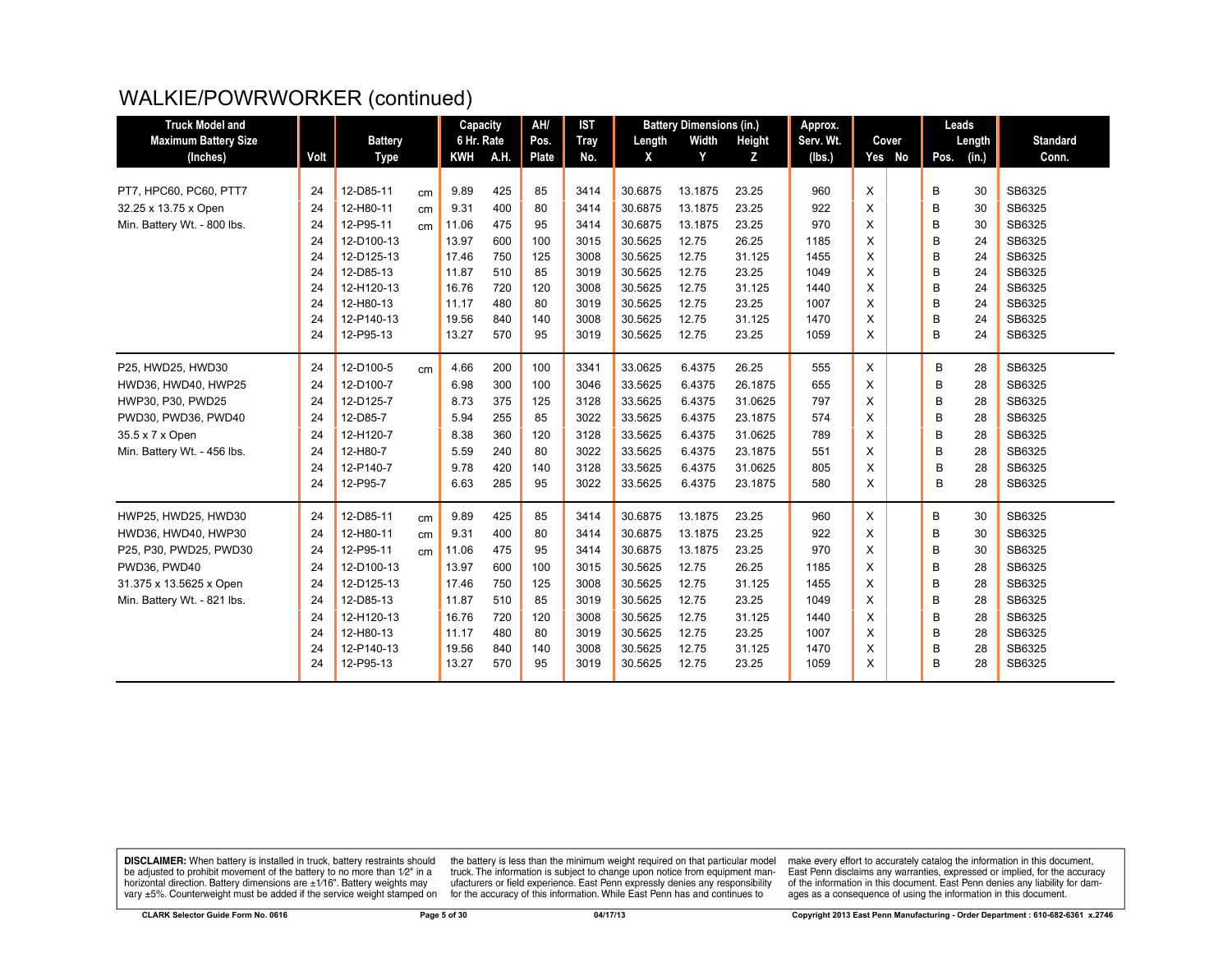| <b>Truck Model and</b>      |      |                |    | Capacity   |      | AH/   | <b>IST</b>  |         | <b>Battery Dimensions (in.)</b> |         | Approx.   |   |        |      | Leads  |                 |
|-----------------------------|------|----------------|----|------------|------|-------|-------------|---------|---------------------------------|---------|-----------|---|--------|------|--------|-----------------|
| <b>Maximum Battery Size</b> |      | <b>Battery</b> |    | 6 Hr. Rate |      | Pos.  | <b>Tray</b> | Length  | Width                           | Height  | Serv. Wt. |   | Cover  |      | Length | <b>Standard</b> |
| (Inches)                    | Volt | <b>Type</b>    |    | <b>KWH</b> | A.H. | Plate | No.         | X       | Y                               | z       | (lbs.)    |   | Yes No | Pos. | (in.)  | Conn.           |
|                             |      |                |    |            |      |       |             |         |                                 |         |           |   |        |      |        |                 |
| PT7, HPC60, PC60, PTT7      | 24   | 12-D85-11      | cm | 9.89       | 425  | 85    | 3414        | 30.6875 | 13.1875                         | 23.25   | 960       | X |        | В    | 30     | SB6325          |
| 32.25 x 13.75 x Open        | 24   | 12-H80-11      | cm | 9.31       | 400  | 80    | 3414        | 30.6875 | 13.1875                         | 23.25   | 922       | X |        | B    | 30     | SB6325          |
| Min. Battery Wt. - 800 lbs. | 24   | 12-P95-11      | cm | 11.06      | 475  | 95    | 3414        | 30.6875 | 13.1875                         | 23.25   | 970       | X |        | B    | 30     | SB6325          |
|                             | 24   | 12-D100-13     |    | 13.97      | 600  | 100   | 3015        | 30.5625 | 12.75                           | 26.25   | 1185      | X |        | B    | 24     | SB6325          |
|                             | 24   | 12-D125-13     |    | 17.46      | 750  | 125   | 3008        | 30.5625 | 12.75                           | 31.125  | 1455      | X |        | B    | 24     | SB6325          |
|                             | 24   | 12-D85-13      |    | 11.87      | 510  | 85    | 3019        | 30.5625 | 12.75                           | 23.25   | 1049      | X |        | B    | 24     | SB6325          |
|                             | 24   | 12-H120-13     |    | 16.76      | 720  | 120   | 3008        | 30.5625 | 12.75                           | 31.125  | 1440      | X |        | B    | 24     | SB6325          |
|                             | 24   | 12-H80-13      |    | 11.17      | 480  | 80    | 3019        | 30.5625 | 12.75                           | 23.25   | 1007      | X |        | B    | 24     | SB6325          |
|                             | 24   | 12-P140-13     |    | 19.56      | 840  | 140   | 3008        | 30.5625 | 12.75                           | 31.125  | 1470      | X |        | B    | 24     | SB6325          |
|                             | 24   | 12-P95-13      |    | 13.27      | 570  | 95    | 3019        | 30.5625 | 12.75                           | 23.25   | 1059      | X |        | B    | 24     | SB6325          |
| P25, HWD25, HWD30           | 24   | 12-D100-5      | cm | 4.66       | 200  | 100   | 3341        | 33.0625 | 6.4375                          | 26.25   | 555       | X |        | В    | 28     | SB6325          |
| HWD36, HWD40, HWP25         | 24   | 12-D100-7      |    | 6.98       | 300  | 100   | 3046        | 33.5625 | 6.4375                          | 26.1875 | 655       | X |        | B    | 28     | SB6325          |
| HWP30, P30, PWD25           | 24   | 12-D125-7      |    | 8.73       | 375  | 125   | 3128        | 33.5625 | 6.4375                          | 31.0625 | 797       | X |        | B    | 28     | SB6325          |
| PWD30, PWD36, PWD40         | 24   | 12-D85-7       |    | 5.94       | 255  | 85    | 3022        | 33.5625 | 6.4375                          | 23.1875 | 574       | X |        | B    | 28     | SB6325          |
| 35.5 x 7 x Open             | 24   | 12-H120-7      |    | 8.38       | 360  | 120   | 3128        | 33.5625 | 6.4375                          | 31.0625 | 789       | X |        | В    | 28     | SB6325          |
| Min. Battery Wt. - 456 lbs. | 24   | 12-H80-7       |    | 5.59       | 240  | 80    | 3022        | 33.5625 | 6.4375                          | 23.1875 | 551       | X |        | B    | 28     | SB6325          |
|                             | 24   | 12-P140-7      |    | 9.78       | 420  | 140   | 3128        | 33.5625 | 6.4375                          | 31.0625 | 805       | X |        | B    | 28     | SB6325          |
|                             | 24   | 12-P95-7       |    | 6.63       | 285  | 95    | 3022        | 33.5625 | 6.4375                          | 23.1875 | 580       | X |        | B    | 28     | SB6325          |
| HWP25, HWD25, HWD30         | 24   | 12-D85-11      | cm | 9.89       | 425  | 85    | 3414        | 30.6875 | 13.1875                         | 23.25   | 960       | X |        | В    | 30     | SB6325          |
| HWD36, HWD40, HWP30         | 24   | 12-H80-11      | cm | 9.31       | 400  | 80    | 3414        | 30.6875 | 13.1875                         | 23.25   | 922       | X |        | B    | 30     | SB6325          |
| P25, P30, PWD25, PWD30      | 24   | 12-P95-11      | cm | 11.06      | 475  | 95    | 3414        | 30.6875 | 13.1875                         | 23.25   | 970       | X |        | B    | 30     | SB6325          |
| PWD36, PWD40                | 24   | 12-D100-13     |    | 13.97      | 600  | 100   | 3015        | 30.5625 | 12.75                           | 26.25   | 1185      | X |        | B    | 28     | SB6325          |
| 31.375 x 13.5625 x Open     | 24   | 12-D125-13     |    | 17.46      | 750  | 125   | 3008        | 30.5625 | 12.75                           | 31.125  | 1455      | X |        | B    | 28     | SB6325          |
| Min. Battery Wt. - 821 lbs. | 24   | 12-D85-13      |    | 11.87      | 510  | 85    | 3019        | 30.5625 | 12.75                           | 23.25   | 1049      | X |        | B    | 28     | SB6325          |
|                             | 24   | 12-H120-13     |    | 16.76      | 720  | 120   | 3008        | 30.5625 | 12.75                           | 31.125  | 1440      | X |        | B    | 28     | SB6325          |
|                             | 24   | 12-H80-13      |    | 11.17      | 480  | 80    | 3019        | 30.5625 | 12.75                           | 23.25   | 1007      | X |        | B    | 28     | SB6325          |
|                             | 24   | 12-P140-13     |    | 19.56      | 840  | 140   | 3008        | 30.5625 | 12.75                           | 31.125  | 1470      | X |        | B    | 28     | SB6325          |
|                             | 24   | 12-P95-13      |    | 13.27      | 570  | 95    | 3019        | 30.5625 | 12.75                           | 23.25   | 1059      | X |        | В    | 28     | SB6325          |

**DISCLAIMER:** When battery is installed in truck, battery restraints should be adjusted to prohibit movement of the battery to no more than  $12^v$  in a horizontal direction. Battery dimensions are  $\pm 1/16^v$ . Battery wei

the battery is less than the minimum weight required on that particular model<br>truck. The information is subject to change upon notice from equipment man-<br>ufacturers or field experience. East Penn expressly denies any respo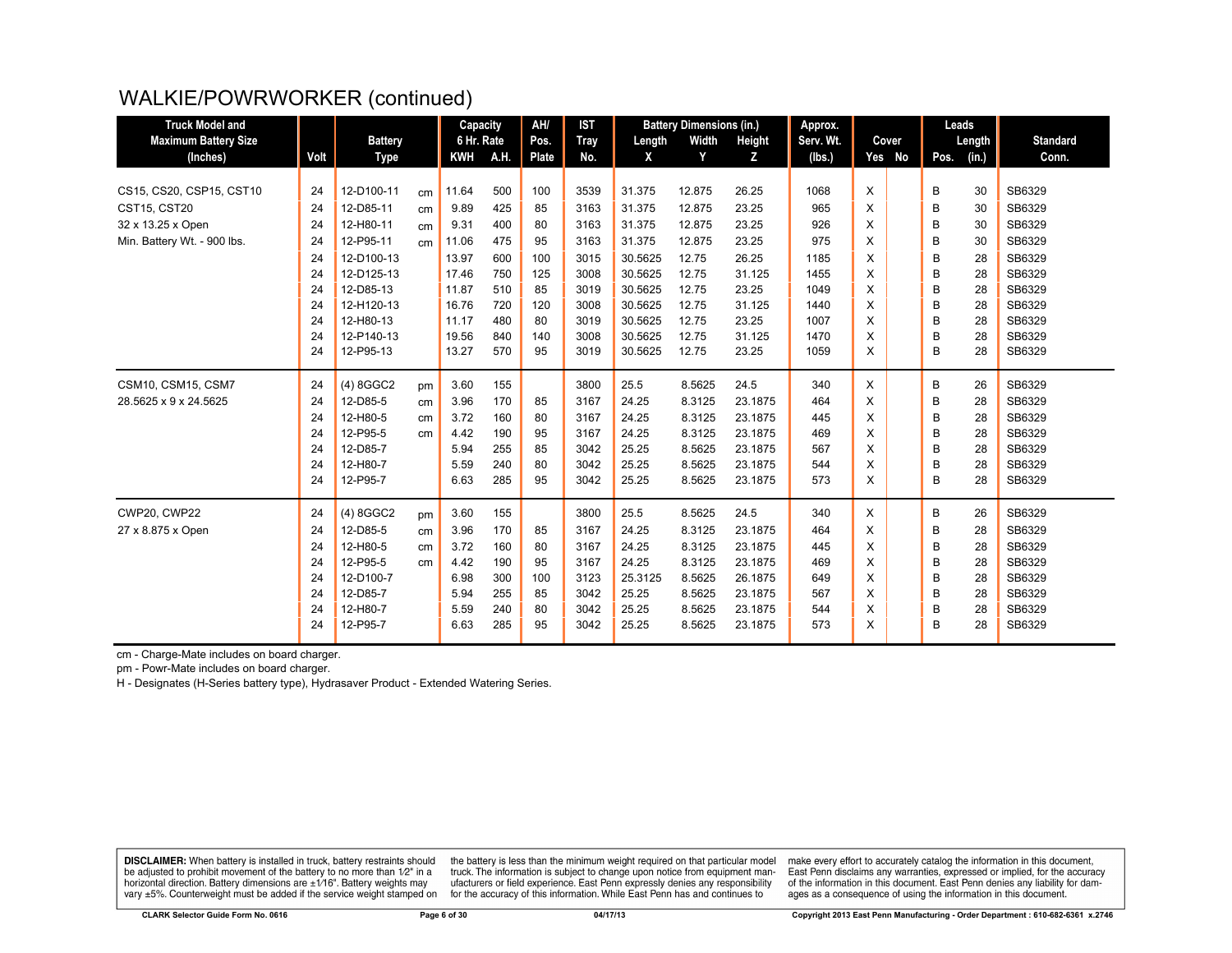| <b>Truck Model and</b>      |      |                |                 | Capacity   |      | AH/          | <b>IST</b>  |         | <b>Battery Dimensions (in.)</b> |         | Approx.   |   |        | Leads         |    |                 |
|-----------------------------|------|----------------|-----------------|------------|------|--------------|-------------|---------|---------------------------------|---------|-----------|---|--------|---------------|----|-----------------|
| <b>Maximum Battery Size</b> |      | <b>Battery</b> |                 | 6 Hr. Rate |      | Pos.         | <b>Tray</b> | Length  | Width                           | Height  | Serv. Wt. |   | Cover  | Length        |    | <b>Standard</b> |
| (Inches)                    | Volt | Type           |                 | <b>KWH</b> | A.H. | <b>Plate</b> | No.         | X       | Y                               | Z       | (Ibs.)    |   | Yes No | Pos.<br>(in.) |    | Conn.           |
|                             |      |                |                 |            |      |              |             |         |                                 |         |           |   |        |               |    |                 |
| CS15, CS20, CSP15, CST10    | 24   | 12-D100-11     | cm              | 11.64      | 500  | 100          | 3539        | 31.375  | 12.875                          | 26.25   | 1068      | X |        | B             | 30 | SB6329          |
| <b>CST15, CST20</b>         | 24   | 12-D85-11      | cm              | 9.89       | 425  | 85           | 3163        | 31.375  | 12.875                          | 23.25   | 965       | Χ |        | B             | 30 | SB6329          |
| 32 x 13.25 x Open           | 24   | 12-H80-11      | cm              | 9.31       | 400  | 80           | 3163        | 31.375  | 12.875                          | 23.25   | 926       | X |        | B             | 30 | SB6329          |
| Min. Battery Wt. - 900 lbs. | 24   | 12-P95-11      | cm              | 11.06      | 475  | 95           | 3163        | 31.375  | 12.875                          | 23.25   | 975       | X |        | B             | 30 | SB6329          |
|                             | 24   | 12-D100-13     |                 | 13.97      | 600  | 100          | 3015        | 30.5625 | 12.75                           | 26.25   | 1185      | X |        | B             | 28 | SB6329          |
|                             | 24   | 12-D125-13     |                 | 17.46      | 750  | 125          | 3008        | 30.5625 | 12.75                           | 31.125  | 1455      | X |        | B             | 28 | SB6329          |
|                             | 24   | 12-D85-13      |                 | 11.87      | 510  | 85           | 3019        | 30.5625 | 12.75                           | 23.25   | 1049      | X |        | B             | 28 | SB6329          |
|                             | 24   | 12-H120-13     |                 | 16.76      | 720  | 120          | 3008        | 30.5625 | 12.75                           | 31.125  | 1440      | X |        | B             | 28 | SB6329          |
|                             | 24   | 12-H80-13      |                 | 11.17      | 480  | 80           | 3019        | 30.5625 | 12.75                           | 23.25   | 1007      | X |        | B             | 28 | SB6329          |
|                             | 24   | 12-P140-13     |                 | 19.56      | 840  | 140          | 3008        | 30.5625 | 12.75                           | 31.125  | 1470      | X |        | B             | 28 | SB6329          |
|                             | 24   | 12-P95-13      |                 | 13.27      | 570  | 95           | 3019        | 30.5625 | 12.75                           | 23.25   | 1059      | X |        | В             | 28 | SB6329          |
| CSM10, CSM15, CSM7          | 24   | $(4)$ 8GGC2    | pm              | 3.60       | 155  |              | 3800        | 25.5    | 8.5625                          | 24.5    | 340       | X |        | В             | 26 | SB6329          |
| 28.5625 x 9 x 24.5625       | 24   | 12-D85-5       | cm              | 3.96       | 170  | 85           | 3167        | 24.25   | 8.3125                          | 23.1875 | 464       | X |        | B             | 28 | SB6329          |
|                             | 24   | 12-H80-5       | cm              | 3.72       | 160  | 80           | 3167        | 24.25   | 8.3125                          | 23.1875 | 445       | X |        | B             | 28 | SB6329          |
|                             | 24   | 12-P95-5       | cm <sub>2</sub> | 4.42       | 190  | 95           | 3167        | 24.25   | 8.3125                          | 23.1875 | 469       | X |        | B             | 28 | SB6329          |
|                             | 24   | 12-D85-7       |                 | 5.94       | 255  | 85           | 3042        | 25.25   | 8.5625                          | 23.1875 | 567       | X |        | B             | 28 | SB6329          |
|                             | 24   | 12-H80-7       |                 | 5.59       | 240  | 80           | 3042        | 25.25   | 8.5625                          | 23.1875 | 544       | X |        | B             | 28 | SB6329          |
|                             | 24   | 12-P95-7       |                 | 6.63       | 285  | 95           | 3042        | 25.25   | 8.5625                          | 23.1875 | 573       | X |        | B             | 28 | SB6329          |
| <b>CWP20, CWP22</b>         | 24   | (4) 8GGC2      | pm              | 3.60       | 155  |              | 3800        | 25.5    | 8.5625                          | 24.5    | 340       | X |        | В             | 26 | SB6329          |
| 27 x 8.875 x Open           | 24   | 12-D85-5       | cm              | 3.96       | 170  | 85           | 3167        | 24.25   | 8.3125                          | 23.1875 | 464       | X |        | B             | 28 | SB6329          |
|                             | 24   | 12-H80-5       | cm              | 3.72       | 160  | 80           | 3167        | 24.25   | 8.3125                          | 23.1875 | 445       | X |        | B             | 28 | SB6329          |
|                             | 24   | 12-P95-5       | cm              | 4.42       | 190  | 95           | 3167        | 24.25   | 8.3125                          | 23.1875 | 469       | X |        | B             | 28 | SB6329          |
|                             | 24   | 12-D100-7      |                 | 6.98       | 300  | 100          | 3123        | 25.3125 | 8.5625                          | 26.1875 | 649       | X |        | B             | 28 | SB6329          |
|                             | 24   | 12-D85-7       |                 | 5.94       | 255  | 85           | 3042        | 25.25   | 8.5625                          | 23.1875 | 567       | X |        | B             | 28 | SB6329          |
|                             | 24   | 12-H80-7       |                 | 5.59       | 240  | 80           | 3042        | 25.25   | 8.5625                          | 23.1875 | 544       | X |        | B             | 28 | SB6329          |
|                             | 24   | 12-P95-7       |                 | 6.63       | 285  | 95           | 3042        | 25.25   | 8.5625                          | 23.1875 | 573       | X |        | B             | 28 | SB6329          |
|                             |      |                |                 |            |      |              |             |         |                                 |         |           |   |        |               |    |                 |

cm - Charge-Mate includes on board charger.

pm - Powr-Mate includes on board charger.

H - Designates (H-Series battery type), Hydrasaver Product - Extended Watering Series.

**DISCLAIMER:** When battery is installed in truck, battery restraints should be adjusted to prohibit movement of the battery to no more than 1/2" in a be added in the behavior of the behavior of the behavior of the behavior of the behavior of the behavior of the behavior of the behavior of the service weight sharped on vary  $\pm$ 5%. Counterweight must be added if the ser

the battery is less than the minimum weight required on that particular model<br>truck. The information is subject to change upon notice from equipment manutacturers or field experience. East Penn expressly denies any responsibility for the accuracy of this information. While East Penn has and continues to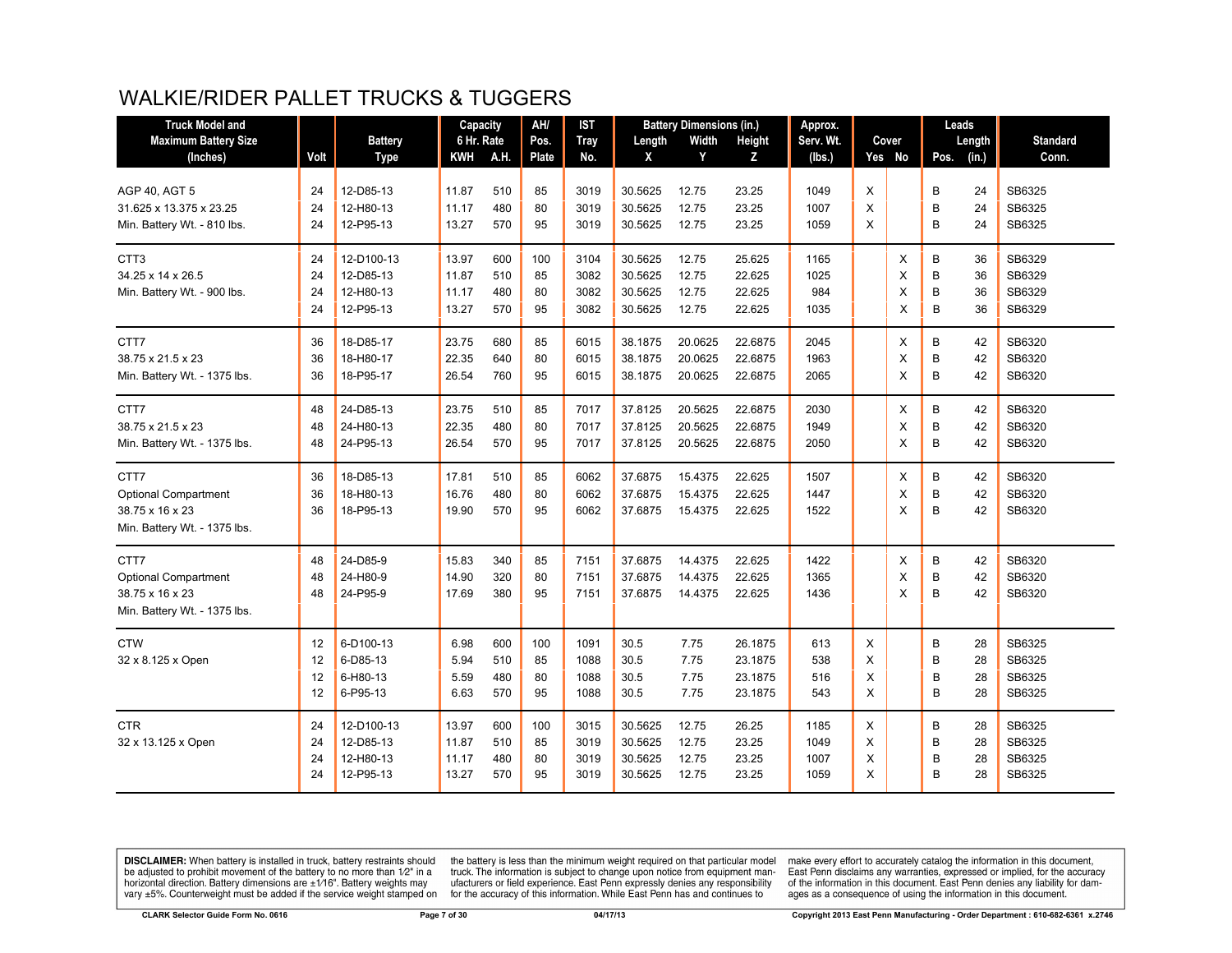# WALKIE/RIDER PALLET TRUCKS & TUGGERS

| <b>Truck Model and</b>       |      |                | Capacity   |             | AH/          | <b>IST</b>  |         | <b>Battery Dimensions (in.)</b> |         | Approx.   |   |        |      | Leads  |                 |
|------------------------------|------|----------------|------------|-------------|--------------|-------------|---------|---------------------------------|---------|-----------|---|--------|------|--------|-----------------|
| <b>Maximum Battery Size</b>  |      | <b>Battery</b> | 6 Hr. Rate |             | Pos.         | <b>Tray</b> | Length  | Width                           | Height  | Serv. Wt. |   | Cover  |      | Length | <b>Standard</b> |
| (Inches)                     | Volt | <b>Type</b>    | KWH        | <b>A.H.</b> | <b>Plate</b> | No.         | X       | Y                               | Z       | (lbs.)    |   | Yes No | Pos. | (in.)  | Conn.           |
|                              |      |                |            |             |              |             |         |                                 |         |           |   |        |      |        |                 |
| AGP 40, AGT 5                | 24   | 12-D85-13      | 11.87      | 510         | 85           | 3019        | 30.5625 | 12.75                           | 23.25   | 1049      | X |        | В    | 24     | SB6325          |
| 31.625 x 13.375 x 23.25      | 24   | 12-H80-13      | 11.17      | 480         | 80           | 3019        | 30.5625 | 12.75                           | 23.25   | 1007      | X |        | B    | 24     | SB6325          |
| Min. Battery Wt. - 810 lbs.  | 24   | 12-P95-13      | 13.27      | 570         | 95           | 3019        | 30.5625 | 12.75                           | 23.25   | 1059      | X |        | B    | 24     | SB6325          |
| CTT <sub>3</sub>             | 24   | 12-D100-13     | 13.97      | 600         | 100          | 3104        | 30.5625 | 12.75                           | 25.625  | 1165      |   | X      | B    | 36     | SB6329          |
| 34.25 x 14 x 26.5            | 24   | 12-D85-13      | 11.87      | 510         | 85           | 3082        | 30.5625 | 12.75                           | 22.625  | 1025      |   | X      | B    | 36     | SB6329          |
| Min. Battery Wt. - 900 lbs.  | 24   | 12-H80-13      | 11.17      | 480         | 80           | 3082        | 30.5625 | 12.75                           | 22.625  | 984       |   | X      | B    | 36     | SB6329          |
|                              | 24   | 12-P95-13      | 13.27      | 570         | 95           | 3082        | 30.5625 | 12.75                           | 22.625  | 1035      |   | X      | B    | 36     | SB6329          |
| CTT7                         | 36   | 18-D85-17      | 23.75      | 680         | 85           | 6015        | 38.1875 | 20.0625                         | 22.6875 | 2045      |   | X      | В    | 42     | SB6320          |
| 38.75 x 21.5 x 23            | 36   | 18-H80-17      | 22.35      | 640         | 80           | 6015        | 38.1875 | 20.0625                         | 22.6875 | 1963      |   | X      | B    | 42     | SB6320          |
| Min. Battery Wt. - 1375 lbs. | 36   | 18-P95-17      | 26.54      | 760         | 95           | 6015        | 38.1875 | 20.0625                         | 22.6875 | 2065      |   | X      | B    | 42     | SB6320          |
| CTT7                         | 48   | 24-D85-13      | 23.75      | 510         | 85           | 7017        | 37.8125 | 20.5625                         | 22.6875 | 2030      |   | X      | B    | 42     | SB6320          |
| 38.75 x 21.5 x 23            | 48   | 24-H80-13      | 22.35      | 480         | 80           | 7017        | 37.8125 | 20.5625                         | 22.6875 | 1949      |   | X      | B    | 42     | SB6320          |
| Min. Battery Wt. - 1375 lbs. | 48   | 24-P95-13      | 26.54      | 570         | 95           | 7017        | 37.8125 | 20.5625                         | 22.6875 | 2050      |   | X      | B    | 42     | SB6320          |
| CTT7                         | 36   | 18-D85-13      | 17.81      | 510         | 85           | 6062        | 37.6875 | 15.4375                         | 22.625  | 1507      |   | X      | В    | 42     | SB6320          |
| <b>Optional Compartment</b>  | 36   | 18-H80-13      | 16.76      | 480         | 80           | 6062        | 37.6875 | 15.4375                         | 22.625  | 1447      |   | X      | B    | 42     | SB6320          |
| 38.75 x 16 x 23              | 36   | 18-P95-13      | 19.90      | 570         | 95           | 6062        | 37.6875 | 15.4375                         | 22.625  | 1522      |   | X      | B    | 42     | SB6320          |
| Min. Battery Wt. - 1375 lbs. |      |                |            |             |              |             |         |                                 |         |           |   |        |      |        |                 |
| CTT7                         | 48   | 24-D85-9       | 15.83      | 340         | 85           | 7151        | 37.6875 | 14.4375                         | 22.625  | 1422      |   | X      | B    | 42     | SB6320          |
| <b>Optional Compartment</b>  | 48   | 24-H80-9       | 14.90      | 320         | 80           | 7151        | 37.6875 | 14.4375                         | 22.625  | 1365      |   | X      | B    | 42     | SB6320          |
| 38.75 x 16 x 23              | 48   | 24-P95-9       | 17.69      | 380         | 95           | 7151        | 37.6875 | 14.4375                         | 22.625  | 1436      |   | X      | B    | 42     | SB6320          |
| Min. Battery Wt. - 1375 lbs. |      |                |            |             |              |             |         |                                 |         |           |   |        |      |        |                 |
| <b>CTW</b>                   | 12   | 6-D100-13      | 6.98       | 600         | 100          | 1091        | 30.5    | 7.75                            | 26.1875 | 613       | X |        | B    | 28     | SB6325          |
| 32 x 8.125 x Open            | 12   | 6-D85-13       | 5.94       | 510         | 85           | 1088        | 30.5    | 7.75                            | 23.1875 | 538       | X |        | B    | 28     | SB6325          |
|                              | 12   | 6-H80-13       | 5.59       | 480         | 80           | 1088        | 30.5    | 7.75                            | 23.1875 | 516       | X |        | B    | 28     | SB6325          |
|                              | 12   | 6-P95-13       | 6.63       | 570         | 95           | 1088        | 30.5    | 7.75                            | 23.1875 | 543       | X |        | B    | 28     | SB6325          |
| <b>CTR</b>                   | 24   | 12-D100-13     | 13.97      | 600         | 100          | 3015        | 30.5625 | 12.75                           | 26.25   | 1185      | X |        | В    | 28     | SB6325          |
| 32 x 13.125 x Open           | 24   | 12-D85-13      | 11.87      | 510         | 85           | 3019        | 30.5625 | 12.75                           | 23.25   | 1049      | X |        | B    | 28     | SB6325          |
|                              | 24   | 12-H80-13      | 11.17      | 480         | 80           | 3019        | 30.5625 | 12.75                           | 23.25   | 1007      | X |        | B    | 28     | SB6325          |
|                              | 24   | 12-P95-13      | 13.27      | 570         | 95           | 3019        | 30.5625 | 12.75                           | 23.25   | 1059      | X |        | B    | 28     | SB6325          |

**DISCLAIMER:** When battery is installed in truck, battery restraints should be adjusted to prohibit movement of the battery to no more than  $1/2$ " in a horizontal direction. Battery dimensions are  $\pm 1/16$ ". Battery weig

the battery is less than the minimum weight required on that particular model<br>truck. The information is subject to change upon notice from equipment man-<br>ufacturers or field experience. East Penn expressly denies any respo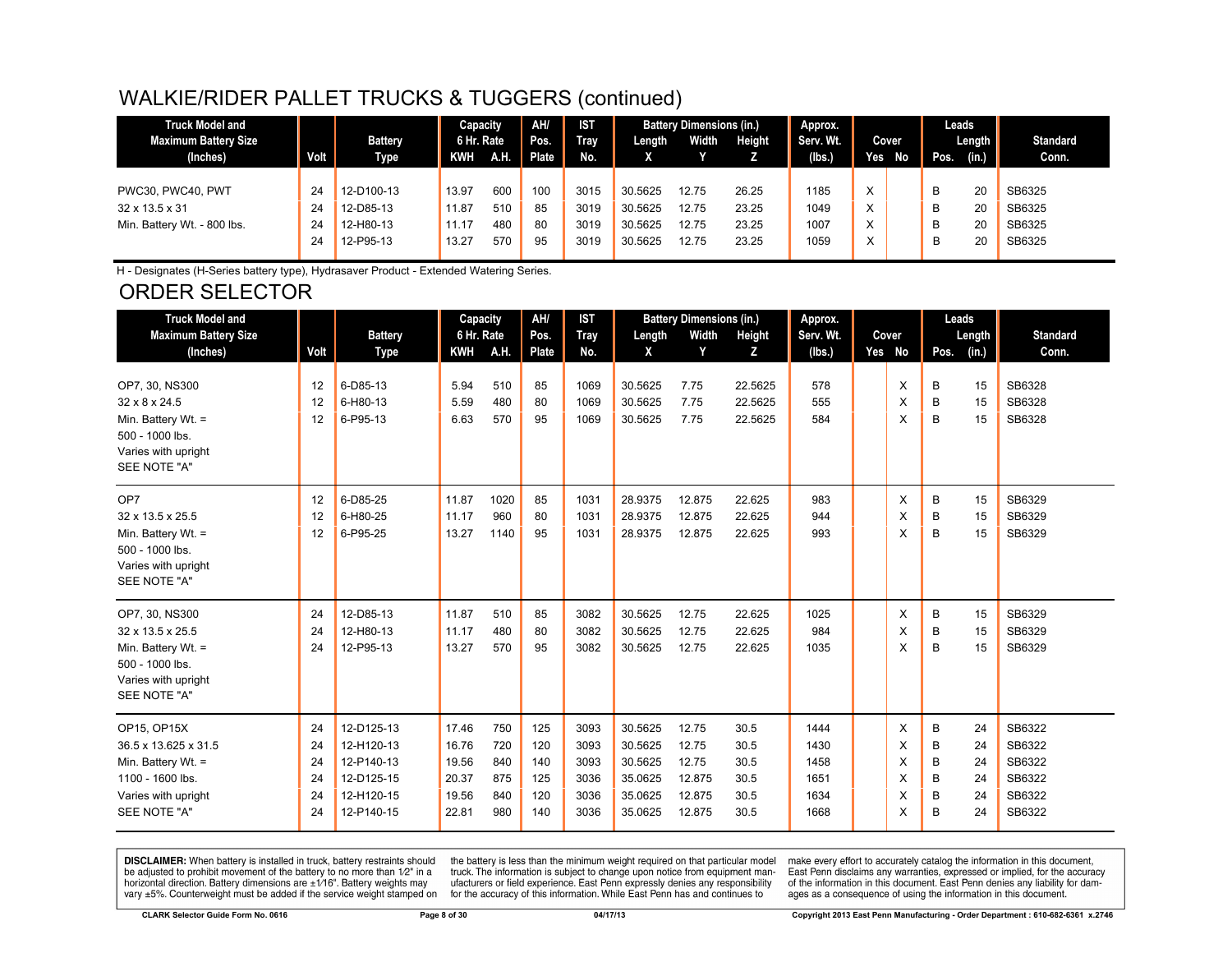# WALKIE/RIDER PALLET TRUCKS & TUGGERS (continued)

| <b>Truck Model and</b>      |      |                | Capacity   |             | AH/   | <b>IST</b> |         | <b>Battery Dimensions (in.)</b> |        | Approx.   |            |                | Leads |        |                 |
|-----------------------------|------|----------------|------------|-------------|-------|------------|---------|---------------------------------|--------|-----------|------------|----------------|-------|--------|-----------------|
| Maximum Battery Size        |      | <b>Battery</b> | 6 Hr. Rate |             | Pos.  | Trav       | Length  | Width                           | Height | Serv. Wt. |            | <b>Cover</b>   |       | Length | <b>Standard</b> |
| (Inches)                    | Volt | <b>Type</b>    | KWH        | <b>TAHA</b> | Plate | No.        |         |                                 |        | (Ibs.)    | <b>Yes</b> | N <sub>o</sub> | Pos.  | (in.)  | Conn.           |
|                             |      |                |            |             |       |            |         |                                 |        |           |            |                |       |        |                 |
| PWC30, PWC40, PWT           | 24   | 12-D100-13     | 13.97      | 600         | 100   | 3015       | 30.5625 | 12.75                           | 26.25  | 1185      | X          |                | В     | 20     | SB6325          |
| 32 x 13.5 x 31              | 24   | 12-D85-13      | 11.87      | 510         | 85    | 3019       | 30.5625 | 12.75                           | 23.25  | 1049      | X          |                | В     | 20     | SB6325          |
| Min. Battery Wt. - 800 lbs. | 24   | 12-H80-13      | 11.17      | 480         | 80    | 3019       | 30.5625 | 12.75                           | 23.25  | 1007      | X          |                | В     | 20     | SB6325          |
|                             | 24   | 12-P95-13      | 13.27      | 570         | 95    | 3019       | 30.5625 | 12.75                           | 23.25  | 1059      | X          |                | в     | 20     | SB6325          |
|                             |      |                |            |             |       |            |         |                                 |        |           |            |                |       |        |                 |

H - Designates (H-Series battery type), Hydrasaver Product - Extended Watering Series.

# ORDER SELECTOR

| <b>Truck Model and</b>      |      |                | Capacity   |             | AH/          | <b>IST</b>  |         | <b>Battery Dimensions (in.)</b> |         | Approx.   |        | Leads         |                 |
|-----------------------------|------|----------------|------------|-------------|--------------|-------------|---------|---------------------------------|---------|-----------|--------|---------------|-----------------|
| <b>Maximum Battery Size</b> |      | <b>Battery</b> | 6 Hr. Rate |             | Pos.         | <b>Tray</b> | Length  | Width                           | Height  | Serv. Wt. | Cover  | Length        | <b>Standard</b> |
| (Inches)                    | Volt | <b>Type</b>    | <b>KWH</b> | <b>A.H.</b> | <b>Plate</b> | No.         | X       | Y                               | z       | (lbs.)    | Yes No | (in.)<br>Pos. | Conn.           |
| OP7, 30, NS300              | 12   | 6-D85-13       | 5.94       | 510         | 85           | 1069        | 30.5625 | 7.75                            | 22.5625 | 578       | X      | B<br>15       | SB6328          |
| $32 \times 8 \times 24.5$   | 12   | 6-H80-13       | 5.59       | 480         | 80           | 1069        | 30.5625 | 7.75                            | 22.5625 | 555       | X      | B<br>15       | SB6328          |
| Min. Battery Wt. =          | 12   | 6-P95-13       | 6.63       | 570         | 95           | 1069        | 30.5625 | 7.75                            | 22.5625 | 584       | X      | B<br>15       | SB6328          |
| $500 - 1000$ lbs.           |      |                |            |             |              |             |         |                                 |         |           |        |               |                 |
| Varies with upright         |      |                |            |             |              |             |         |                                 |         |           |        |               |                 |
| SEE NOTE "A"                |      |                |            |             |              |             |         |                                 |         |           |        |               |                 |
| OP7                         | 12   | 6-D85-25       | 11.87      | 1020        | 85           | 1031        | 28.9375 | 12.875                          | 22.625  | 983       | X      | B<br>15       | SB6329          |
| 32 x 13.5 x 25.5            | 12   | 6-H80-25       | 11.17      | 960         | 80           | 1031        | 28.9375 | 12.875                          | 22.625  | 944       | X      | B<br>15       | SB6329          |
| Min. Battery Wt. =          | 12   | 6-P95-25       | 13.27      | 1140        | 95           | 1031        | 28.9375 | 12.875                          | 22.625  | 993       | X      | B<br>15       | SB6329          |
| 500 - 1000 lbs.             |      |                |            |             |              |             |         |                                 |         |           |        |               |                 |
| Varies with upright         |      |                |            |             |              |             |         |                                 |         |           |        |               |                 |
| SEE NOTE "A"                |      |                |            |             |              |             |         |                                 |         |           |        |               |                 |
| OP7, 30, NS300              | 24   | 12-D85-13      | 11.87      | 510         | 85           | 3082        | 30.5625 | 12.75                           | 22.625  | 1025      | X      | B<br>15       | SB6329          |
| 32 x 13.5 x 25.5            | 24   | 12-H80-13      | 11.17      | 480         | 80           | 3082        | 30.5625 | 12.75                           | 22.625  | 984       | X      | B<br>15       | SB6329          |
| Min. Battery Wt. =          | 24   | 12-P95-13      | 13.27      | 570         | 95           | 3082        | 30.5625 | 12.75                           | 22.625  | 1035      | X      | B<br>15       | SB6329          |
| 500 - 1000 lbs.             |      |                |            |             |              |             |         |                                 |         |           |        |               |                 |
| Varies with upright         |      |                |            |             |              |             |         |                                 |         |           |        |               |                 |
| SEE NOTE "A"                |      |                |            |             |              |             |         |                                 |         |           |        |               |                 |
| OP15, OP15X                 | 24   | 12-D125-13     | 17.46      | 750         | 125          | 3093        | 30.5625 | 12.75                           | 30.5    | 1444      | X      | B<br>24       | SB6322          |
| 36.5 x 13.625 x 31.5        | 24   | 12-H120-13     | 16.76      | 720         | 120          | 3093        | 30.5625 | 12.75                           | 30.5    | 1430      | X      | B<br>24       | SB6322          |
| Min. Battery Wt. =          | 24   | 12-P140-13     | 19.56      | 840         | 140          | 3093        | 30.5625 | 12.75                           | 30.5    | 1458      | X      | B<br>24       | SB6322          |
| 1100 - 1600 lbs.            | 24   | 12-D125-15     | 20.37      | 875         | 125          | 3036        | 35.0625 | 12.875                          | 30.5    | 1651      | X      | B<br>24       | SB6322          |
| Varies with upright         | 24   | 12-H120-15     | 19.56      | 840         | 120          | 3036        | 35.0625 | 12.875                          | 30.5    | 1634      | X      | B<br>24       | SB6322          |
| SEE NOTE "A"                | 24   | 12-P140-15     | 22.81      | 980         | 140          | 3036        | 35.0625 | 12.875                          | 30.5    | 1668      | X      | B<br>24       | SB6322          |

**DISCLAIMER:** When battery is installed in truck, battery restraints should be adjusted to prohibit movement of the battery to no more than 1/2" in a horizontal direction. Battery dimensions are  $\pm 1/16$ ". Battery weights vary ±5%. Counterweight must be added if the service weight stamped on

the battery is less than the minimum weight required on that particular model<br>truck. The information is subject to change upon notice from equipment manufacturers or field experience. East Penn expressly denies any responsibility for the accuracy of this information. While East Penn has and continues to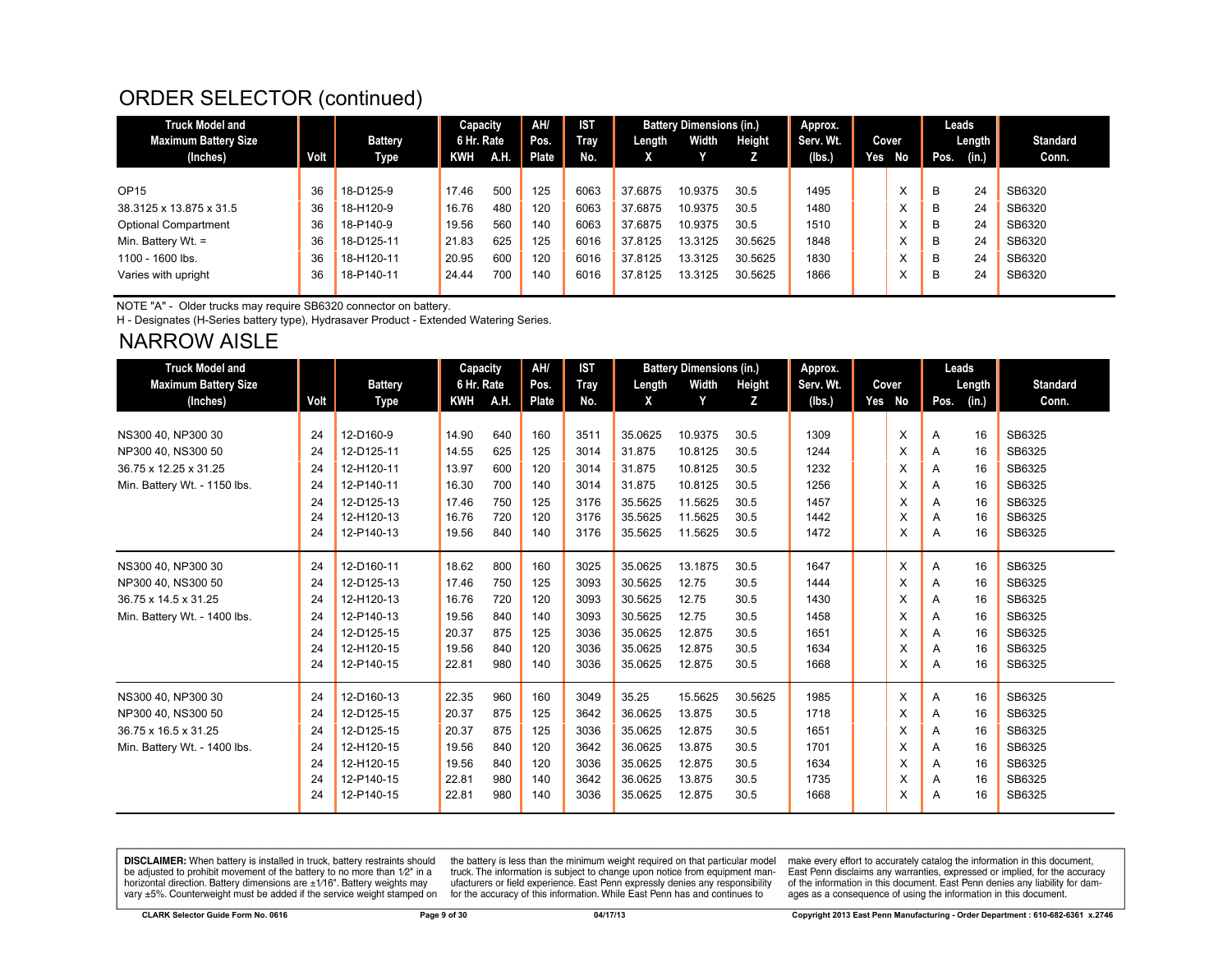#### ORDER SELECTOR (continued)

| <b>Truck Model and</b>      |      |            | Capacity   |      | AH/   | IST  |         | <b>Battery Dimensions (in.)</b> |         | Approx.   |     |       |      | Leads  |                 |
|-----------------------------|------|------------|------------|------|-------|------|---------|---------------------------------|---------|-----------|-----|-------|------|--------|-----------------|
| Maximum Battery Size        |      | Battery    | 6 Hr. Rate |      | Pos.  | Trav | Length  | Width                           | Height  | Serv. Wt. |     | Cover |      | Length | <b>Standard</b> |
| (Inches)                    | Volt | Type       | <b>KWH</b> | A.H. | Plate | No.  | Χ       |                                 |         | (lbs.)    | Yes | No    | Pos. | (in.)  | Conn.           |
|                             |      |            |            |      |       |      |         |                                 |         |           |     |       |      |        |                 |
| OP15                        | 36   | 18-D125-9  | 17.46      | 500  | 125   | 6063 | 37.6875 | 10.9375                         | 30.5    | 1495      |     |       | B    | 24     | SB6320          |
| 38.3125 x 13.875 x 31.5     | 36   | 18-H120-9  | 16.76      | 480  | 120   | 6063 | 37.6875 | 10.9375                         | 30.5    | 1480      |     |       | B    | 24     | SB6320          |
| <b>Optional Compartment</b> | 36   | 18-P140-9  | 19.56      | 560  | 140   | 6063 | 37.6875 | 10.9375                         | 30.5    | 1510      |     |       | B    | 24     | SB6320          |
| Min. Battery Wt. $=$        | 36   | 18-D125-11 | 21.83      | 625  | 125   | 6016 | 37.8125 | 13.3125                         | 30.5625 | 1848      |     |       | B    | 24     | SB6320          |
| 1100 - 1600 lbs.            | 36   | 18-H120-11 | 20.95      | 600  | 120   | 6016 | 37.8125 | 13.3125                         | 30.5625 | 1830      |     |       | B    | 24     | SB6320          |
| Varies with upright         | 36   | 18-P140-11 | 24.44      | 700  | 140   | 6016 | 37.8125 | 13.3125                         | 30.5625 | 1866      |     |       | B    | 24     | SB6320          |
|                             |      |            |            |      |       |      |         |                                 |         |           |     |       |      |        |                 |

NOTE "A" - Older trucks may require SB6320 connector on battery.

H - Designates (H-Series battery type), Hydrasaver Product - Extended Watering Series.

#### NARROW AISLE

| <b>Truck Model and</b>       |      |                | Capacity   |      | AH/   | <b>IST</b>  |         | <b>Battery Dimensions (in.)</b> |         | Approx.   |     |       | Leads |        |                 |
|------------------------------|------|----------------|------------|------|-------|-------------|---------|---------------------------------|---------|-----------|-----|-------|-------|--------|-----------------|
| <b>Maximum Battery Size</b>  |      | <b>Battery</b> | 6 Hr. Rate |      | Pos.  | <b>Tray</b> | Length  | Width                           | Height  | Serv. Wt. |     | Cover |       | Length | <b>Standard</b> |
| (Inches)                     | Volt | <b>Type</b>    | <b>KWH</b> | A.H. | Plate | No.         | X       | Y                               | z       | (lbs.)    | Yes | No    | Pos.  | (in.)  | Conn.           |
|                              |      |                |            |      |       |             |         |                                 |         |           |     |       |       |        |                 |
| NS300 40, NP300 30           | 24   | 12-D160-9      | 14.90      | 640  | 160   | 3511        | 35.0625 | 10.9375                         | 30.5    | 1309      |     | X     | Α     | 16     | SB6325          |
| NP300 40, NS300 50           | 24   | 12-D125-11     | 14.55      | 625  | 125   | 3014        | 31.875  | 10.8125                         | 30.5    | 1244      |     | X     | Α     | 16     | SB6325          |
| 36.75 x 12.25 x 31.25        | 24   | 12-H120-11     | 13.97      | 600  | 120   | 3014        | 31.875  | 10.8125                         | 30.5    | 1232      |     | X     | Α     | 16     | SB6325          |
| Min. Battery Wt. - 1150 lbs. | 24   | 12-P140-11     | 16.30      | 700  | 140   | 3014        | 31.875  | 10.8125                         | 30.5    | 1256      |     | X     | A     | 16     | SB6325          |
|                              | 24   | 12-D125-13     | 17.46      | 750  | 125   | 3176        | 35.5625 | 11.5625                         | 30.5    | 1457      |     | X     | A     | 16     | SB6325          |
|                              | 24   | 12-H120-13     | 16.76      | 720  | 120   | 3176        | 35.5625 | 11.5625                         | 30.5    | 1442      |     | X     | A     | 16     | SB6325          |
|                              | 24   | 12-P140-13     | 19.56      | 840  | 140   | 3176        | 35.5625 | 11.5625                         | 30.5    | 1472      |     | X     | A     | 16     | SB6325          |
| NS300 40, NP300 30           | 24   | 12-D160-11     | 18.62      | 800  | 160   | 3025        | 35.0625 | 13.1875                         | 30.5    | 1647      |     | X     | A     | 16     | SB6325          |
| NP300 40, NS300 50           | 24   | 12-D125-13     | 17.46      | 750  | 125   | 3093        | 30.5625 | 12.75                           | 30.5    | 1444      |     | X     | A     | 16     | SB6325          |
| 36.75 x 14.5 x 31.25         | 24   | 12-H120-13     | 16.76      | 720  | 120   | 3093        | 30.5625 | 12.75                           | 30.5    | 1430      |     | X     | Α     | 16     | SB6325          |
| Min. Battery Wt. - 1400 lbs. | 24   | 12-P140-13     | 19.56      | 840  | 140   | 3093        | 30.5625 | 12.75                           | 30.5    | 1458      |     | X     | A     | 16     | SB6325          |
|                              | 24   | 12-D125-15     | 20.37      | 875  | 125   | 3036        | 35.0625 | 12.875                          | 30.5    | 1651      |     | X     | A     | 16     | SB6325          |
|                              | 24   | 12-H120-15     | 19.56      | 840  | 120   | 3036        | 35.0625 | 12.875                          | 30.5    | 1634      |     | X     | A     | 16     | SB6325          |
|                              | 24   | 12-P140-15     | 22.81      | 980  | 140   | 3036        | 35.0625 | 12.875                          | 30.5    | 1668      |     | X     | A     | 16     | SB6325          |
| NS300 40, NP300 30           | 24   | 12-D160-13     | 22.35      | 960  | 160   | 3049        | 35.25   | 15.5625                         | 30.5625 | 1985      |     | X     | Α     | 16     | SB6325          |
| NP300 40, NS300 50           | 24   | 12-D125-15     | 20.37      | 875  | 125   | 3642        | 36.0625 | 13.875                          | 30.5    | 1718      |     | X     | Α     | 16     | SB6325          |
| 36.75 x 16.5 x 31.25         | 24   | 12-D125-15     | 20.37      | 875  | 125   | 3036        | 35.0625 | 12.875                          | 30.5    | 1651      |     | X     | A     | 16     | SB6325          |
| Min. Battery Wt. - 1400 lbs. | 24   | 12-H120-15     | 19.56      | 840  | 120   | 3642        | 36.0625 | 13.875                          | 30.5    | 1701      |     | X     | A     | 16     | SB6325          |
|                              | 24   | 12-H120-15     | 19.56      | 840  | 120   | 3036        | 35.0625 | 12.875                          | 30.5    | 1634      |     | X     | A     | 16     | SB6325          |
|                              | 24   | 12-P140-15     | 22.81      | 980  | 140   | 3642        | 36.0625 | 13.875                          | 30.5    | 1735      |     | X     | Α     | 16     | SB6325          |
|                              | 24   | 12-P140-15     | 22.81      | 980  | 140   | 3036        | 35.0625 | 12.875                          | 30.5    | 1668      |     | X     | A     | 16     | SB6325          |

**DISCLAIMER:** When battery is installed in truck, battery restraints should be adjusted to prohibit movement of the battery to no more than  $12^v$  in a horizontal direction. Battery dimensions are  $\pm 1/16^v$ . Battery wei

the battery is less than the minimum weight required on that particular model<br>truck. The information is subject to change upon notice from equipment manufacturers or field experience. East Penn expressly denies any responsibility for the accuracy of this information. While East Penn has and continues to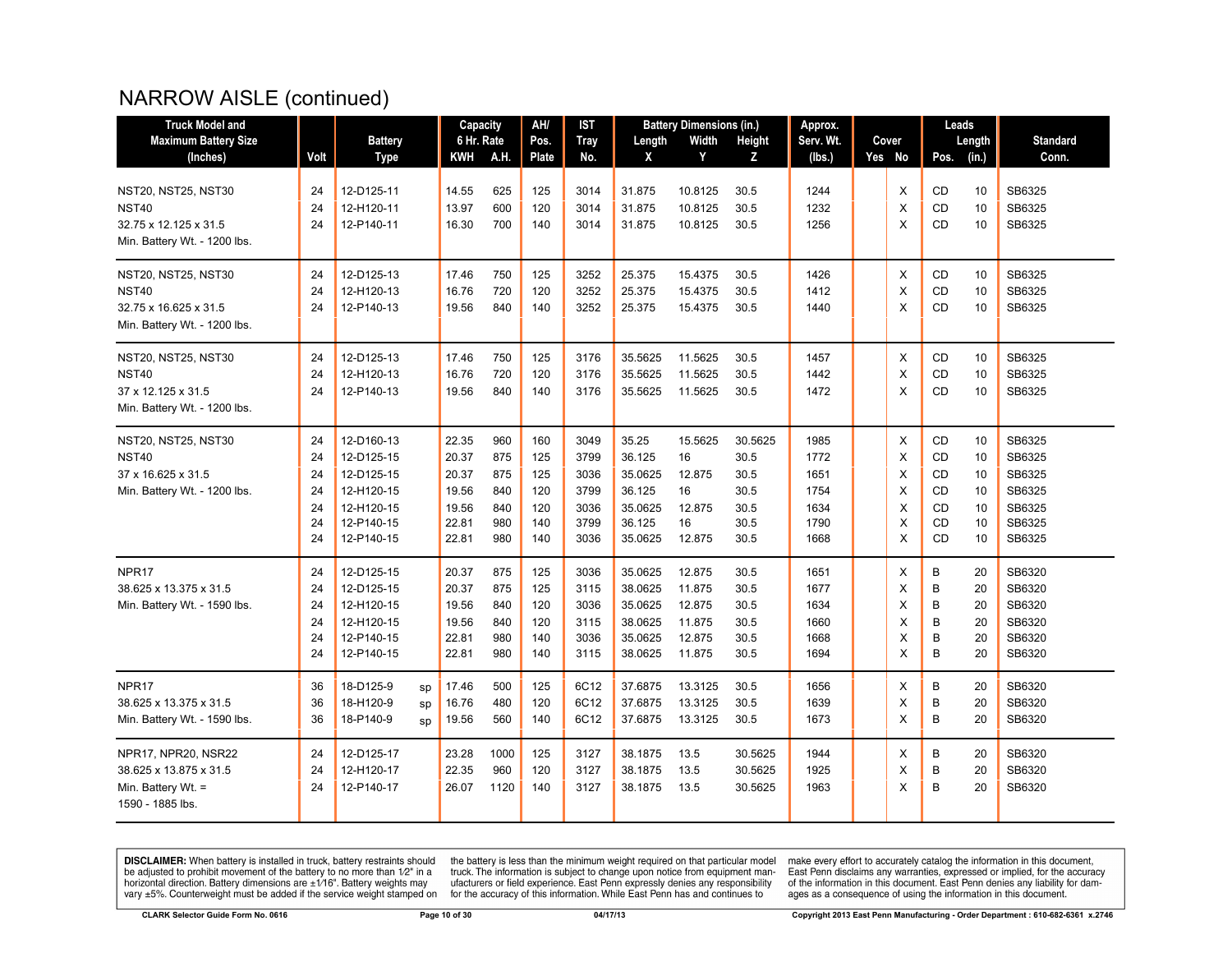# NARROW AISLE (continued)

| <b>Truck Model and</b>                                                                              |                                        |                                                                                                |                | Capacity                                                    |                                               | AH/                                           | IST                                                  |                                                                      | <b>Battery Dimensions (in.)</b>                          |                                                         | Approx.                                              |                                  | Leads                                                              |                                        |                                                                    |
|-----------------------------------------------------------------------------------------------------|----------------------------------------|------------------------------------------------------------------------------------------------|----------------|-------------------------------------------------------------|-----------------------------------------------|-----------------------------------------------|------------------------------------------------------|----------------------------------------------------------------------|----------------------------------------------------------|---------------------------------------------------------|------------------------------------------------------|----------------------------------|--------------------------------------------------------------------|----------------------------------------|--------------------------------------------------------------------|
| <b>Maximum Battery Size</b>                                                                         |                                        | <b>Battery</b>                                                                                 |                | 6 Hr. Rate                                                  |                                               | Pos.                                          | <b>Tray</b>                                          | Length                                                               | Width                                                    | Height                                                  | Serv. Wt.                                            | Cover                            |                                                                    | Length                                 | <b>Standard</b>                                                    |
| (Inches)                                                                                            | Volt                                   | Type                                                                                           |                | KWH                                                         | A.H.                                          | Plate                                         | No.                                                  | X                                                                    | Y                                                        | z                                                       | (lbs.)                                               | Yes No                           | Pos.                                                               | (in.)                                  | Conn.                                                              |
| <b>NST20, NST25, NST30</b><br><b>NST40</b><br>32.75 x 12.125 x 31.5<br>Min. Battery Wt. - 1200 lbs. | 24<br>24<br>24                         | 12-D125-11<br>12-H120-11<br>12-P140-11                                                         |                | 14.55<br>13.97<br>16.30                                     | 625<br>600<br>700                             | 125<br>120<br>140                             | 3014<br>3014<br>3014                                 | 31.875<br>31.875<br>31.875                                           | 10.8125<br>10.8125<br>10.8125                            | 30.5<br>30.5<br>30.5                                    | 1244<br>1232<br>1256                                 | X<br>$\times$<br>$\times$        | CD<br><b>CD</b><br>CD                                              | 10<br>10<br>10                         | SB6325<br>SB6325<br>SB6325                                         |
| <b>NST20, NST25, NST30</b><br><b>NST40</b><br>32.75 x 16.625 x 31.5<br>Min. Battery Wt. - 1200 lbs. | 24<br>24<br>24                         | 12-D125-13<br>12-H120-13<br>12-P140-13                                                         |                | 17.46<br>16.76<br>19.56                                     | 750<br>720<br>840                             | 125<br>120<br>140                             | 3252<br>3252<br>3252                                 | 25.375<br>25.375<br>25.375                                           | 15.4375<br>15.4375<br>15.4375                            | 30.5<br>30.5<br>30.5                                    | 1426<br>1412<br>1440                                 | Χ<br>X<br>$\times$               | CD<br>CD<br>CD                                                     | 10<br>10<br>10                         | SB6325<br>SB6325<br>SB6325                                         |
| <b>NST20, NST25, NST30</b><br><b>NST40</b><br>37 x 12.125 x 31.5<br>Min. Battery Wt. - 1200 lbs.    | 24<br>24<br>24                         | 12-D125-13<br>12-H120-13<br>12-P140-13                                                         |                | 17.46<br>16.76<br>19.56                                     | 750<br>720<br>840                             | 125<br>120<br>140                             | 3176<br>3176<br>3176                                 | 35.5625<br>35.5625<br>35.5625                                        | 11.5625<br>11.5625<br>11.5625                            | 30.5<br>30.5<br>30.5                                    | 1457<br>1442<br>1472                                 | X<br>X<br>$\times$               | CD<br>CD<br><b>CD</b>                                              | 10<br>10<br>10                         | SB6325<br>SB6325<br>SB6325                                         |
| <b>NST20, NST25, NST30</b><br><b>NST40</b><br>37 x 16.625 x 31.5<br>Min. Battery Wt. - 1200 lbs.    | 24<br>24<br>24<br>24<br>24<br>24<br>24 | 12-D160-13<br>12-D125-15<br>12-D125-15<br>12-H120-15<br>12-H120-15<br>12-P140-15<br>12-P140-15 |                | 22.35<br>20.37<br>20.37<br>19.56<br>19.56<br>22.81<br>22.81 | 960<br>875<br>875<br>840<br>840<br>980<br>980 | 160<br>125<br>125<br>120<br>120<br>140<br>140 | 3049<br>3799<br>3036<br>3799<br>3036<br>3799<br>3036 | 35.25<br>36.125<br>35.0625<br>36.125<br>35.0625<br>36.125<br>35.0625 | 15.5625<br>16<br>12.875<br>16<br>12.875<br>16<br>12.875  | 30.5625<br>30.5<br>30.5<br>30.5<br>30.5<br>30.5<br>30.5 | 1985<br>1772<br>1651<br>1754<br>1634<br>1790<br>1668 | X<br>X<br>X<br>X<br>X<br>X<br>X  | <b>CD</b><br>CD<br><b>CD</b><br>CD<br><b>CD</b><br>CD<br><b>CD</b> | 10<br>10<br>10<br>10<br>10<br>10<br>10 | SB6325<br>SB6325<br>SB6325<br>SB6325<br>SB6325<br>SB6325<br>SB6325 |
| NPR <sub>17</sub><br>38.625 x 13.375 x 31.5<br>Min. Battery Wt. - 1590 lbs.                         | 24<br>24<br>24<br>24<br>24<br>24       | 12-D125-15<br>12-D125-15<br>12-H120-15<br>12-H120-15<br>12-P140-15<br>12-P140-15               |                | 20.37<br>20.37<br>19.56<br>19.56<br>22.81<br>22.81          | 875<br>875<br>840<br>840<br>980<br>980        | 125<br>125<br>120<br>120<br>140<br>140        | 3036<br>3115<br>3036<br>3115<br>3036<br>3115         | 35.0625<br>38.0625<br>35.0625<br>38.0625<br>35.0625<br>38.0625       | 12.875<br>11.875<br>12.875<br>11.875<br>12.875<br>11.875 | 30.5<br>30.5<br>30.5<br>30.5<br>30.5<br>30.5            | 1651<br>1677<br>1634<br>1660<br>1668<br>1694         | X<br>X<br>X<br>X<br>X<br>X       | B<br>B<br>B<br>B<br>B<br>B                                         | 20<br>20<br>20<br>20<br>20<br>20       | SB6320<br>SB6320<br>SB6320<br>SB6320<br>SB6320<br>SB6320           |
| NPR <sub>17</sub><br>38.625 x 13.375 x 31.5<br>Min. Battery Wt. - 1590 lbs.                         | 36<br>36<br>36                         | 18-D125-9<br>18-H120-9<br>18-P140-9                                                            | sp<br>SD<br>SD | 17.46<br>16.76<br>19.56                                     | 500<br>480<br>560                             | 125<br>120<br>140                             | 6C12<br>6C12<br>6C12                                 | 37.6875<br>37.6875<br>37.6875                                        | 13.3125<br>13.3125<br>13.3125                            | 30.5<br>30.5<br>30.5                                    | 1656<br>1639<br>1673                                 | Х<br>X<br>X                      | B<br>B<br>B                                                        | 20<br>20<br>20                         | SB6320<br>SB6320<br>SB6320                                         |
| NPR17, NPR20, NSR22<br>38.625 x 13.875 x 31.5<br>Min. Battery Wt. =<br>1590 - 1885 lbs.             | 24<br>24<br>24                         | 12-D125-17<br>12-H120-17<br>12-P140-17                                                         |                | 23.28<br>22.35<br>26.07                                     | 1000<br>960<br>1120                           | 125<br>120<br>140                             | 3127<br>3127<br>3127                                 | 38.1875<br>38.1875<br>38.1875                                        | 13.5<br>13.5<br>13.5                                     | 30.5625<br>30.5625<br>30.5625                           | 1944<br>1925<br>1963                                 | $\times$<br>$\times$<br>$\times$ | B<br>B<br>B                                                        | 20<br>20<br>20                         | SB6320<br>SB6320<br>SB6320                                         |

**DISCLAIMER:** When battery is installed in truck, battery restraints should be adjusted to prohibit movement of the battery to no more than  $1/2$ " in a horizontal direction. Battery dimensions are  $\pm 1/16$ ". Battery weig

the battery is less than the minimum weight required on that particular model<br>truck. The information is subject to change upon notice from equipment man-<br>ufacturers or field experience. East Penn expressly denies any respo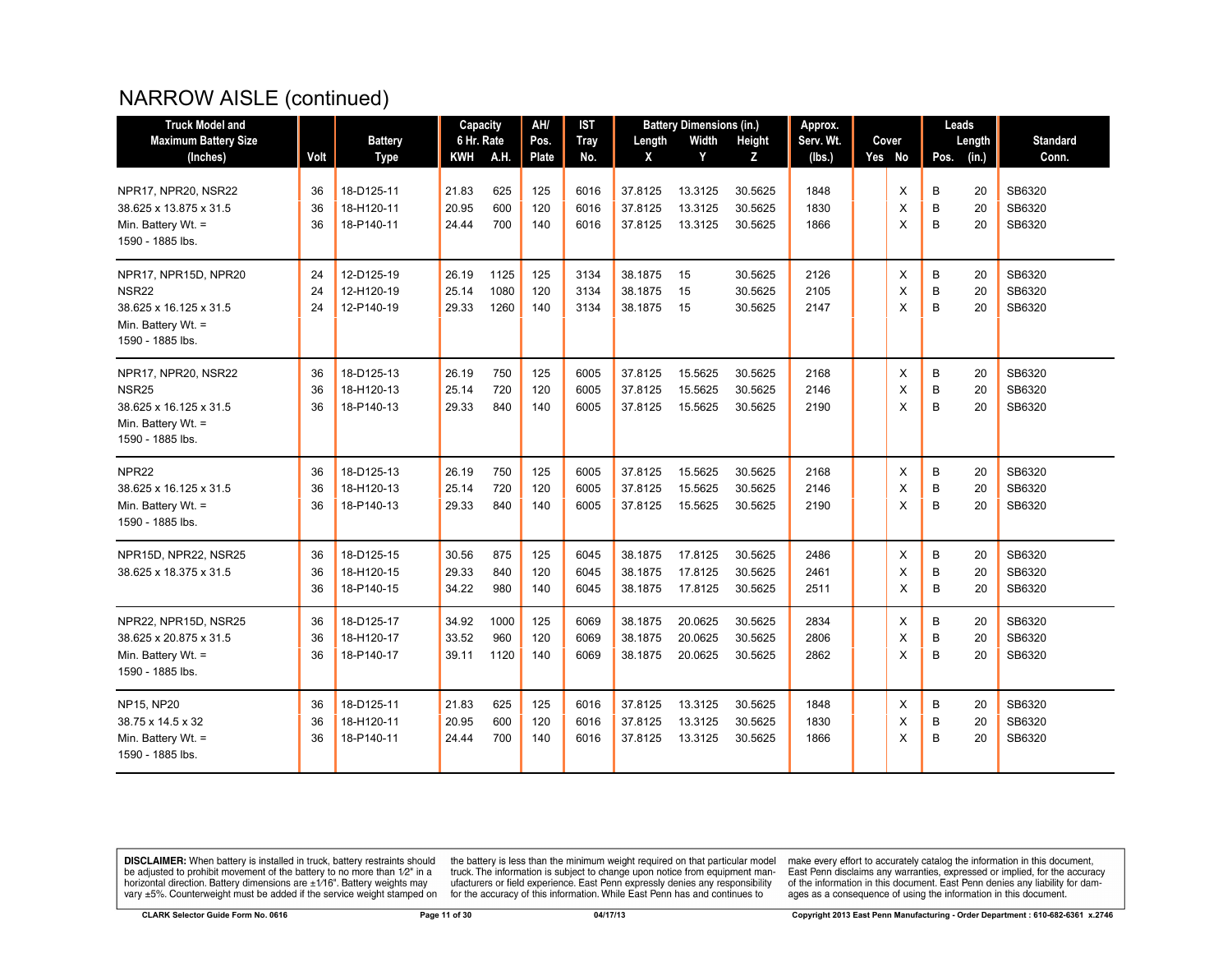# NARROW AISLE (continued)

| <b>Truck Model and</b>                                                                                  |                |                                        | Capacity                |                     | AH/               | <b>IST</b>           |                               | <b>Battery Dimensions (in.)</b> |                               | Approx.              |             | Leads       |                |                            |
|---------------------------------------------------------------------------------------------------------|----------------|----------------------------------------|-------------------------|---------------------|-------------------|----------------------|-------------------------------|---------------------------------|-------------------------------|----------------------|-------------|-------------|----------------|----------------------------|
| <b>Maximum Battery Size</b>                                                                             |                | <b>Battery</b>                         | 6 Hr. Rate              |                     | Pos.              | <b>Tray</b>          | Length                        | Width                           | Height                        | Serv. Wt.            | Cover       |             | Length         | <b>Standard</b>            |
| (Inches)                                                                                                | Volt           | <b>Type</b>                            | KWH                     | A.H.                | Plate             | No.                  | X                             | Y                               | z                             | (lbs.)               | Yes No      | Pos.        | (in.)          | Conn.                      |
| NPR17, NPR20, NSR22<br>38.625 x 13.875 x 31.5                                                           | 36<br>36       | 18-D125-11<br>18-H120-11               | 21.83<br>20.95          | 625<br>600          | 125<br>120        | 6016<br>6016         | 37.8125<br>37.8125            | 13.3125<br>13.3125              | 30.5625<br>30.5625            | 1848<br>1830         | X<br>X      | B<br>B      | 20<br>20       | SB6320<br>SB6320           |
| Min. Battery Wt. =<br>1590 - 1885 lbs.                                                                  | 36             | 18-P140-11                             | 24.44                   | 700                 | 140               | 6016                 | 37.8125                       | 13.3125                         | 30.5625                       | 1866                 | X           | B           | 20             | SB6320                     |
| NPR17, NPR15D, NPR20                                                                                    | 24             | 12-D125-19                             | 26.19                   | 1125                | 125               | 3134                 | 38.1875                       | 15                              | 30.5625                       | 2126                 | X           | B           | 20             | SB6320                     |
| <b>NSR22</b><br>38.625 x 16.125 x 31.5<br>Min. Battery Wt. $=$<br>1590 - 1885 lbs.                      | 24<br>24       | 12-H120-19<br>12-P140-19               | 25.14<br>29.33          | 1080<br>1260        | 120<br>140        | 3134<br>3134         | 38.1875<br>38.1875            | 15<br>15                        | 30.5625<br>30.5625            | 2105<br>2147         | X<br>X      | B<br>B      | 20<br>20       | SB6320<br>SB6320           |
| NPR17, NPR20, NSR22<br><b>NSR25</b><br>38.625 x 16.125 x 31.5<br>Min. Battery Wt. =<br>1590 - 1885 lbs. | 36<br>36<br>36 | 18-D125-13<br>18-H120-13<br>18-P140-13 | 26.19<br>25.14<br>29.33 | 750<br>720<br>840   | 125<br>120<br>140 | 6005<br>6005<br>6005 | 37.8125<br>37.8125<br>37.8125 | 15.5625<br>15.5625<br>15.5625   | 30.5625<br>30.5625<br>30.5625 | 2168<br>2146<br>2190 | X<br>X<br>X | B<br>B<br>B | 20<br>20<br>20 | SB6320<br>SB6320<br>SB6320 |
| NPR <sub>22</sub><br>38.625 x 16.125 x 31.5<br>Min. Battery Wt. =<br>1590 - 1885 lbs.                   | 36<br>36<br>36 | 18-D125-13<br>18-H120-13<br>18-P140-13 | 26.19<br>25.14<br>29.33 | 750<br>720<br>840   | 125<br>120<br>140 | 6005<br>6005<br>6005 | 37.8125<br>37.8125<br>37.8125 | 15.5625<br>15.5625<br>15.5625   | 30.5625<br>30.5625<br>30.5625 | 2168<br>2146<br>2190 | X<br>X<br>X | B<br>B<br>B | 20<br>20<br>20 | SB6320<br>SB6320<br>SB6320 |
| NPR15D, NPR22, NSR25<br>38.625 x 18.375 x 31.5                                                          | 36<br>36<br>36 | 18-D125-15<br>18-H120-15<br>18-P140-15 | 30.56<br>29.33<br>34.22 | 875<br>840<br>980   | 125<br>120<br>140 | 6045<br>6045<br>6045 | 38.1875<br>38.1875<br>38.1875 | 17.8125<br>17.8125<br>17.8125   | 30.5625<br>30.5625<br>30.5625 | 2486<br>2461<br>2511 | X<br>X<br>X | B<br>B<br>B | 20<br>20<br>20 | SB6320<br>SB6320<br>SB6320 |
| NPR22, NPR15D, NSR25<br>38.625 x 20.875 x 31.5<br>Min. Battery Wt. =<br>1590 - 1885 lbs.                | 36<br>36<br>36 | 18-D125-17<br>18-H120-17<br>18-P140-17 | 34.92<br>33.52<br>39.11 | 1000<br>960<br>1120 | 125<br>120<br>140 | 6069<br>6069<br>6069 | 38.1875<br>38.1875<br>38.1875 | 20.0625<br>20.0625<br>20.0625   | 30.5625<br>30.5625<br>30.5625 | 2834<br>2806<br>2862 | X<br>X<br>X | В<br>B<br>B | 20<br>20<br>20 | SB6320<br>SB6320<br>SB6320 |
| <b>NP15, NP20</b><br>38.75 x 14.5 x 32<br>Min. Battery Wt. =<br>1590 - 1885 lbs.                        | 36<br>36<br>36 | 18-D125-11<br>18-H120-11<br>18-P140-11 | 21.83<br>20.95<br>24.44 | 625<br>600<br>700   | 125<br>120<br>140 | 6016<br>6016<br>6016 | 37.8125<br>37.8125<br>37.8125 | 13.3125<br>13.3125<br>13.3125   | 30.5625<br>30.5625<br>30.5625 | 1848<br>1830<br>1866 | Х<br>X<br>X | В<br>B<br>B | 20<br>20<br>20 | SB6320<br>SB6320<br>SB6320 |

**DISCLAIMER:** When battery is installed in truck, battery restraints should be adjusted to prohibit movement of the battery to no more than  $1/2$ " in a horizontal direction. Battery dimensions are  $\pm 1/16$ ". Battery weig

the battery is less than the minimum weight required on that particular model<br>truck. The information is subject to change upon notice from equipment man-<br>ufacturers or field experience. East Penn expressly denies any respo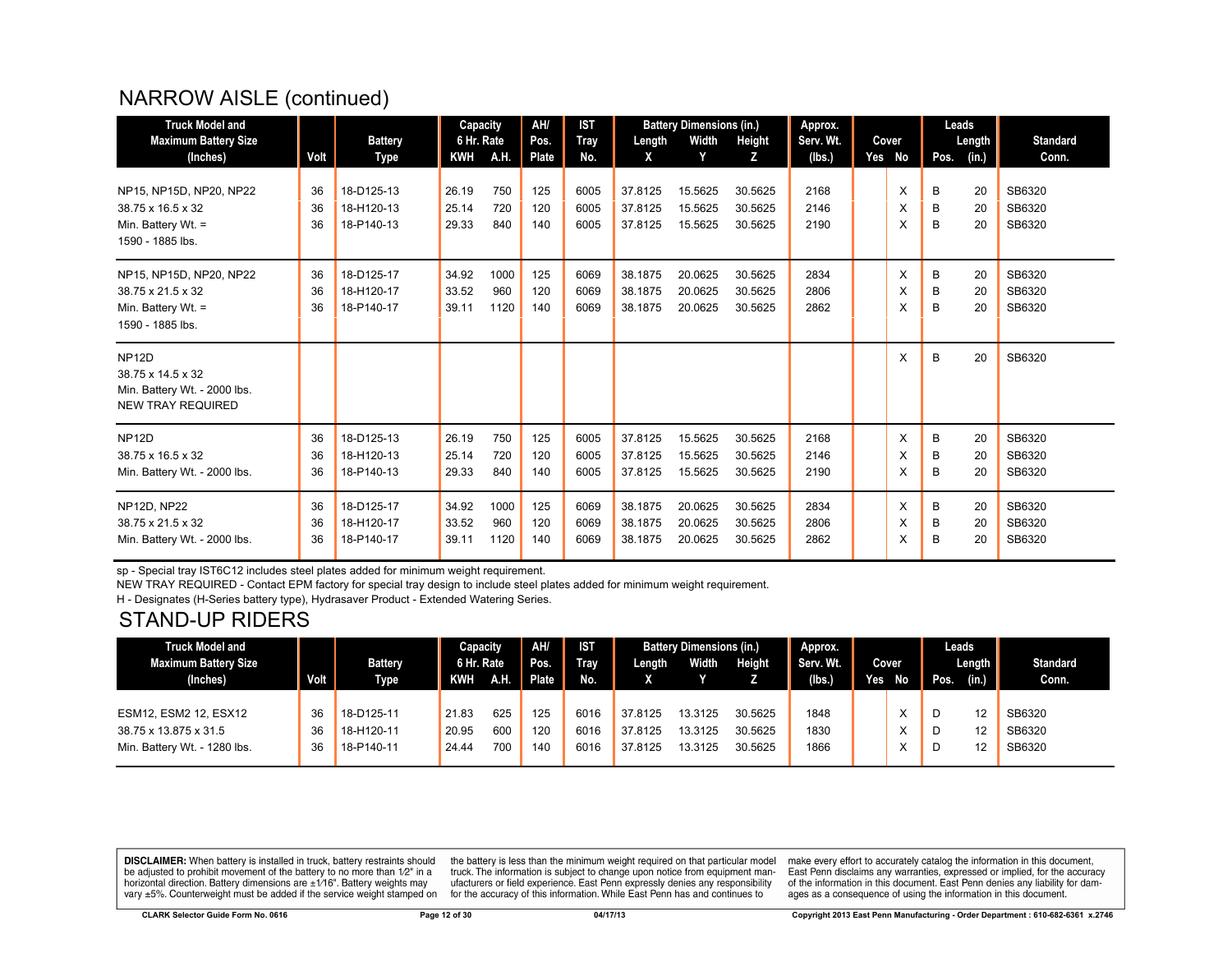# NARROW AISLE (continued)

| <b>Truck Model and</b>       |      |                | Capacity   |      | AH/   | <b>IST</b>  |         | <b>Battery Dimensions (in.)</b> |         | Approx.   |        | Leads |        |                 |
|------------------------------|------|----------------|------------|------|-------|-------------|---------|---------------------------------|---------|-----------|--------|-------|--------|-----------------|
| <b>Maximum Battery Size</b>  |      | <b>Battery</b> | 6 Hr. Rate |      | Pos.  | <b>Tray</b> | Length  | Width                           | Height  | Serv. Wt. | Cover  |       | Length | <b>Standard</b> |
| (Inches)                     | Volt | Type           | <b>KWH</b> | A.H. | Plate | No.         | X       | Y                               | Z       | (lbs.)    | Yes No | Pos.  | (in.)  | Conn.           |
|                              |      |                |            |      |       |             |         |                                 |         |           |        |       |        |                 |
| NP15, NP15D, NP20, NP22      | 36   | 18-D125-13     | 26.19      | 750  | 125   | 6005        | 37.8125 | 15.5625                         | 30.5625 | 2168      | X      | B     | 20     | SB6320          |
| 38.75 x 16.5 x 32            | 36   | 18-H120-13     | 25.14      | 720  | 120   | 6005        | 37.8125 | 15.5625                         | 30.5625 | 2146      | X      | B     | 20     | SB6320          |
| Min. Battery Wt. $=$         | 36   | 18-P140-13     | 29.33      | 840  | 140   | 6005        | 37.8125 | 15.5625                         | 30.5625 | 2190      | X      | B     | 20     | SB6320          |
| 1590 - 1885 lbs.             |      |                |            |      |       |             |         |                                 |         |           |        |       |        |                 |
| NP15, NP15D, NP20, NP22      | 36   | 18-D125-17     | 34.92      | 1000 | 125   | 6069        | 38.1875 | 20.0625                         | 30.5625 | 2834      | X      | B     | 20     | SB6320          |
| 38.75 x 21.5 x 32            | 36   | 18-H120-17     | 33.52      | 960  | 120   | 6069        | 38.1875 | 20.0625                         | 30.5625 | 2806      | X      | B     | 20     | SB6320          |
| Min. Battery Wt. =           | 36   | 18-P140-17     | 39.11      | 1120 | 140   | 6069        | 38.1875 | 20.0625                         | 30.5625 | 2862      | X      | B     | 20     | SB6320          |
| 1590 - 1885 lbs.             |      |                |            |      |       |             |         |                                 |         |           |        |       |        |                 |
|                              |      |                |            |      |       |             |         |                                 |         |           |        |       |        |                 |
| NP <sub>12D</sub>            |      |                |            |      |       |             |         |                                 |         |           | X      | B     | 20     | SB6320          |
| 38.75 x 14.5 x 32            |      |                |            |      |       |             |         |                                 |         |           |        |       |        |                 |
| Min. Battery Wt. - 2000 lbs. |      |                |            |      |       |             |         |                                 |         |           |        |       |        |                 |
| <b>NEW TRAY REQUIRED</b>     |      |                |            |      |       |             |         |                                 |         |           |        |       |        |                 |
|                              |      |                |            |      |       |             |         |                                 |         |           |        |       |        |                 |
| NP <sub>12D</sub>            | 36   | 18-D125-13     | 26.19      | 750  | 125   | 6005        | 37.8125 | 15.5625                         | 30.5625 | 2168      | X      | B     | 20     | SB6320          |
| 38.75 x 16.5 x 32            | 36   | 18-H120-13     | 25.14      | 720  | 120   | 6005        | 37.8125 | 15.5625                         | 30.5625 | 2146      | X      | B     | 20     | SB6320          |
| Min. Battery Wt. - 2000 lbs. | 36   | 18-P140-13     | 29.33      | 840  | 140   | 6005        | 37.8125 | 15.5625                         | 30.5625 | 2190      | X      | B     | 20     | SB6320          |
|                              |      |                |            |      |       |             |         |                                 |         |           |        |       |        |                 |
| <b>NP12D, NP22</b>           | 36   | 18-D125-17     | 34.92      | 1000 | 125   | 6069        | 38.1875 | 20.0625                         | 30.5625 | 2834      | X      | B     | 20     | SB6320          |
| 38.75 x 21.5 x 32            | 36   | 18-H120-17     | 33.52      | 960  | 120   | 6069        | 38.1875 | 20.0625                         | 30.5625 | 2806      | X      | B     | 20     | SB6320          |
| Min. Battery Wt. - 2000 lbs. | 36   | 18-P140-17     | 39.11      | 1120 | 140   | 6069        | 38.1875 | 20.0625                         | 30.5625 | 2862      | X      | В     | 20     | SB6320          |
|                              |      |                |            |      |       |             |         |                                 |         |           |        |       |        |                 |

sp - Special tray IST6C12 includes steel plates added for minimum weight requirement.

NEW TRAY REQUIRED - Contact EPM factory for special tray design to include steel plates added for minimum weight requirement.

H - Designates (H-Series battery type), Hydrasaver Product - Extended Watering Series.

#### STAND-UP RIDERS

| <b>Truck Model and</b>       |      |                | Capacity   |     | AH/   | <b>IST</b>  |         | <b>Battery Dimensions (in.)</b> |         | Approx.   |     |              |      | Leads  |                 |
|------------------------------|------|----------------|------------|-----|-------|-------------|---------|---------------------------------|---------|-----------|-----|--------------|------|--------|-----------------|
| Maximum Battery Size         |      | <b>Battery</b> | 6 Hr. Rate |     | Pos.  | <b>Tray</b> | Length  | <b>Width</b>                    | Height  | Serv. Wt. |     | Cover        |      | Length | <b>Standard</b> |
| (Inches)                     | Volt | <b>Type</b>    | KWH        | A.H | Plate | No.         |         |                                 |         | (lbs.)    | Yes | No <b>No</b> | Pos. | (in.)  | Conn.           |
|                              |      |                |            |     |       |             |         |                                 |         |           |     |              |      |        |                 |
| ESM12, ESM2 12, ESX12        | 36   | 18-D125-11     | 21.83      | 625 | 125   | 6016        | 37.8125 | 13.3125                         | 30.5625 | 1848      |     |              |      | 12     | SB6320          |
| 38.75 x 13.875 x 31.5        | 36   | 18-H120-11     | 20.95      | 600 | 120   | 6016        | 37.8125 | 13.3125                         | 30.5625 | 1830      |     |              |      | 12     | SB6320          |
| Min. Battery Wt. - 1280 lbs. | 36   | 18-P140-11     | 24.44      | 700 | 140   | 6016        | 37.8125 | 13.3125                         | 30.5625 | 1866      |     |              |      | 12     | SB6320          |
|                              |      |                |            |     |       |             |         |                                 |         |           |     |              |      |        |                 |

**DISCLAIMER:** When battery is installed in truck, battery restraints should be adjusted to prohibit movement of the battery to no more than 1/2" in a horizontal direction. Battery dimensions are  $\pm 1/16$ ". Battery weights may vary ±5%. Counterweight must be added if the service weight stamped on

the battery is less than the minimum weight required on that particular model<br>truck. The information is subject to change upon notice from equipment manufacturers or field experience. East Penn expressly denies any responsibility for the accuracy of this information. While East Penn has and continues to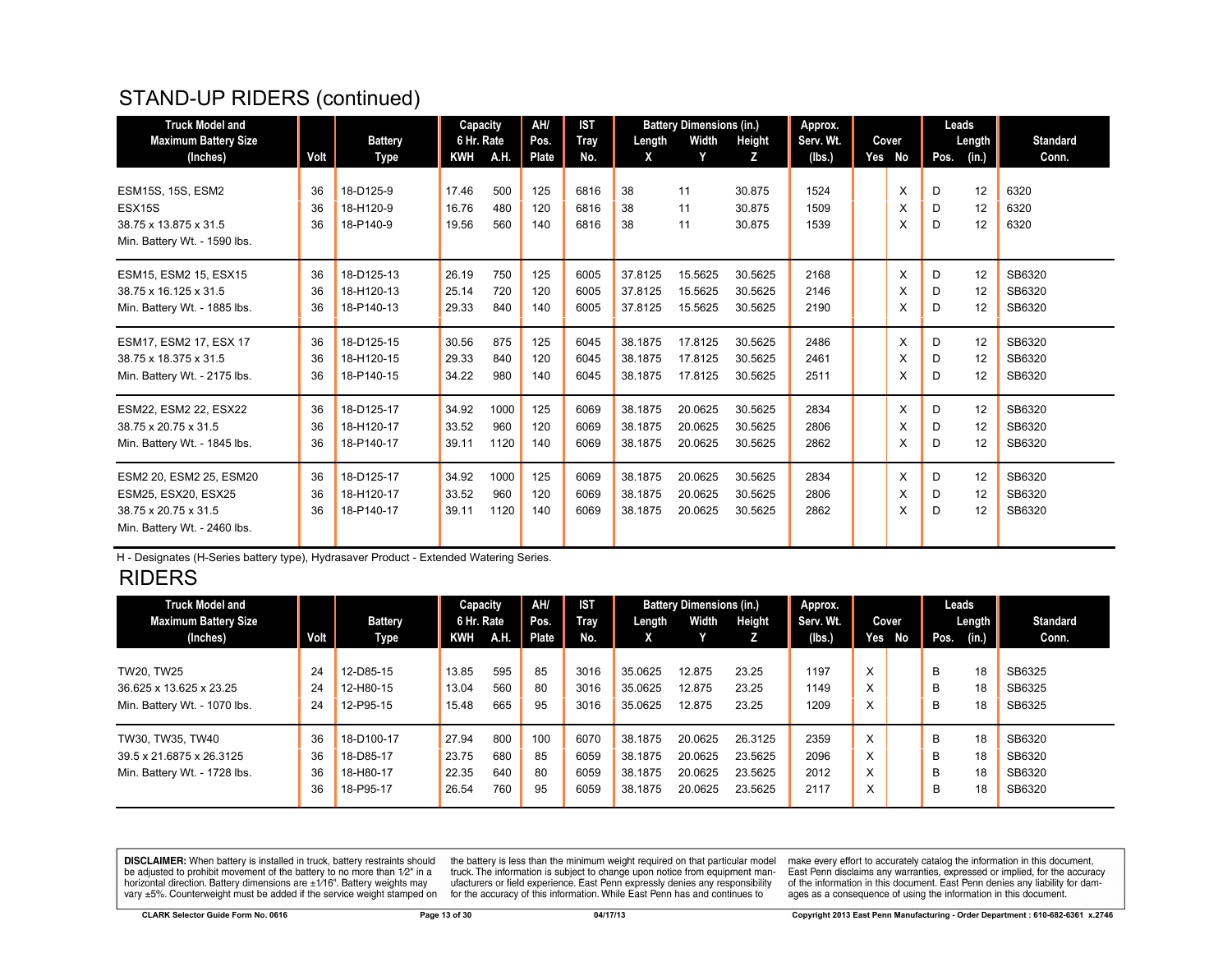# STAND-UP RIDERS (continued)

| <b>Truck Model and</b>       |      |                | Capacity   |      | AH/          | <b>IST</b>  |         | <b>Battery Dimensions (in.)</b> |         | Approx.   |        | Leads |        |                 |
|------------------------------|------|----------------|------------|------|--------------|-------------|---------|---------------------------------|---------|-----------|--------|-------|--------|-----------------|
| <b>Maximum Battery Size</b>  |      | <b>Battery</b> | 6 Hr. Rate |      | Pos.         | <b>Tray</b> | Length  | Width                           | Height  | Serv. Wt. | Cover  |       | Length | <b>Standard</b> |
| (Inches)                     | Volt | Type           | KWH        | A.H. | <b>Plate</b> | No.         | X       | Y                               | z       | (lbs.)    | Yes No | Pos.  | (in.)  | Conn.           |
|                              |      |                |            |      |              |             |         |                                 |         |           |        |       |        |                 |
| <b>ESM15S, 15S, ESM2</b>     | 36   | 18-D125-9      | 17.46      | 500  | 125          | 6816        | 38      | 11                              | 30.875  | 1524      | X      | D     | 12     | 6320            |
| ESX15S                       | 36   | 18-H120-9      | 16.76      | 480  | 120          | 6816        | 38      | 11                              | 30.875  | 1509      | X      | D     | 12     | 6320            |
| 38.75 x 13.875 x 31.5        | 36   | 18-P140-9      | 19.56      | 560  | 140          | 6816        | 38      | 11                              | 30.875  | 1539      | X      | D     | 12     | 6320            |
| Min. Battery Wt. - 1590 lbs. |      |                |            |      |              |             |         |                                 |         |           |        |       |        |                 |
| ESM15, ESM2 15, ESX15        | 36   | 18-D125-13     | 26.19      | 750  | 125          | 6005        | 37.8125 | 15.5625                         | 30.5625 | 2168      | X      | D     | 12     | SB6320          |
| 38.75 x 16.125 x 31.5        | 36   | 18-H120-13     | 25.14      | 720  | 120          | 6005        | 37.8125 | 15.5625                         | 30.5625 | 2146      | X      | D     | 12     | SB6320          |
| Min. Battery Wt. - 1885 lbs. | 36   | 18-P140-13     | 29.33      | 840  | 140          | 6005        | 37.8125 | 15.5625                         | 30.5625 | 2190      | X      | D     | 12     | SB6320          |
| ESM17, ESM2 17, ESX 17       | 36   | 18-D125-15     | 30.56      | 875  | 125          | 6045        | 38.1875 | 17.8125                         | 30.5625 | 2486      | X      | D     | 12     | SB6320          |
| 38.75 x 18.375 x 31.5        | 36   | 18-H120-15     | 29.33      | 840  | 120          | 6045        | 38.1875 | 17.8125                         | 30.5625 | 2461      | X      | D     | 12     | SB6320          |
| Min. Battery Wt. - 2175 lbs. | 36   | 18-P140-15     | 34.22      | 980  | 140          | 6045        | 38.1875 | 17.8125                         | 30.5625 | 2511      | X      | D     | 12     | SB6320          |
| ESM22, ESM2 22, ESX22        | 36   | 18-D125-17     | 34.92      | 1000 | 125          | 6069        | 38.1875 | 20.0625                         | 30.5625 | 2834      | X      | D     | 12     | SB6320          |
| 38.75 x 20.75 x 31.5         | 36   | 18-H120-17     | 33.52      | 960  | 120          | 6069        | 38.1875 | 20.0625                         | 30.5625 | 2806      | X      | D     | 12     | SB6320          |
| Min. Battery Wt. - 1845 lbs. | 36   | 18-P140-17     | 39.11      | 1120 | 140          | 6069        | 38.1875 | 20.0625                         | 30.5625 | 2862      | X      | D     | 12     | SB6320          |
| ESM2 20, ESM2 25, ESM20      | 36   | 18-D125-17     | 34.92      | 1000 | 125          | 6069        | 38.1875 | 20.0625                         | 30.5625 | 2834      | X      | D     | 12     | SB6320          |
| ESM25, ESX20, ESX25          | 36   | 18-H120-17     | 33.52      | 960  | 120          | 6069        | 38.1875 | 20.0625                         | 30.5625 | 2806      | X      | D     | 12     | SB6320          |
| 38.75 x 20.75 x 31.5         | 36   | 18-P140-17     | 39.11      | 1120 | 140          | 6069        | 38.1875 | 20.0625                         | 30.5625 | 2862      | X      | D     | 12     | SB6320          |
| Min. Battery Wt. - 2460 lbs. |      |                |            |      |              |             |         |                                 |         |           |        |       |        |                 |

H - Designates (H-Series battery type), Hydrasaver Product - Extended Watering Series.

#### RIDERS

| <b>Truck Model and</b>       |      |                | Capacity   |      | AH/   | <b>IST</b> |         | <b>Battery Dimensions (in.)</b> |         | Approx.   |     |       |      | Leads  |                 |
|------------------------------|------|----------------|------------|------|-------|------------|---------|---------------------------------|---------|-----------|-----|-------|------|--------|-----------------|
| <b>Maximum Battery Size</b>  |      | <b>Battery</b> | 6 Hr. Rate |      | Pos.  | Tray       | Length  | Width                           | Height  | Serv. Wt. |     | Cover |      | Length | <b>Standard</b> |
| (Inches)                     | Volt | Type           | KWH        | A.H. | Plate | No.        | л.      |                                 |         | (Ibs.)    | Yes | No    | Pos. | (in.)  | Conn.           |
|                              |      |                |            |      |       |            |         |                                 |         |           |     |       |      |        |                 |
| TW20. TW25                   | 24   | 12-D85-15      | 13.85      | 595  | 85    | 3016       | 35.0625 | 12.875                          | 23.25   | 1197      | X   |       | B    | 18     | SB6325          |
| 36.625 x 13.625 x 23.25      | 24   | 12-H80-15      | 13.04      | 560  | 80    | 3016       | 35.0625 | 12.875                          | 23.25   | 1149      | X   |       | B    | 18     | SB6325          |
| Min. Battery Wt. - 1070 lbs. | 24   | 12-P95-15      | 15.48      | 665  | 95    | 3016       | 35.0625 | 12.875                          | 23.25   | 1209      | X   |       | B    | 18     | SB6325          |
| TW30, TW35, TW40             | 36   | 18-D100-17     | 27.94      | 800  | 100   | 6070       | 38.1875 | 20.0625                         | 26.3125 | 2359      | X   |       | B    | 18     | SB6320          |
| 39.5 x 21.6875 x 26.3125     | 36   | 18-D85-17      | 23.75      | 680  | 85    | 6059       | 38.1875 | 20.0625                         | 23.5625 | 2096      | X   |       | B    | 18     | SB6320          |
| Min. Battery Wt. - 1728 lbs. | 36   | 18-H80-17      | 22.35      | 640  | 80    | 6059       | 38.1875 | 20.0625                         | 23.5625 | 2012      | X   |       | B    | 18     | SB6320          |
|                              | 36   | 18-P95-17      | 26.54      | 760  | 95    | 6059       | 38.1875 | 20.0625                         | 23.5625 | 2117      | X   |       | В    | 18     | SB6320          |
|                              |      |                |            |      |       |            |         |                                 |         |           |     |       |      |        |                 |

**DISCLAIMER:** When battery is installed in truck, battery restraints should be adjusted to prohibit movement of the battery to no more than  $1/2$ " in a horizontal direction. Battery dimensions are  $\pm 1/16$ ". Battery weig

the battery is less than the minimum weight required on that particular model<br>truck. The information is subject to change upon notice from equipment manufacturers or field experience. East Penn expressly denies any responsibility for the accuracy of this information. While East Penn has and continues to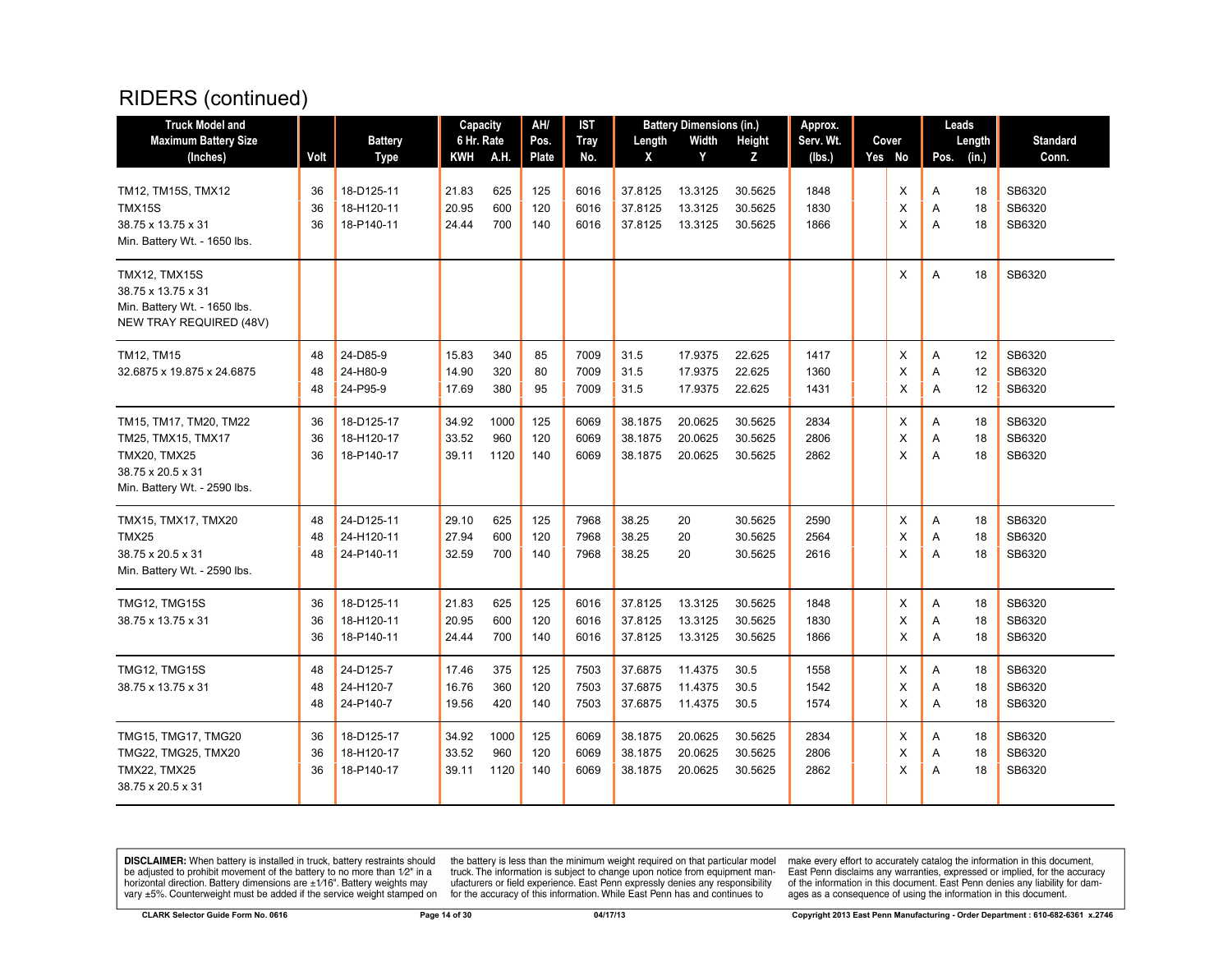| <b>Truck Model and</b>                                                                                                   |                |                                        | Capacity                |                     | AH/               | <b>IST</b>           |                               | <b>Battery Dimensions (in.)</b> |                               | Approx.              |             |             | Leads          |                            |
|--------------------------------------------------------------------------------------------------------------------------|----------------|----------------------------------------|-------------------------|---------------------|-------------------|----------------------|-------------------------------|---------------------------------|-------------------------------|----------------------|-------------|-------------|----------------|----------------------------|
| <b>Maximum Battery Size</b>                                                                                              |                | <b>Battery</b>                         | 6 Hr. Rate              |                     | Pos.              | <b>Tray</b>          | Length                        | Width                           | Height                        | Serv. Wt.            | Cover       |             | Length         | <b>Standard</b>            |
| (Inches)                                                                                                                 | Volt           | <b>Type</b>                            | KWH                     | A.H.                | Plate             | No.                  | X                             | Y                               | Z                             | (lbs.)               | Yes No      | Pos.        | (in.)          | Conn.                      |
| TM12, TM15S, TMX12<br>TMX15S<br>38.75 x 13.75 x 31<br>Min. Battery Wt. - 1650 lbs.                                       | 36<br>36<br>36 | 18-D125-11<br>18-H120-11<br>18-P140-11 | 21.83<br>20.95<br>24.44 | 625<br>600<br>700   | 125<br>120<br>140 | 6016<br>6016<br>6016 | 37.8125<br>37.8125<br>37.8125 | 13.3125<br>13.3125<br>13.3125   | 30.5625<br>30.5625<br>30.5625 | 1848<br>1830<br>1866 | X<br>X<br>X | Α<br>A<br>A | 18<br>18<br>18 | SB6320<br>SB6320<br>SB6320 |
| TMX12, TMX15S<br>38.75 x 13.75 x 31<br>Min. Battery Wt. - 1650 lbs.<br><b>NEW TRAY REQUIRED (48V)</b>                    |                |                                        |                         |                     |                   |                      |                               |                                 |                               |                      | X           | Α           | 18             | SB6320                     |
| TM12, TM15<br>32.6875 x 19.875 x 24.6875                                                                                 | 48<br>48<br>48 | 24-D85-9<br>24-H80-9<br>24-P95-9       | 15.83<br>14.90<br>17.69 | 340<br>320<br>380   | 85<br>80<br>95    | 7009<br>7009<br>7009 | 31.5<br>31.5<br>31.5          | 17.9375<br>17.9375<br>17.9375   | 22.625<br>22.625<br>22.625    | 1417<br>1360<br>1431 | X<br>X<br>X | Α<br>A<br>A | 12<br>12<br>12 | SB6320<br>SB6320<br>SB6320 |
| TM15, TM17, TM20, TM22<br>TM25, TMX15, TMX17<br><b>TMX20, TMX25</b><br>38.75 x 20.5 x 31<br>Min. Battery Wt. - 2590 lbs. | 36<br>36<br>36 | 18-D125-17<br>18-H120-17<br>18-P140-17 | 34.92<br>33.52<br>39.11 | 1000<br>960<br>1120 | 125<br>120<br>140 | 6069<br>6069<br>6069 | 38.1875<br>38.1875<br>38.1875 | 20.0625<br>20.0625<br>20.0625   | 30.5625<br>30.5625<br>30.5625 | 2834<br>2806<br>2862 | Х<br>X<br>X | Α<br>Α<br>A | 18<br>18<br>18 | SB6320<br>SB6320<br>SB6320 |
| TMX15, TMX17, TMX20<br>TMX25<br>38.75 x 20.5 x 31<br>Min. Battery Wt. - 2590 lbs.                                        | 48<br>48<br>48 | 24-D125-11<br>24-H120-11<br>24-P140-11 | 29.10<br>27.94<br>32.59 | 625<br>600<br>700   | 125<br>120<br>140 | 7968<br>7968<br>7968 | 38.25<br>38.25<br>38.25       | 20<br>20<br>20                  | 30.5625<br>30.5625<br>30.5625 | 2590<br>2564<br>2616 | X<br>X<br>X | Α<br>Α<br>A | 18<br>18<br>18 | SB6320<br>SB6320<br>SB6320 |
| TMG12, TMG15S<br>38.75 x 13.75 x 31                                                                                      | 36<br>36<br>36 | 18-D125-11<br>18-H120-11<br>18-P140-11 | 21.83<br>20.95<br>24.44 | 625<br>600<br>700   | 125<br>120<br>140 | 6016<br>6016<br>6016 | 37.8125<br>37.8125<br>37.8125 | 13.3125<br>13.3125<br>13.3125   | 30.5625<br>30.5625<br>30.5625 | 1848<br>1830<br>1866 | X<br>X<br>X | Α<br>Α<br>A | 18<br>18<br>18 | SB6320<br>SB6320<br>SB6320 |
| <b>TMG12, TMG15S</b><br>38.75 x 13.75 x 31                                                                               | 48<br>48<br>48 | 24-D125-7<br>24-H120-7<br>24-P140-7    | 17.46<br>16.76<br>19.56 | 375<br>360<br>420   | 125<br>120<br>140 | 7503<br>7503<br>7503 | 37.6875<br>37.6875<br>37.6875 | 11.4375<br>11.4375<br>11.4375   | 30.5<br>30.5<br>30.5          | 1558<br>1542<br>1574 | X<br>Х<br>X | A<br>Α<br>Α | 18<br>18<br>18 | SB6320<br>SB6320<br>SB6320 |
| <b>TMG15, TMG17, TMG20</b><br>TMG22, TMG25, TMX20<br><b>TMX22, TMX25</b><br>38.75 x 20.5 x 31                            | 36<br>36<br>36 | 18-D125-17<br>18-H120-17<br>18-P140-17 | 34.92<br>33.52<br>39.11 | 1000<br>960<br>1120 | 125<br>120<br>140 | 6069<br>6069<br>6069 | 38.1875<br>38.1875<br>38.1875 | 20.0625<br>20.0625<br>20.0625   | 30.5625<br>30.5625<br>30.5625 | 2834<br>2806<br>2862 | X<br>X<br>X | A<br>Α<br>A | 18<br>18<br>18 | SB6320<br>SB6320<br>SB6320 |

**DISCLAIMER:** When battery is installed in truck, battery restraints should be adjusted to prohibit movement of the battery to no more than  $12^v$  in a horizontal direction. Battery dimensions are  $\pm 1/16^v$ . Battery wei

the battery is less than the minimum weight required on that particular model<br>truck. The information is subject to change upon notice from equipment man-<br>ufacturers or field experience. East Penn expressly denies any respo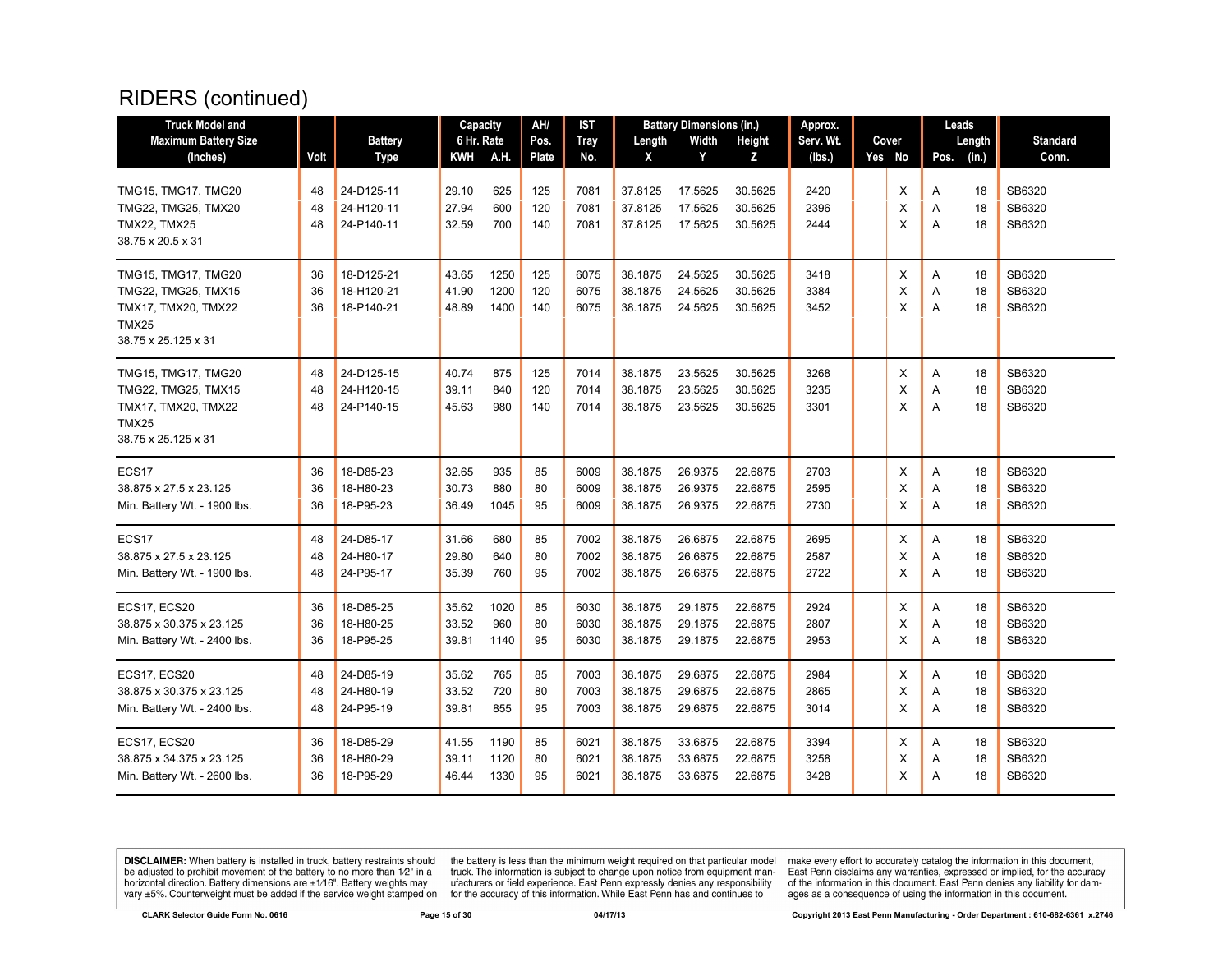| <b>Truck Model and</b>       |      |                | Capacity   |      | AH/          | IST         |         | <b>Battery Dimensions (in.)</b> |         | Approx.   |        |      | Leads  |                 |
|------------------------------|------|----------------|------------|------|--------------|-------------|---------|---------------------------------|---------|-----------|--------|------|--------|-----------------|
| <b>Maximum Battery Size</b>  |      | <b>Battery</b> | 6 Hr. Rate |      | Pos.         | <b>Tray</b> | Length  | Width                           | Height  | Serv. Wt. | Cover  |      | Length | <b>Standard</b> |
| (Inches)                     | Volt | <b>Type</b>    | KWH        | A.H. | <b>Plate</b> | No.         | X       | Y                               | Z       | (lbs.)    | Yes No | Pos. | (in.)  | Conn.           |
|                              |      |                |            |      |              |             |         |                                 |         |           |        |      |        |                 |
| TMG15, TMG17, TMG20          | 48   | 24-D125-11     | 29.10      | 625  | 125          | 7081        | 37.8125 | 17.5625                         | 30.5625 | 2420      | X      | Α    | 18     | SB6320          |
| TMG22, TMG25, TMX20          | 48   | 24-H120-11     | 27.94      | 600  | 120          | 7081        | 37.8125 | 17.5625                         | 30.5625 | 2396      | X      | A    | 18     | SB6320          |
| <b>TMX22, TMX25</b>          | 48   | 24-P140-11     | 32.59      | 700  | 140          | 7081        | 37.8125 | 17.5625                         | 30.5625 | 2444      | X      | A    | 18     | SB6320          |
| 38.75 x 20.5 x 31            |      |                |            |      |              |             |         |                                 |         |           |        |      |        |                 |
| TMG15, TMG17, TMG20          | 36   | 18-D125-21     | 43.65      | 1250 | 125          | 6075        | 38.1875 | 24.5625                         | 30.5625 | 3418      | X      | Α    | 18     | SB6320          |
| TMG22, TMG25, TMX15          | 36   | 18-H120-21     | 41.90      | 1200 | 120          | 6075        | 38.1875 | 24.5625                         | 30.5625 | 3384      | X      | A    | 18     | SB6320          |
| TMX17, TMX20, TMX22          | 36   | 18-P140-21     | 48.89      | 1400 | 140          | 6075        | 38.1875 | 24.5625                         | 30.5625 | 3452      | X      | Α    | 18     | SB6320          |
| TMX25                        |      |                |            |      |              |             |         |                                 |         |           |        |      |        |                 |
| 38.75 x 25.125 x 31          |      |                |            |      |              |             |         |                                 |         |           |        |      |        |                 |
|                              |      |                |            |      |              |             |         |                                 |         |           |        |      |        |                 |
| TMG15, TMG17, TMG20          | 48   | 24-D125-15     | 40.74      | 875  | 125          | 7014        | 38.1875 | 23.5625                         | 30.5625 | 3268      | X      | Α    | 18     | SB6320          |
| TMG22, TMG25, TMX15          | 48   | 24-H120-15     | 39.11      | 840  | 120          | 7014        | 38.1875 | 23.5625                         | 30.5625 | 3235      | X      | Α    | 18     | SB6320          |
| TMX17, TMX20, TMX22          | 48   | 24-P140-15     | 45.63      | 980  | 140          | 7014        | 38.1875 | 23.5625                         | 30.5625 | 3301      | X      | A    | 18     | SB6320          |
| TMX25                        |      |                |            |      |              |             |         |                                 |         |           |        |      |        |                 |
| 38.75 x 25.125 x 31          |      |                |            |      |              |             |         |                                 |         |           |        |      |        |                 |
| ECS <sub>17</sub>            | 36   | 18-D85-23      | 32.65      | 935  | 85           | 6009        | 38.1875 | 26.9375                         | 22.6875 | 2703      | X      | Α    | 18     | SB6320          |
| 38.875 x 27.5 x 23.125       | 36   | 18-H80-23      | 30.73      | 880  | 80           | 6009        | 38.1875 | 26.9375                         | 22.6875 | 2595      | X      | A    | 18     | SB6320          |
| Min. Battery Wt. - 1900 lbs. | 36   | 18-P95-23      | 36.49      | 1045 | 95           | 6009        | 38.1875 | 26.9375                         | 22.6875 | 2730      | X      | Α    | 18     | SB6320          |
| ECS <sub>17</sub>            | 48   | 24-D85-17      | 31.66      | 680  | 85           | 7002        | 38.1875 | 26.6875                         | 22.6875 | 2695      | Х      | Α    | 18     | SB6320          |
| 38.875 x 27.5 x 23.125       | 48   | 24-H80-17      | 29.80      | 640  | 80           | 7002        | 38.1875 | 26.6875                         | 22.6875 | 2587      | X      | Α    | 18     | SB6320          |
| Min. Battery Wt. - 1900 lbs. | 48   | 24-P95-17      | 35.39      | 760  | 95           | 7002        | 38.1875 | 26.6875                         | 22.6875 | 2722      | X      | A    | 18     | SB6320          |
|                              |      |                |            |      |              |             |         |                                 |         |           |        |      |        |                 |
| ECS17, ECS20                 | 36   | 18-D85-25      | 35.62      | 1020 | 85           | 6030        | 38.1875 | 29.1875                         | 22.6875 | 2924      | X      | Α    | 18     | SB6320          |
| 38.875 x 30.375 x 23.125     | 36   | 18-H80-25      | 33.52      | 960  | 80           | 6030        | 38.1875 | 29.1875                         | 22.6875 | 2807      | X      | Α    | 18     | SB6320          |
| Min. Battery Wt. - 2400 lbs. | 36   | 18-P95-25      | 39.81      | 1140 | 95           | 6030        | 38.1875 | 29.1875                         | 22.6875 | 2953      | X      | A    | 18     | SB6320          |
| ECS17, ECS20                 | 48   | 24-D85-19      | 35.62      | 765  | 85           | 7003        | 38.1875 | 29.6875                         | 22.6875 | 2984      | X      | A    | 18     | SB6320          |
| 38.875 x 30.375 x 23.125     | 48   | 24-H80-19      | 33.52      | 720  | 80           | 7003        | 38.1875 | 29.6875                         | 22.6875 | 2865      | X      | A    | 18     | SB6320          |
| Min. Battery Wt. - 2400 lbs. | 48   | 24-P95-19      | 39.81      | 855  | 95           | 7003        | 38.1875 | 29.6875                         | 22.6875 | 3014      | X      | Α    | 18     | SB6320          |
|                              |      |                |            |      |              |             |         |                                 |         |           |        |      |        |                 |
| ECS17, ECS20                 | 36   | 18-D85-29      | 41.55      | 1190 | 85           | 6021        | 38.1875 | 33.6875                         | 22.6875 | 3394      | Х      | A    | 18     | SB6320          |
| 38.875 x 34.375 x 23.125     | 36   | 18-H80-29      | 39.11      | 1120 | 80           | 6021        | 38.1875 | 33.6875                         | 22.6875 | 3258      | X      | Α    | 18     | SB6320          |
| Min. Battery Wt. - 2600 lbs. | 36   | 18-P95-29      | 46.44      | 1330 | 95           | 6021        | 38.1875 | 33.6875                         | 22.6875 | 3428      | X      | A    | 18     | SB6320          |
|                              |      |                |            |      |              |             |         |                                 |         |           |        |      |        |                 |

**DISCLAIMER:** When battery is installed in truck, battery restraints should be adjusted to prohibit movement of the battery to no more than  $1/2$ " in a horizontal direction. Battery dimensions are  $\pm 1/16$ ". Battery weig

the battery is less than the minimum weight required on that particular model<br>truck. The information is subject to change upon notice from equipment man-<br>ufacturers or field experience. East Penn expressly denies any respo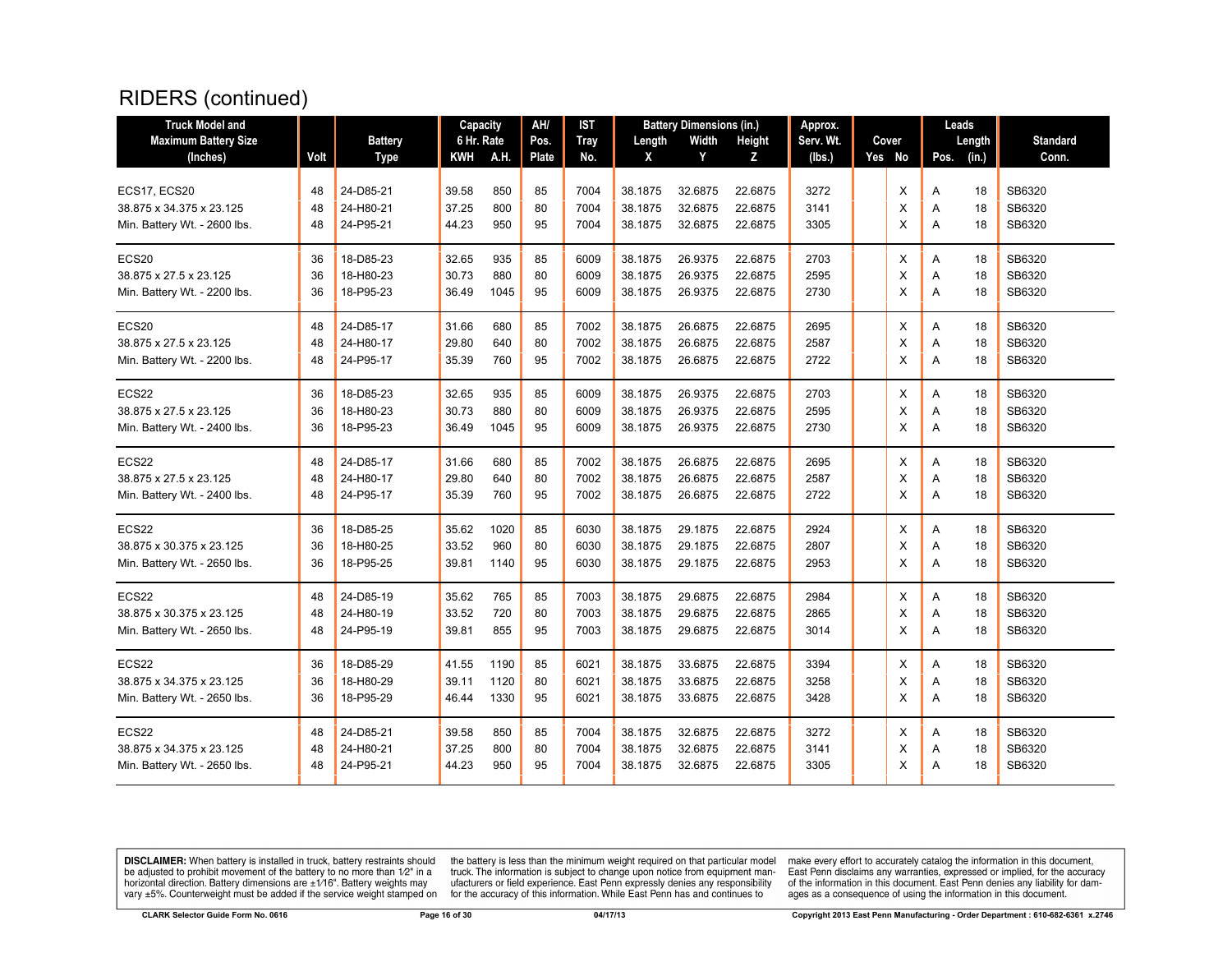| <b>Truck Model and</b>       |      |                | Capacity   |      | AH/   | IST         |         | <b>Battery Dimensions (in.)</b> |         | Approx.   |          | Leads |        |                 |
|------------------------------|------|----------------|------------|------|-------|-------------|---------|---------------------------------|---------|-----------|----------|-------|--------|-----------------|
| <b>Maximum Battery Size</b>  |      | <b>Battery</b> | 6 Hr. Rate |      | Pos.  | <b>Tray</b> | Length  | Width                           | Height  | Serv. Wt. | Cover    |       | Length | <b>Standard</b> |
| (Inches)                     | Volt | <b>Type</b>    | KWH        | A.H. | Plate | No.         | X       | Y                               | Z       | (lbs.)    | Yes No   | Pos.  | (in.)  | Conn.           |
|                              |      |                |            |      |       |             |         |                                 |         |           |          |       |        |                 |
| ECS17, ECS20                 | 48   | 24-D85-21      | 39.58      | 850  | 85    | 7004        | 38.1875 | 32.6875                         | 22.6875 | 3272      | X        | A     | 18     | SB6320          |
| 38.875 x 34.375 x 23.125     | 48   | 24-H80-21      | 37.25      | 800  | 80    | 7004        | 38.1875 | 32.6875                         | 22.6875 | 3141      | X        | Α     | 18     | SB6320          |
| Min. Battery Wt. - 2600 lbs. | 48   | 24-P95-21      | 44.23      | 950  | 95    | 7004        | 38.1875 | 32.6875                         | 22.6875 | 3305      | X        | Α     | 18     | SB6320          |
| ECS20                        | 36   | 18-D85-23      | 32.65      | 935  | 85    | 6009        | 38.1875 | 26.9375                         | 22.6875 | 2703      | Х        | Α     | 18     | SB6320          |
| 38.875 x 27.5 x 23.125       | 36   | 18-H80-23      | 30.73      | 880  | 80    | 6009        | 38.1875 | 26.9375                         | 22.6875 | 2595      | X        | Α     | 18     | SB6320          |
| Min. Battery Wt. - 2200 lbs. | 36   | 18-P95-23      | 36.49      | 1045 | 95    | 6009        | 38.1875 | 26.9375                         | 22.6875 | 2730      | X        | Α     | 18     | SB6320          |
| ECS <sub>20</sub>            | 48   | 24-D85-17      | 31.66      | 680  | 85    | 7002        | 38.1875 | 26.6875                         | 22.6875 | 2695      | X        | A     | 18     | SB6320          |
| 38.875 x 27.5 x 23.125       | 48   | 24-H80-17      | 29.80      | 640  | 80    | 7002        | 38.1875 | 26.6875                         | 22.6875 | 2587      | $\times$ | A     | 18     | SB6320          |
| Min. Battery Wt. - 2200 lbs. | 48   | 24-P95-17      | 35.39      | 760  | 95    | 7002        | 38.1875 | 26.6875                         | 22.6875 | 2722      | X        | A     | 18     | SB6320          |
| ECS22                        | 36   | 18-D85-23      | 32.65      | 935  | 85    | 6009        | 38.1875 | 26.9375                         | 22.6875 | 2703      | х        | Α     | 18     | SB6320          |
| 38.875 x 27.5 x 23.125       | 36   | 18-H80-23      | 30.73      | 880  | 80    | 6009        | 38.1875 | 26.9375                         | 22.6875 | 2595      | X        | Α     | 18     | SB6320          |
| Min. Battery Wt. - 2400 lbs. | 36   | 18-P95-23      | 36.49      | 1045 | 95    | 6009        | 38.1875 | 26.9375                         | 22.6875 | 2730      | X        | A     | 18     | SB6320          |
| ECS22                        | 48   | 24-D85-17      | 31.66      | 680  | 85    | 7002        | 38.1875 | 26.6875                         | 22.6875 | 2695      | X        | A     | 18     | SB6320          |
| 38.875 x 27.5 x 23.125       | 48   | 24-H80-17      | 29.80      | 640  | 80    | 7002        | 38.1875 | 26.6875                         | 22.6875 | 2587      | X        | Α     | 18     | SB6320          |
| Min. Battery Wt. - 2400 lbs. | 48   | 24-P95-17      | 35.39      | 760  | 95    | 7002        | 38.1875 | 26.6875                         | 22.6875 | 2722      | X        | Α     | 18     | SB6320          |
| ECS22                        | 36   | 18-D85-25      | 35.62      | 1020 | 85    | 6030        | 38.1875 | 29.1875                         | 22.6875 | 2924      | X        | Α     | 18     | SB6320          |
| 38.875 x 30.375 x 23.125     | 36   | 18-H80-25      | 33.52      | 960  | 80    | 6030        | 38.1875 | 29.1875                         | 22.6875 | 2807      | X        | Α     | 18     | SB6320          |
| Min. Battery Wt. - 2650 lbs. | 36   | 18-P95-25      | 39.81      | 1140 | 95    | 6030        | 38.1875 | 29.1875                         | 22.6875 | 2953      | X        | A     | 18     | SB6320          |
| ECS22                        | 48   | 24-D85-19      | 35.62      | 765  | 85    | 7003        | 38.1875 | 29.6875                         | 22.6875 | 2984      | X        | A     | 18     | SB6320          |
| 38.875 x 30.375 x 23.125     | 48   | 24-H80-19      | 33.52      | 720  | 80    | 7003        | 38.1875 | 29.6875                         | 22.6875 | 2865      | X        | A     | 18     | SB6320          |
| Min. Battery Wt. - 2650 lbs. | 48   | 24-P95-19      | 39.81      | 855  | 95    | 7003        | 38.1875 | 29.6875                         | 22.6875 | 3014      | X        | A     | 18     | SB6320          |
| ECS22                        | 36   | 18-D85-29      | 41.55      | 1190 | 85    | 6021        | 38.1875 | 33.6875                         | 22.6875 | 3394      | х        | Α     | 18     | SB6320          |
| 38.875 x 34.375 x 23.125     | 36   | 18-H80-29      | 39.11      | 1120 | 80    | 6021        | 38.1875 | 33.6875                         | 22.6875 | 3258      | X        | Α     | 18     | SB6320          |
| Min. Battery Wt. - 2650 lbs. | 36   | 18-P95-29      | 46.44      | 1330 | 95    | 6021        | 38.1875 | 33.6875                         | 22.6875 | 3428      | X        | A     | 18     | SB6320          |
| ECS22                        | 48   | 24-D85-21      | 39.58      | 850  | 85    | 7004        | 38.1875 | 32.6875                         | 22.6875 | 3272      | X        | Α     | 18     | SB6320          |
| 38.875 x 34.375 x 23.125     | 48   | 24-H80-21      | 37.25      | 800  | 80    | 7004        | 38.1875 | 32.6875                         | 22.6875 | 3141      | X        | Α     | 18     | SB6320          |
| Min. Battery Wt. - 2650 lbs. | 48   | 24-P95-21      | 44.23      | 950  | 95    | 7004        | 38.1875 | 32.6875                         | 22.6875 | 3305      | X        | A     | 18     | SB6320          |

**DISCLAIMER:** When battery is installed in truck, battery restraints should be adjusted to prohibit movement of the battery to no more than  $1/2$ " in a horizontal direction. Battery dimensions are  $\pm 1/16$ ". Battery weig

the battery is less than the minimum weight required on that particular model<br>truck. The information is subject to change upon notice from equipment man-<br>ufacturers or field experience. East Penn expressly denies any respo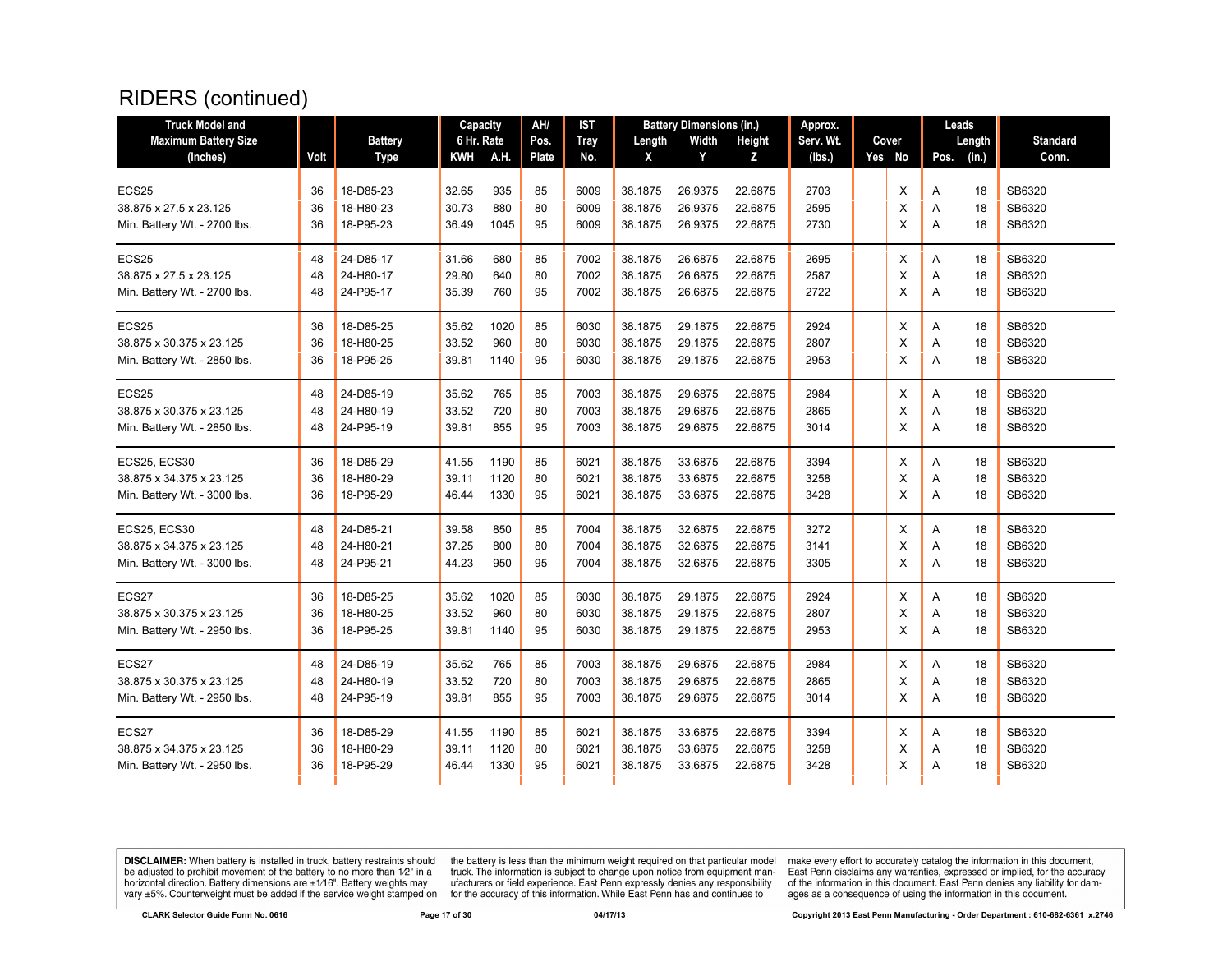| <b>Truck Model and</b>       |      |                | Capacity   |      | AH/          | IST         |         | <b>Battery Dimensions (in.)</b> |         | Approx.   |        |      | Leads  |                 |
|------------------------------|------|----------------|------------|------|--------------|-------------|---------|---------------------------------|---------|-----------|--------|------|--------|-----------------|
| <b>Maximum Battery Size</b>  |      | <b>Battery</b> | 6 Hr. Rate |      | Pos.         | <b>Tray</b> | Length  | Width                           | Height  | Serv. Wt. | Cover  |      | Length | <b>Standard</b> |
| (Inches)                     | Volt | <b>Type</b>    | KWH        | A.H. | <b>Plate</b> | No.         | X       | Y                               | Z       | (lbs.)    | Yes No | Pos. | (in.)  | Conn.           |
|                              |      |                |            |      |              |             |         |                                 |         |           |        |      |        |                 |
| ECS25                        | 36   | 18-D85-23      | 32.65      | 935  | 85           | 6009        | 38.1875 | 26.9375                         | 22.6875 | 2703      | X      | A    | 18     | SB6320          |
| 38.875 x 27.5 x 23.125       | 36   | 18-H80-23      | 30.73      | 880  | 80           | 6009        | 38.1875 | 26.9375                         | 22.6875 | 2595      | X      | A    | 18     | SB6320          |
| Min. Battery Wt. - 2700 lbs. | 36   | 18-P95-23      | 36.49      | 1045 | 95           | 6009        | 38.1875 | 26.9375                         | 22.6875 | 2730      | X      | A    | 18     | SB6320          |
| ECS25                        | 48   | 24-D85-17      | 31.66      | 680  | 85           | 7002        | 38.1875 | 26.6875                         | 22.6875 | 2695      | Х      | A    | 18     | SB6320          |
| 38.875 x 27.5 x 23.125       | 48   | 24-H80-17      | 29.80      | 640  | 80           | 7002        | 38.1875 | 26.6875                         | 22.6875 | 2587      | X      | Α    | 18     | SB6320          |
| Min. Battery Wt. - 2700 lbs. | 48   | 24-P95-17      | 35.39      | 760  | 95           | 7002        | 38.1875 | 26.6875                         | 22.6875 | 2722      | X      | A    | 18     | SB6320          |
| ECS25                        | 36   | 18-D85-25      | 35.62      | 1020 | 85           | 6030        | 38.1875 | 29.1875                         | 22.6875 | 2924      | X      | Α    | 18     | SB6320          |
| 38.875 x 30.375 x 23.125     | 36   | 18-H80-25      | 33.52      | 960  | 80           | 6030        | 38.1875 | 29.1875                         | 22.6875 | 2807      | X      | Α    | 18     | SB6320          |
| Min. Battery Wt. - 2850 lbs. | 36   | 18-P95-25      | 39.81      | 1140 | 95           | 6030        | 38.1875 | 29.1875                         | 22.6875 | 2953      | X      | Α    | 18     | SB6320          |
| ECS25                        | 48   | 24-D85-19      | 35.62      | 765  | 85           | 7003        | 38.1875 | 29.6875                         | 22.6875 | 2984      | х      | Α    | 18     | SB6320          |
| 38.875 x 30.375 x 23.125     | 48   | 24-H80-19      | 33.52      | 720  | 80           | 7003        | 38.1875 | 29.6875                         | 22.6875 | 2865      | X      | Α    | 18     | SB6320          |
| Min. Battery Wt. - 2850 lbs. | 48   | 24-P95-19      | 39.81      | 855  | 95           | 7003        | 38.1875 | 29.6875                         | 22.6875 | 3014      | X      | Α    | 18     | SB6320          |
| <b>ECS25, ECS30</b>          | 36   | 18-D85-29      | 41.55      | 1190 | 85           | 6021        | 38.1875 | 33.6875                         | 22.6875 | 3394      | X      | A    | 18     | SB6320          |
| 38.875 x 34.375 x 23.125     | 36   | 18-H80-29      | 39.11      | 1120 | 80           | 6021        | 38.1875 | 33.6875                         | 22.6875 | 3258      | X      | A    | 18     | SB6320          |
| Min. Battery Wt. - 3000 lbs. | 36   | 18-P95-29      | 46.44      | 1330 | 95           | 6021        | 38.1875 | 33.6875                         | 22.6875 | 3428      | X      | A    | 18     | SB6320          |
| ECS25, ECS30                 | 48   | 24-D85-21      | 39.58      | 850  | 85           | 7004        | 38.1875 | 32.6875                         | 22.6875 | 3272      | X      | A    | 18     | SB6320          |
| 38.875 x 34.375 x 23.125     | 48   | 24-H80-21      | 37.25      | 800  | 80           | 7004        | 38.1875 | 32.6875                         | 22.6875 | 3141      | X      | Α    | 18     | SB6320          |
| Min. Battery Wt. - 3000 lbs. | 48   | 24-P95-21      | 44.23      | 950  | 95           | 7004        | 38.1875 | 32.6875                         | 22.6875 | 3305      | X      | A    | 18     | SB6320          |
| ECS27                        | 36   | 18-D85-25      | 35.62      | 1020 | 85           | 6030        | 38.1875 | 29.1875                         | 22.6875 | 2924      | Х      | A    | 18     | SB6320          |
| 38.875 x 30.375 x 23.125     | 36   | 18-H80-25      | 33.52      | 960  | 80           | 6030        | 38.1875 | 29.1875                         | 22.6875 | 2807      | X      | Α    | 18     | SB6320          |
| Min. Battery Wt. - 2950 lbs. | 36   | 18-P95-25      | 39.81      | 1140 | 95           | 6030        | 38.1875 | 29.1875                         | 22.6875 | 2953      | X      | Α    | 18     | SB6320          |
| ECS27                        | 48   | 24-D85-19      | 35.62      | 765  | 85           | 7003        | 38.1875 | 29.6875                         | 22.6875 | 2984      | X      | A    | 18     | SB6320          |
| 38.875 x 30.375 x 23.125     | 48   | 24-H80-19      | 33.52      | 720  | 80           | 7003        | 38.1875 | 29.6875                         | 22.6875 | 2865      | X      | Α    | 18     | SB6320          |
| Min. Battery Wt. - 2950 lbs. | 48   | 24-P95-19      | 39.81      | 855  | 95           | 7003        | 38.1875 | 29.6875                         | 22.6875 | 3014      | X      | Α    | 18     | SB6320          |
| ECS27                        | 36   | 18-D85-29      | 41.55      | 1190 | 85           | 6021        | 38.1875 | 33.6875                         | 22.6875 | 3394      | X      | Α    | 18     | SB6320          |
| 38.875 x 34.375 x 23.125     | 36   | 18-H80-29      | 39.11      | 1120 | 80           | 6021        | 38.1875 | 33.6875                         | 22.6875 | 3258      | X      | Α    | 18     | SB6320          |
| Min. Battery Wt. - 2950 lbs. | 36   | 18-P95-29      | 46.44      | 1330 | 95           | 6021        | 38.1875 | 33.6875                         | 22.6875 | 3428      | X      | Α    | 18     | SB6320          |

**DISCLAIMER:** When battery is installed in truck, battery restraints should be adjusted to prohibit movement of the battery to no more than  $12^v$  in a horizontal direction. Battery dimensions are  $\pm 1/16^v$ . Battery wei

the battery is less than the minimum weight required on that particular model<br>truck. The information is subject to change upon notice from equipment man-<br>ufacturers or field experience. East Penn expressly denies any respo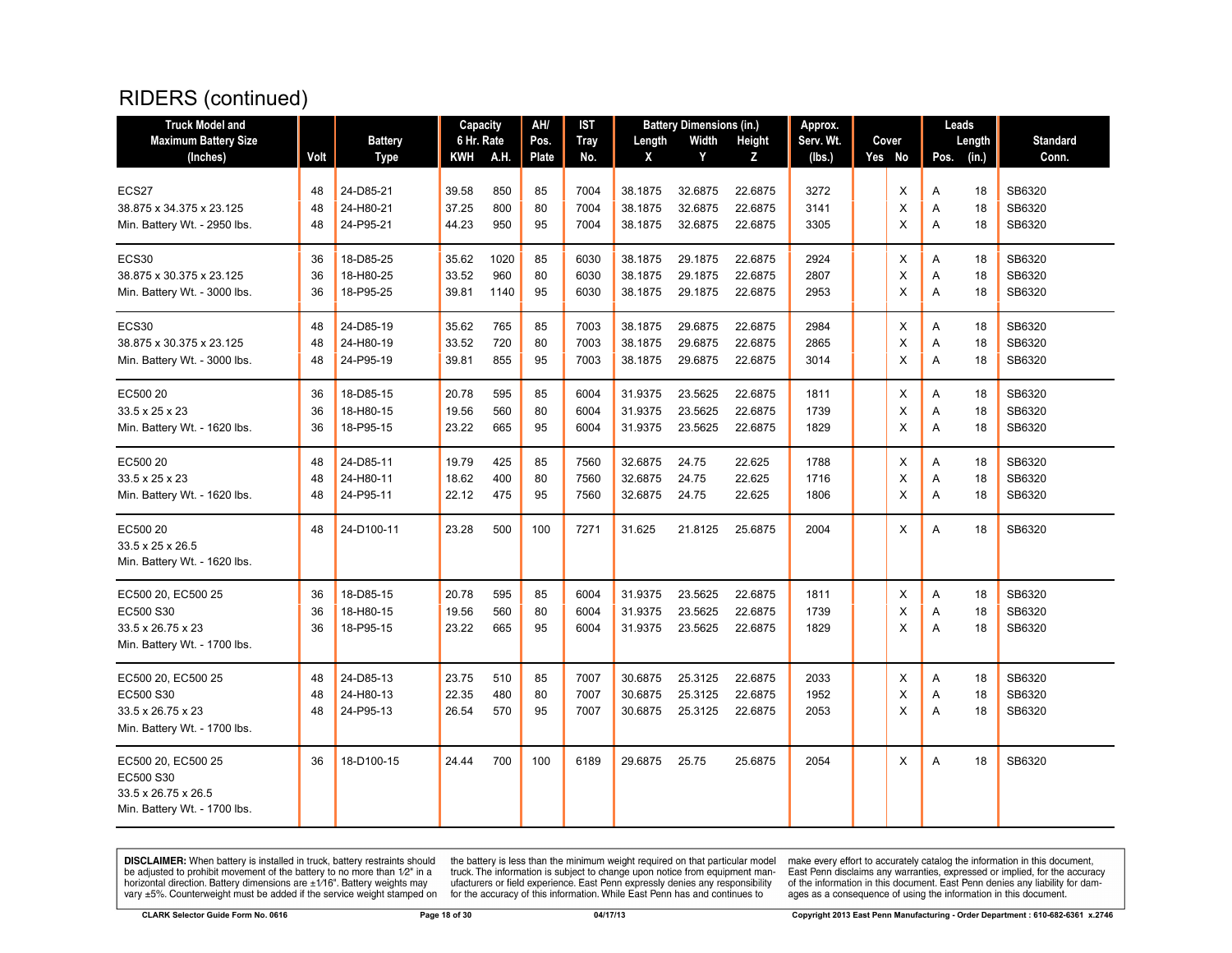| <b>Truck Model and</b>       |      |                | Capacity   |      | AH/   | IST  |         | <b>Battery Dimensions (in.)</b> |         | Approx.   |        |      | Leads  |                 |
|------------------------------|------|----------------|------------|------|-------|------|---------|---------------------------------|---------|-----------|--------|------|--------|-----------------|
| <b>Maximum Battery Size</b>  |      | <b>Battery</b> | 6 Hr. Rate |      | Pos.  | Tray | Length  | Width                           | Height  | Serv. Wt. | Cover  |      | Length | <b>Standard</b> |
| (Inches)                     | Volt | <b>Type</b>    | KWH        | A.H. | Plate | No.  | X       | Y                               | Z       | (lbs.)    | Yes No | Pos. | (in.)  | Conn.           |
|                              |      |                |            |      |       |      |         |                                 |         |           |        |      |        |                 |
| ECS27                        | 48   | 24-D85-21      | 39.58      | 850  | 85    | 7004 | 38.1875 | 32.6875                         | 22.6875 | 3272      | X      | Α    | 18     | SB6320          |
| 38.875 x 34.375 x 23.125     | 48   | 24-H80-21      | 37.25      | 800  | 80    | 7004 | 38.1875 | 32.6875                         | 22.6875 | 3141      | Х      | Α    | 18     | SB6320          |
| Min. Battery Wt. - 2950 lbs. | 48   | 24-P95-21      | 44.23      | 950  | 95    | 7004 | 38.1875 | 32.6875                         | 22.6875 | 3305      | X      | Α    | 18     | SB6320          |
| ECS30                        | 36   | 18-D85-25      | 35.62      | 1020 | 85    | 6030 | 38.1875 | 29.1875                         | 22.6875 | 2924      | Х      | Α    | 18     | SB6320          |
| 38.875 x 30.375 x 23.125     | 36   | 18-H80-25      | 33.52      | 960  | 80    | 6030 | 38.1875 | 29.1875                         | 22.6875 | 2807      | X      | Α    | 18     | SB6320          |
| Min. Battery Wt. - 3000 lbs. | 36   | 18-P95-25      | 39.81      | 1140 | 95    | 6030 | 38.1875 | 29.1875                         | 22.6875 | 2953      | X      | Α    | 18     | SB6320          |
| ECS30                        | 48   | 24-D85-19      | 35.62      | 765  | 85    | 7003 | 38.1875 | 29.6875                         | 22.6875 | 2984      | х      | Α    | 18     | SB6320          |
| 38.875 x 30.375 x 23.125     | 48   | 24-H80-19      | 33.52      | 720  | 80    | 7003 | 38.1875 | 29.6875                         | 22.6875 | 2865      | X      | Α    | 18     | SB6320          |
| Min. Battery Wt. - 3000 lbs. | 48   | 24-P95-19      | 39.81      | 855  | 95    | 7003 | 38.1875 | 29.6875                         | 22.6875 | 3014      | X      | A    | 18     | SB6320          |
| EC500 20                     | 36   | 18-D85-15      | 20.78      | 595  | 85    | 6004 | 31.9375 | 23.5625                         | 22.6875 | 1811      | Х      | Α    | 18     | SB6320          |
| 33.5 x 25 x 23               | 36   | 18-H80-15      | 19.56      | 560  | 80    | 6004 | 31.9375 | 23.5625                         | 22.6875 | 1739      | X      | Α    | 18     | SB6320          |
| Min. Battery Wt. - 1620 lbs. | 36   | 18-P95-15      | 23.22      | 665  | 95    | 6004 | 31.9375 | 23.5625                         | 22.6875 | 1829      | X      | A    | 18     | SB6320          |
|                              |      |                |            |      |       |      |         |                                 |         |           |        |      |        |                 |
| EC500 20                     | 48   | 24-D85-11      | 19.79      | 425  | 85    | 7560 | 32.6875 | 24.75                           | 22.625  | 1788      | X      | Α    | 18     | SB6320          |
| 33.5 x 25 x 23               | 48   | 24-H80-11      | 18.62      | 400  | 80    | 7560 | 32.6875 | 24.75                           | 22.625  | 1716      | X      | Α    | 18     | SB6320          |
| Min. Battery Wt. - 1620 lbs. | 48   | 24-P95-11      | 22.12      | 475  | 95    | 7560 | 32.6875 | 24.75                           | 22.625  | 1806      | X      | A    | 18     | SB6320          |
| EC500 20                     | 48   | 24-D100-11     | 23.28      | 500  | 100   | 7271 | 31.625  | 21.8125                         | 25.6875 | 2004      | X      | Α    | 18     | SB6320          |
| 33.5 x 25 x 26.5             |      |                |            |      |       |      |         |                                 |         |           |        |      |        |                 |
| Min. Battery Wt. - 1620 lbs. |      |                |            |      |       |      |         |                                 |         |           |        |      |        |                 |
| EC500 20, EC500 25           | 36   | 18-D85-15      | 20.78      | 595  | 85    | 6004 | 31.9375 | 23.5625                         | 22.6875 | 1811      | X      | Α    | 18     | SB6320          |
| EC500 S30                    | 36   | 18-H80-15      | 19.56      | 560  | 80    | 6004 | 31.9375 | 23.5625                         | 22.6875 | 1739      | X      | Α    | 18     | SB6320          |
| 33.5 x 26.75 x 23            | 36   | 18-P95-15      | 23.22      | 665  | 95    | 6004 | 31.9375 | 23.5625                         | 22.6875 | 1829      | X      | A    | 18     | SB6320          |
| Min. Battery Wt. - 1700 lbs. |      |                |            |      |       |      |         |                                 |         |           |        |      |        |                 |
| EC500 20, EC500 25           | 48   | 24-D85-13      | 23.75      | 510  | 85    | 7007 | 30.6875 | 25.3125                         | 22.6875 | 2033      | Х      | Α    | 18     | SB6320          |
| EC500 S30                    | 48   | 24-H80-13      | 22.35      | 480  | 80    | 7007 | 30.6875 | 25.3125                         | 22.6875 | 1952      | X      | Α    | 18     | SB6320          |
| 33.5 x 26.75 x 23            | 48   | 24-P95-13      | 26.54      | 570  | 95    | 7007 | 30.6875 | 25.3125                         | 22.6875 | 2053      | X      | Α    | 18     | SB6320          |
| Min. Battery Wt. - 1700 lbs. |      |                |            |      |       |      |         |                                 |         |           |        |      |        |                 |
| EC500 20, EC500 25           | 36   | 18-D100-15     | 24.44      | 700  | 100   | 6189 | 29.6875 | 25.75                           | 25.6875 | 2054      | X      | Α    | 18     | SB6320          |
| EC500 S30                    |      |                |            |      |       |      |         |                                 |         |           |        |      |        |                 |
| 33.5 x 26.75 x 26.5          |      |                |            |      |       |      |         |                                 |         |           |        |      |        |                 |
| Min. Battery Wt. - 1700 lbs. |      |                |            |      |       |      |         |                                 |         |           |        |      |        |                 |
|                              |      |                |            |      |       |      |         |                                 |         |           |        |      |        |                 |

**DISCLAIMER:** When battery is installed in truck, battery restraints should be adjusted to prohibit movement of the battery to no more than  $1/2$ " in a horizontal direction. Battery dimensions are  $\pm 1/16$ ". Battery weig

the battery is less than the minimum weight required on that particular model<br>truck. The information is subject to change upon notice from equipment man-<br>ufacturers or field experience. East Penn expressly denies any respo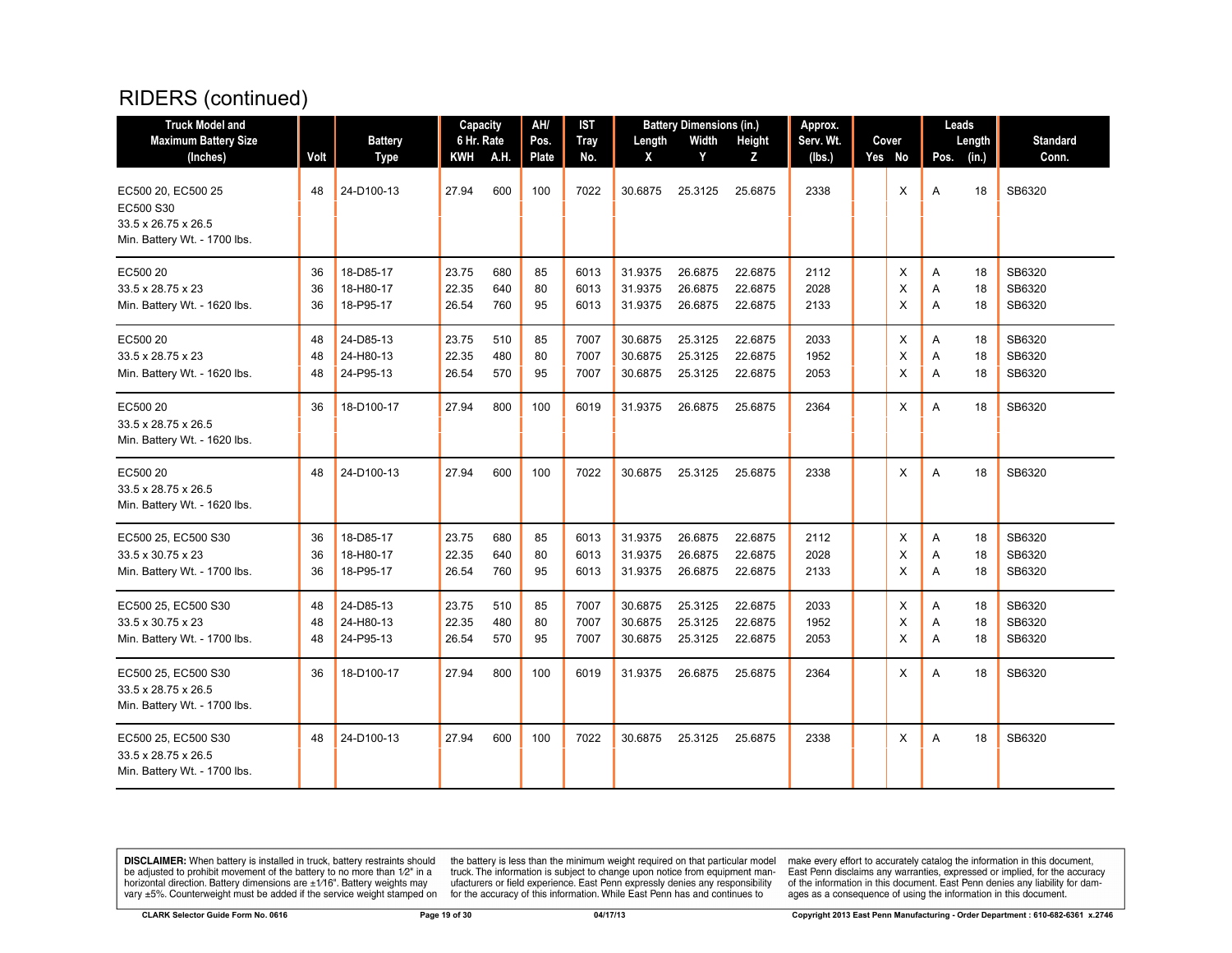| <b>Truck Model and</b>                                                                             |                |                                     | Capacity                |                   | AH/            | <b>IST</b>           |                               | <b>Battery Dimensions (in.)</b> |                               | Approx.              |             |             | Leads          |                            |
|----------------------------------------------------------------------------------------------------|----------------|-------------------------------------|-------------------------|-------------------|----------------|----------------------|-------------------------------|---------------------------------|-------------------------------|----------------------|-------------|-------------|----------------|----------------------------|
| <b>Maximum Battery Size</b>                                                                        |                | <b>Battery</b>                      | 6 Hr. Rate              |                   | Pos.           | <b>Tray</b>          | Length                        | Width                           | Height                        | Serv. Wt.            | Cover       |             | Length         | <b>Standard</b>            |
| (Inches)                                                                                           | Volt           | <b>Type</b>                         | KWH                     | A.H.              | Plate          | No.                  | X                             | Y                               | Z                             | (lbs.)               | Yes No      | Pos.        | (in.)          | Conn.                      |
| EC500 20, EC500 25<br>EC500 S30<br>$33.5 \times 26.75 \times 26.5$<br>Min. Battery Wt. - 1700 lbs. | 48             | 24-D100-13                          | 27.94                   | 600               | 100            | 7022                 | 30.6875                       | 25.3125                         | 25.6875                       | 2338                 | X           | A           | 18             | SB6320                     |
| EC500 20<br>33.5 x 28.75 x 23<br>Min. Battery Wt. - 1620 lbs.                                      | 36<br>36<br>36 | 18-D85-17<br>18-H80-17<br>18-P95-17 | 23.75<br>22.35<br>26.54 | 680<br>640<br>760 | 85<br>80<br>95 | 6013<br>6013<br>6013 | 31.9375<br>31.9375<br>31.9375 | 26.6875<br>26.6875<br>26.6875   | 22.6875<br>22.6875<br>22.6875 | 2112<br>2028<br>2133 | Χ<br>X<br>X | Α<br>Α<br>Α | 18<br>18<br>18 | SB6320<br>SB6320<br>SB6320 |
| EC500 20<br>33.5 x 28.75 x 23<br>Min. Battery Wt. - 1620 lbs.                                      | 48<br>48<br>48 | 24-D85-13<br>24-H80-13<br>24-P95-13 | 23.75<br>22.35<br>26.54 | 510<br>480<br>570 | 85<br>80<br>95 | 7007<br>7007<br>7007 | 30.6875<br>30.6875<br>30.6875 | 25.3125<br>25.3125<br>25.3125   | 22.6875<br>22.6875<br>22.6875 | 2033<br>1952<br>2053 | X<br>X<br>X | Α<br>Α<br>A | 18<br>18<br>18 | SB6320<br>SB6320<br>SB6320 |
| EC500 20<br>33.5 x 28.75 x 26.5<br>Min. Battery Wt. - 1620 lbs.                                    | 36             | 18-D100-17                          | 27.94                   | 800               | 100            | 6019                 | 31.9375                       | 26.6875                         | 25.6875                       | 2364                 | X           | A           | 18             | SB6320                     |
| EC500 20<br>33.5 x 28.75 x 26.5<br>Min. Battery Wt. - 1620 lbs.                                    | 48             | 24-D100-13                          | 27.94                   | 600               | 100            | 7022                 | 30.6875                       | 25.3125                         | 25.6875                       | 2338                 | X           | A           | 18             | SB6320                     |
| EC500 25, EC500 S30<br>33.5 x 30.75 x 23<br>Min. Battery Wt. - 1700 lbs.                           | 36<br>36<br>36 | 18-D85-17<br>18-H80-17<br>18-P95-17 | 23.75<br>22.35<br>26.54 | 680<br>640<br>760 | 85<br>80<br>95 | 6013<br>6013<br>6013 | 31.9375<br>31.9375<br>31.9375 | 26.6875<br>26.6875<br>26.6875   | 22.6875<br>22.6875<br>22.6875 | 2112<br>2028<br>2133 | X<br>X<br>X | Α<br>Α<br>A | 18<br>18<br>18 | SB6320<br>SB6320<br>SB6320 |
| EC500 25, EC500 S30<br>33.5 x 30.75 x 23<br>Min. Battery Wt. - 1700 lbs.                           | 48<br>48<br>48 | 24-D85-13<br>24-H80-13<br>24-P95-13 | 23.75<br>22.35<br>26.54 | 510<br>480<br>570 | 85<br>80<br>95 | 7007<br>7007<br>7007 | 30.6875<br>30.6875<br>30.6875 | 25.3125<br>25.3125<br>25.3125   | 22.6875<br>22.6875<br>22.6875 | 2033<br>1952<br>2053 | Х<br>X<br>X | Α<br>A<br>Α | 18<br>18<br>18 | SB6320<br>SB6320<br>SB6320 |
| EC500 25, EC500 S30<br>33.5 x 28.75 x 26.5<br>Min. Battery Wt. - 1700 lbs.                         | 36             | 18-D100-17                          | 27.94                   | 800               | 100            | 6019                 | 31.9375                       | 26.6875                         | 25.6875                       | 2364                 | X           | A           | 18             | SB6320                     |
| EC500 25, EC500 S30<br>33.5 x 28.75 x 26.5<br>Min. Battery Wt. - 1700 lbs.                         | 48             | 24-D100-13                          | 27.94                   | 600               | 100            | 7022                 | 30.6875                       | 25.3125                         | 25.6875                       | 2338                 | X           | A           | 18             | SB6320                     |

**DISCLAIMER:** When battery is installed in truck, battery restraints should be adjusted to prohibit movement of the battery to no more than  $1/2$ " in a horizontal direction. Battery dimensions are  $\pm 1/16$ ". Battery weig

the battery is less than the minimum weight required on that particular model<br>truck. The information is subject to change upon notice from equipment man-<br>ufacturers or field experience. East Penn expressly denies any respo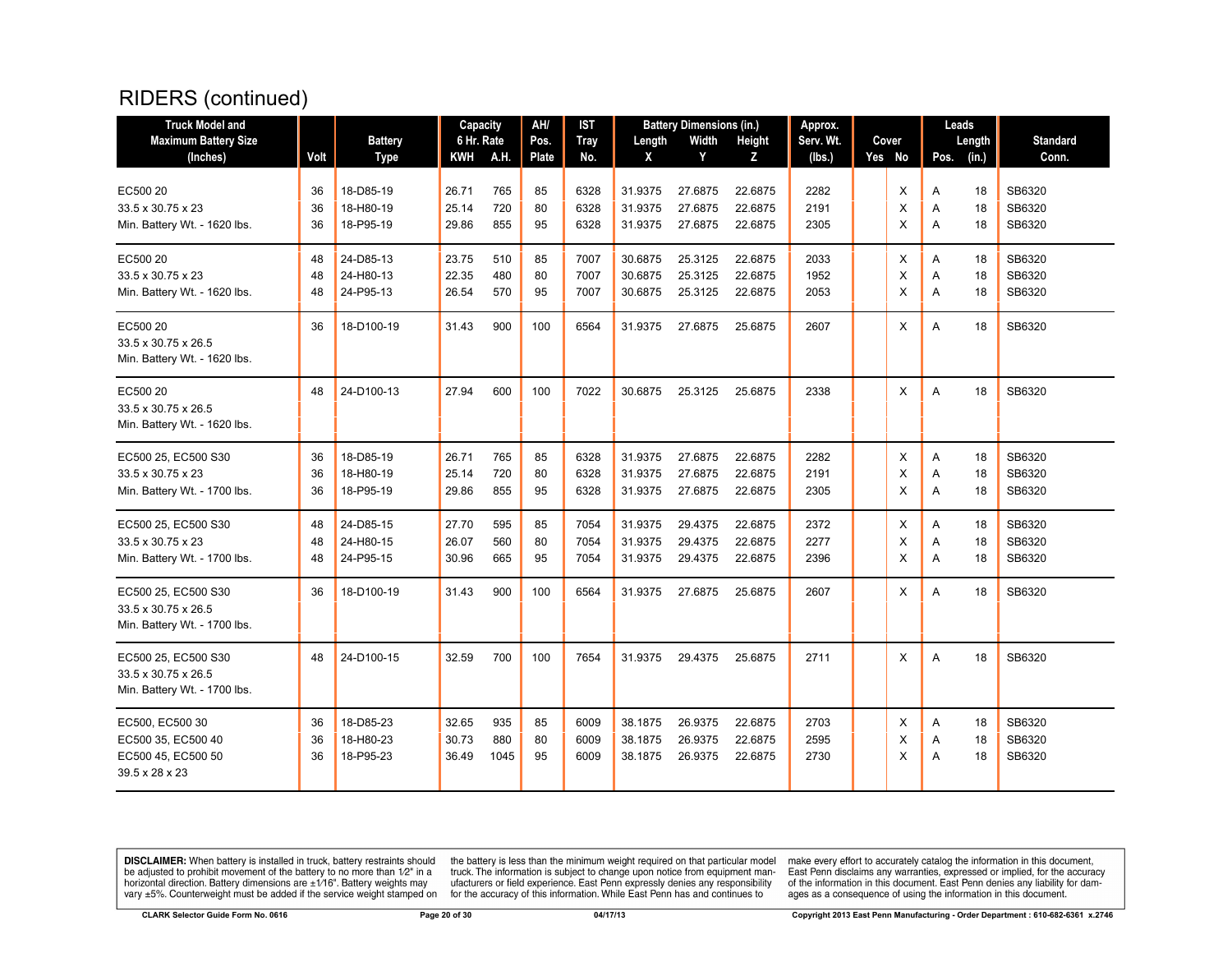| <b>Truck Model and</b>                                                     |      |                | Capacity   |      | AH/   | <b>IST</b>  |         | <b>Battery Dimensions (in.)</b> |         | Approx.   |        | Leads |        |                 |
|----------------------------------------------------------------------------|------|----------------|------------|------|-------|-------------|---------|---------------------------------|---------|-----------|--------|-------|--------|-----------------|
| <b>Maximum Battery Size</b>                                                |      | <b>Battery</b> | 6 Hr. Rate |      | Pos.  | <b>Tray</b> | Length  | Width                           | Height  | Serv. Wt. | Cover  |       | Length | <b>Standard</b> |
| (Inches)                                                                   | Volt | <b>Type</b>    | KWH        | A.H. | Plate | No.         | X       | Y                               | Z       | (lbs.)    | Yes No | Pos.  | (in.)  | Conn.           |
| EC500 20                                                                   | 36   | 18-D85-19      | 26.71      | 765  | 85    | 6328        | 31.9375 | 27.6875                         | 22.6875 | 2282      | X      | Α     | 18     | SB6320          |
| $33.5 \times 30.75 \times 23$                                              | 36   | 18-H80-19      | 25.14      | 720  | 80    | 6328        | 31.9375 | 27.6875                         | 22.6875 | 2191      | X      | A     | 18     | SB6320          |
| Min. Battery Wt. - 1620 lbs.                                               | 36   | 18-P95-19      | 29.86      | 855  | 95    | 6328        | 31.9375 | 27.6875                         | 22.6875 | 2305      | X      | A     | 18     | SB6320          |
| EC500 20                                                                   | 48   | 24-D85-13      | 23.75      | 510  | 85    | 7007        | 30.6875 | 25.3125                         | 22.6875 | 2033      | X      | A     | 18     | SB6320          |
| $33.5 \times 30.75 \times 23$                                              | 48   | 24-H80-13      | 22.35      | 480  | 80    | 7007        | 30.6875 | 25.3125                         | 22.6875 | 1952      | X      | Α     | 18     | SB6320          |
| Min. Battery Wt. - 1620 lbs.                                               | 48   | 24-P95-13      | 26.54      | 570  | 95    | 7007        | 30.6875 | 25.3125                         | 22.6875 | 2053      | X      | A     | 18     | SB6320          |
| EC500 20<br>33.5 x 30.75 x 26.5<br>Min. Battery Wt. - 1620 lbs.            | 36   | 18-D100-19     | 31.43      | 900  | 100   | 6564        | 31.9375 | 27.6875                         | 25.6875 | 2607      | X      | A     | 18     | SB6320          |
| EC500 20<br>33.5 x 30.75 x 26.5<br>Min. Battery Wt. - 1620 lbs.            | 48   | 24-D100-13     | 27.94      | 600  | 100   | 7022        | 30.6875 | 25.3125                         | 25.6875 | 2338      | X      | A     | 18     | SB6320          |
| EC500 25, EC500 S30                                                        | 36   | 18-D85-19      | 26.71      | 765  | 85    | 6328        | 31.9375 | 27.6875                         | 22.6875 | 2282      | Х      | Α     | 18     | SB6320          |
| 33.5 x 30.75 x 23                                                          | 36   | 18-H80-19      | 25.14      | 720  | 80    | 6328        | 31.9375 | 27.6875                         | 22.6875 | 2191      | X      | Α     | 18     | SB6320          |
| Min. Battery Wt. - 1700 lbs.                                               | 36   | 18-P95-19      | 29.86      | 855  | 95    | 6328        | 31.9375 | 27.6875                         | 22.6875 | 2305      | X      | A     | 18     | SB6320          |
| EC500 25, EC500 S30                                                        | 48   | 24-D85-15      | 27.70      | 595  | 85    | 7054        | 31.9375 | 29.4375                         | 22.6875 | 2372      | X      | A     | 18     | SB6320          |
| 33.5 x 30.75 x 23                                                          | 48   | 24-H80-15      | 26.07      | 560  | 80    | 7054        | 31.9375 | 29.4375                         | 22.6875 | 2277      | X      | Α     | 18     | SB6320          |
| Min. Battery Wt. - 1700 lbs.                                               | 48   | 24-P95-15      | 30.96      | 665  | 95    | 7054        | 31.9375 | 29.4375                         | 22.6875 | 2396      | X      | A     | 18     | SB6320          |
| EC500 25, EC500 S30<br>33.5 x 30.75 x 26.5<br>Min. Battery Wt. - 1700 lbs. | 36   | 18-D100-19     | 31.43      | 900  | 100   | 6564        | 31.9375 | 27.6875                         | 25.6875 | 2607      | X      | A     | 18     | SB6320          |
| EC500 25, EC500 S30<br>33.5 x 30.75 x 26.5<br>Min. Battery Wt. - 1700 lbs. | 48   | 24-D100-15     | 32.59      | 700  | 100   | 7654        | 31.9375 | 29.4375                         | 25.6875 | 2711      | X      | A     | 18     | SB6320          |
| EC500, EC500 30                                                            | 36   | 18-D85-23      | 32.65      | 935  | 85    | 6009        | 38.1875 | 26.9375                         | 22.6875 | 2703      | X      | A     | 18     | SB6320          |
| EC500 35, EC500 40                                                         | 36   | 18-H80-23      | 30.73      | 880  | 80    | 6009        | 38.1875 | 26.9375                         | 22.6875 | 2595      | X      | Α     | 18     | SB6320          |
| EC500 45, EC500 50<br>39.5 x 28 x 23                                       | 36   | 18-P95-23      | 36.49      | 1045 | 95    | 6009        | 38.1875 | 26.9375                         | 22.6875 | 2730      | X      | A     | 18     | SB6320          |

**DISCLAIMER:** When battery is installed in truck, battery restraints should be adjusted to prohibit movement of the battery to no more than  $12^v$  in a horizontal direction. Battery dimensions are  $\pm 1/16^v$ . Battery wei

the battery is less than the minimum weight required on that particular model<br>truck. The information is subject to change upon notice from equipment man-<br>ufacturers or field experience. East Penn expressly denies any respo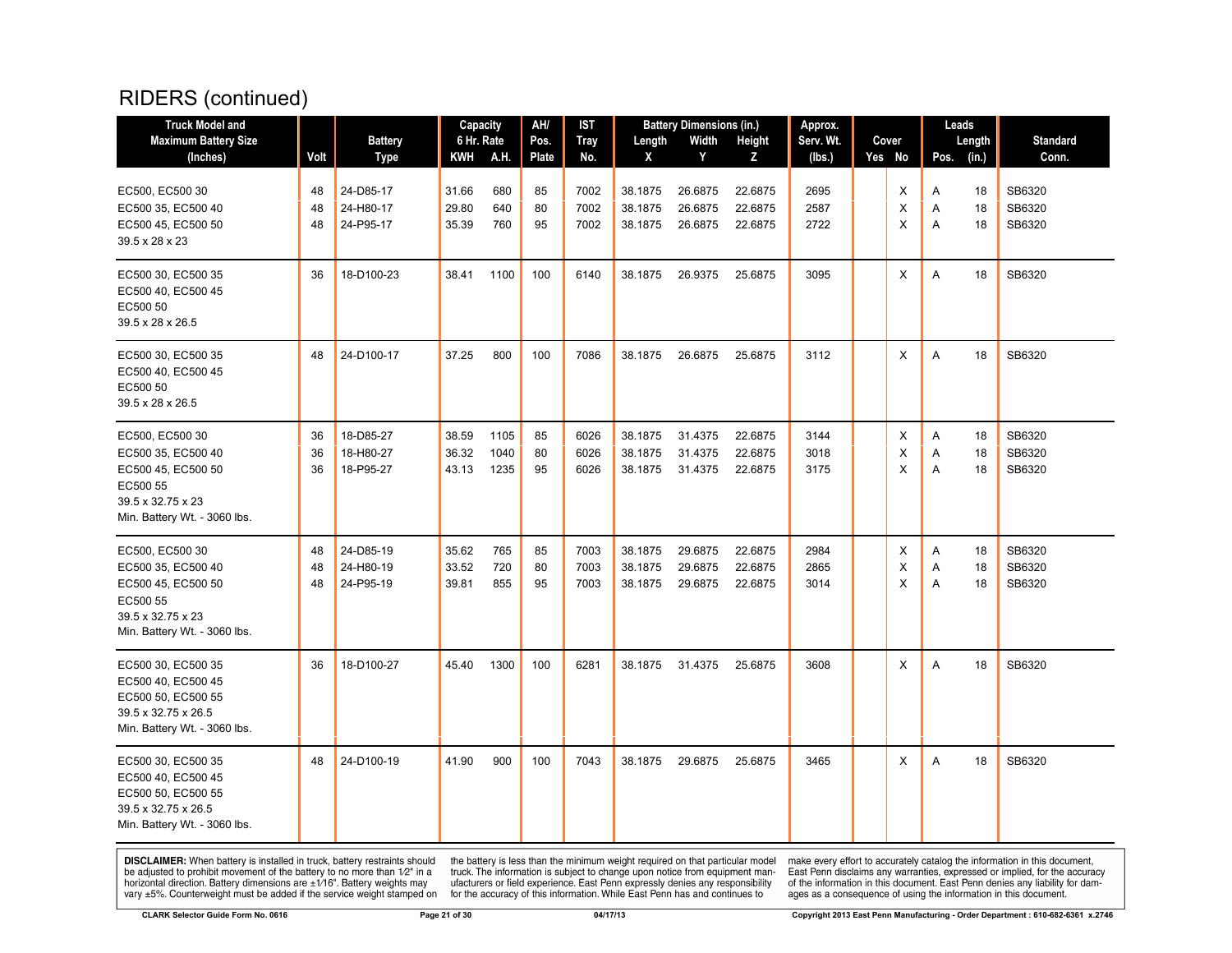| <b>Truck Model and</b>                                                                                                       |                | <b>Battery</b>                      | Capacity<br>6 Hr. Rate  |                      | AH/<br>Pos.    | IST                  |                               | <b>Battery Dimensions (in.)</b><br>Width |                               | Approx.<br>Serv. Wt. | Cover       | Leads       |                 | <b>Standard</b>            |
|------------------------------------------------------------------------------------------------------------------------------|----------------|-------------------------------------|-------------------------|----------------------|----------------|----------------------|-------------------------------|------------------------------------------|-------------------------------|----------------------|-------------|-------------|-----------------|----------------------------|
| <b>Maximum Battery Size</b><br>(Inches)                                                                                      | Volt           | <b>Type</b>                         | KWH A.H.                |                      | Plate          | <b>Tray</b><br>No.   | Length<br>X                   | Y                                        | Height<br>z                   | (Ibs.)               | Yes No      | Pos.        | Length<br>(in.) | Conn.                      |
| EC500, EC500 30<br>EC500 35, EC500 40<br>EC500 45, EC500 50<br>39.5 x 28 x 23                                                | 48<br>48<br>48 | 24-D85-17<br>24-H80-17<br>24-P95-17 | 31.66<br>29.80<br>35.39 | 680<br>640<br>760    | 85<br>80<br>95 | 7002<br>7002<br>7002 | 38.1875<br>38.1875<br>38.1875 | 26.6875<br>26.6875<br>26.6875            | 22.6875<br>22.6875<br>22.6875 | 2695<br>2587<br>2722 | X<br>X<br>X | Α<br>Α<br>Α | 18<br>18<br>18  | SB6320<br>SB6320<br>SB6320 |
| EC500 30, EC500 35<br>EC500 40, EC500 45<br>EC500 50<br>39.5 x 28 x 26.5                                                     | 36             | 18-D100-23                          | 38.41                   | 1100                 | 100            | 6140                 | 38.1875                       | 26.9375                                  | 25.6875                       | 3095                 | X           | Α           | 18              | SB6320                     |
| EC500 30, EC500 35<br>EC500 40, EC500 45<br>EC500 50<br>39.5 x 28 x 26.5                                                     | 48             | 24-D100-17                          | 37.25                   | 800                  | 100            | 7086                 | 38.1875                       | 26.6875                                  | 25.6875                       | 3112                 | X           | A           | 18              | SB6320                     |
| EC500, EC500 30<br>EC500 35, EC500 40<br>EC500 45, EC500 50<br>EC500 55<br>39.5 x 32.75 x 23<br>Min. Battery Wt. - 3060 lbs. | 36<br>36<br>36 | 18-D85-27<br>18-H80-27<br>18-P95-27 | 38.59<br>36.32<br>43.13 | 1105<br>1040<br>1235 | 85<br>80<br>95 | 6026<br>6026<br>6026 | 38.1875<br>38.1875<br>38.1875 | 31.4375<br>31.4375<br>31.4375            | 22.6875<br>22.6875<br>22.6875 | 3144<br>3018<br>3175 | X<br>X<br>X | Α<br>Α<br>A | 18<br>18<br>18  | SB6320<br>SB6320<br>SB6320 |
| EC500, EC500 30<br>EC500 35, EC500 40<br>EC500 45, EC500 50<br>EC500 55<br>39.5 x 32.75 x 23<br>Min. Battery Wt. - 3060 lbs. | 48<br>48<br>48 | 24-D85-19<br>24-H80-19<br>24-P95-19 | 35.62<br>33.52<br>39.81 | 765<br>720<br>855    | 85<br>80<br>95 | 7003<br>7003<br>7003 | 38.1875<br>38.1875<br>38.1875 | 29.6875<br>29.6875<br>29.6875            | 22.6875<br>22.6875<br>22.6875 | 2984<br>2865<br>3014 | Χ<br>X<br>X | Α<br>Α<br>A | 18<br>18<br>18  | SB6320<br>SB6320<br>SB6320 |
| EC500 30, EC500 35<br>EC500 40, EC500 45<br>EC500 50, EC500 55<br>39.5 x 32.75 x 26.5<br>Min. Battery Wt. - 3060 lbs.        | 36             | 18-D100-27                          | 45.40                   | 1300                 | 100            | 6281                 | 38.1875                       | 31.4375                                  | 25.6875                       | 3608                 | X           | Α           | 18              | SB6320                     |
| EC500 30, EC500 35<br>EC500 40, EC500 45<br>EC500 50, EC500 55<br>39.5 x 32.75 x 26.5<br>Min. Battery Wt. - 3060 lbs.        | 48             | 24-D100-19                          | 41.90                   | 900                  | 100            | 7043                 | 38.1875                       | 29.6875                                  | 25.6875                       | 3465                 | X           | A           | 18              | SB6320                     |

**DISCLAIMER:** When battery is installed in truck, battery restraints should be adjusted to prohibit movement of the battery to no more than  $12^v$  in a horizontal direction. Battery dimensions are  $\pm 1/16^v$ . Battery wei

the battery is less than the minimum weight required on that particular model<br>truck. The information is subject to change upon notice from equipment man-<br>ufacturers or field experience. East Penn expressly denies any respo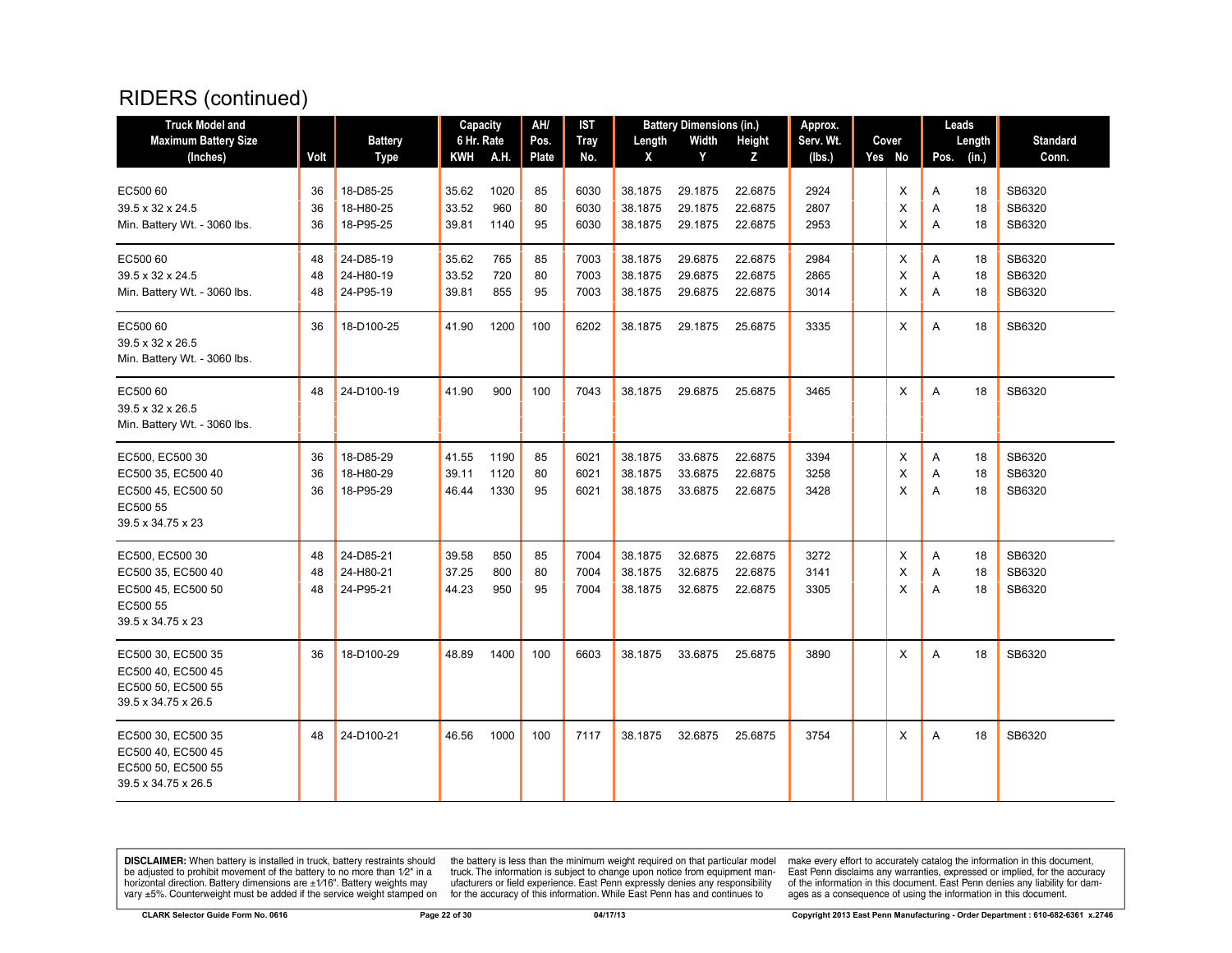| <b>Truck Model and</b>                                                                       |                |                                     | Capacity                |                      | AH/            | <b>IST</b>           |                               | <b>Battery Dimensions (in.)</b> |                               | Approx.              |             | Leads       |                |                            |
|----------------------------------------------------------------------------------------------|----------------|-------------------------------------|-------------------------|----------------------|----------------|----------------------|-------------------------------|---------------------------------|-------------------------------|----------------------|-------------|-------------|----------------|----------------------------|
| <b>Maximum Battery Size</b>                                                                  |                | <b>Battery</b>                      | 6 Hr. Rate              |                      | Pos.           | <b>Tray</b>          | Length                        | Width                           | <b>Height</b>                 | Serv. Wt.            | Cover       |             | Length         | <b>Standard</b>            |
| (Inches)                                                                                     | Volt           | <b>Type</b>                         | KWH                     | <b>A.H.</b>          | Plate          | No.                  | X                             | Y                               | Z                             | (lbs.)               | Yes No      | Pos.        | (in.)          | Conn.                      |
| EC500 60<br>39.5 x 32 x 24.5<br>Min. Battery Wt. - 3060 lbs.                                 | 36<br>36<br>36 | 18-D85-25<br>18-H80-25<br>18-P95-25 | 35.62<br>33.52<br>39.81 | 1020<br>960<br>1140  | 85<br>80<br>95 | 6030<br>6030<br>6030 | 38.1875<br>38.1875<br>38.1875 | 29.1875<br>29.1875<br>29.1875   | 22.6875<br>22.6875<br>22.6875 | 2924<br>2807<br>2953 | X<br>X<br>X | A<br>Α<br>A | 18<br>18<br>18 | SB6320<br>SB6320<br>SB6320 |
| EC500 60<br>39.5 x 32 x 24.5<br>Min. Battery Wt. - 3060 lbs.                                 | 48<br>48<br>48 | 24-D85-19<br>24-H80-19<br>24-P95-19 | 35.62<br>33.52<br>39.81 | 765<br>720<br>855    | 85<br>80<br>95 | 7003<br>7003<br>7003 | 38.1875<br>38.1875<br>38.1875 | 29.6875<br>29.6875<br>29.6875   | 22.6875<br>22.6875<br>22.6875 | 2984<br>2865<br>3014 | Х<br>X<br>X | Α<br>A<br>A | 18<br>18<br>18 | SB6320<br>SB6320<br>SB6320 |
| EC500 60<br>39.5 x 32 x 26.5<br>Min. Battery Wt. - 3060 lbs.                                 | 36             | 18-D100-25                          | 41.90                   | 1200                 | 100            | 6202                 | 38.1875                       | 29.1875                         | 25.6875                       | 3335                 | X           | A           | 18             | SB6320                     |
| EC500 60<br>39.5 x 32 x 26.5<br>Min. Battery Wt. - 3060 lbs.                                 | 48             | 24-D100-19                          | 41.90                   | 900                  | 100            | 7043                 | 38.1875                       | 29.6875                         | 25.6875                       | 3465                 | X           | A           | 18             | SB6320                     |
| EC500, EC500 30<br>EC500 35, EC500 40<br>EC500 45, EC500 50<br>EC500 55<br>39.5 x 34.75 x 23 | 36<br>36<br>36 | 18-D85-29<br>18-H80-29<br>18-P95-29 | 41.55<br>39.11<br>46.44 | 1190<br>1120<br>1330 | 85<br>80<br>95 | 6021<br>6021<br>6021 | 38.1875<br>38.1875<br>38.1875 | 33.6875<br>33.6875<br>33.6875   | 22.6875<br>22.6875<br>22.6875 | 3394<br>3258<br>3428 | X<br>X<br>X | Α<br>Α<br>A | 18<br>18<br>18 | SB6320<br>SB6320<br>SB6320 |
| EC500, EC500 30<br>EC500 35, EC500 40<br>EC500 45, EC500 50<br>EC500 55<br>39.5 x 34.75 x 23 | 48<br>48<br>48 | 24-D85-21<br>24-H80-21<br>24-P95-21 | 39.58<br>37.25<br>44.23 | 850<br>800<br>950    | 85<br>80<br>95 | 7004<br>7004<br>7004 | 38.1875<br>38.1875<br>38.1875 | 32.6875<br>32.6875<br>32.6875   | 22.6875<br>22.6875<br>22.6875 | 3272<br>3141<br>3305 | Х<br>X<br>X | A<br>A<br>A | 18<br>18<br>18 | SB6320<br>SB6320<br>SB6320 |
| EC500 30, EC500 35<br>EC500 40, EC500 45<br>EC500 50, EC500 55<br>39.5 x 34.75 x 26.5        | 36             | 18-D100-29                          | 48.89                   | 1400                 | 100            | 6603                 | 38.1875                       | 33.6875                         | 25.6875                       | 3890                 | X           | A           | 18             | SB6320                     |
| EC500 30, EC500 35<br>EC500 40, EC500 45<br>EC500 50, EC500 55<br>39.5 x 34.75 x 26.5        | 48             | 24-D100-21                          | 46.56                   | 1000                 | 100            | 7117                 | 38.1875                       | 32.6875                         | 25.6875                       | 3754                 | X           | A           | 18             | SB6320                     |

**DISCLAIMER:** When battery is installed in truck, battery restraints should be adjusted to prohibit movement of the battery to no more than  $12^v$  in a horizontal direction. Battery dimensions are  $\pm 1/16^v$ . Battery wei

the battery is less than the minimum weight required on that particular model<br>truck. The information is subject to change upon notice from equipment man-<br>ufacturers or field experience. East Penn expressly denies any respo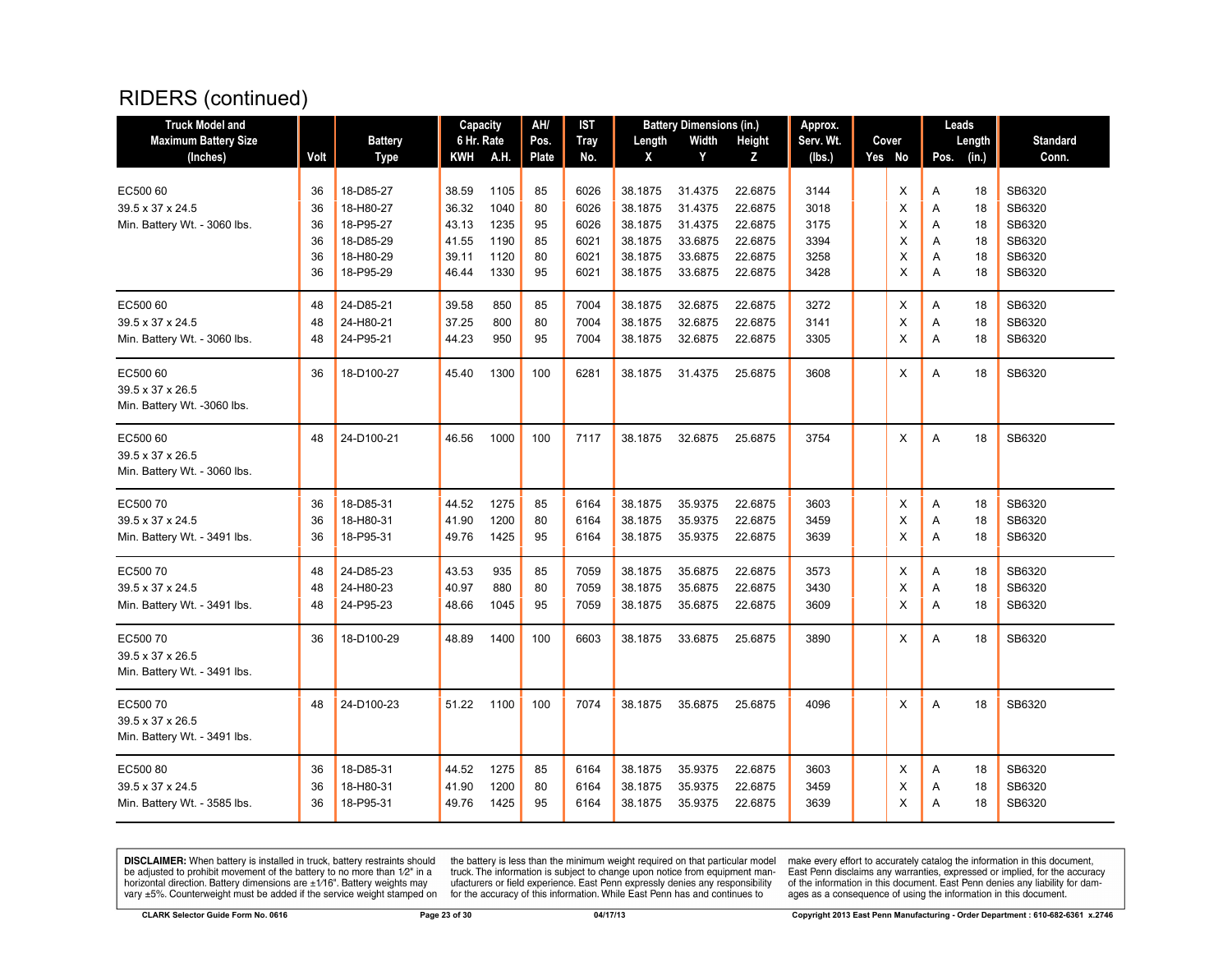| <b>Truck Model and</b>                                       |                      |                                                  | Capacity                         |                              | AH/                  | IST                          |                                          | <b>Battery Dimensions (in.)</b>          |                                          | Approx.                      |                  | Leads                                    |                                      |
|--------------------------------------------------------------|----------------------|--------------------------------------------------|----------------------------------|------------------------------|----------------------|------------------------------|------------------------------------------|------------------------------------------|------------------------------------------|------------------------------|------------------|------------------------------------------|--------------------------------------|
| <b>Maximum Battery Size</b>                                  |                      | <b>Battery</b>                                   | 6 Hr. Rate                       |                              | Pos.                 | <b>Tray</b>                  | Length                                   | Width                                    | Height                                   | Serv. Wt.                    | Cover            | Length                                   | <b>Standard</b>                      |
| (Inches)                                                     | Volt                 | <b>Type</b>                                      | KWH                              | A.H.                         | Plate                | No.                          | X                                        | Y                                        | z                                        | (lbs.)                       | Yes No           | (in.)<br>Pos.                            | Conn.                                |
| EC500 60<br>39.5 x 37 x 24.5                                 | 36<br>36             | 18-D85-27<br>18-H80-27                           | 38.59<br>36.32                   | 1105<br>1040                 | 85<br>80             | 6026<br>6026                 | 38.1875<br>38.1875                       | 31.4375<br>31.4375                       | 22.6875<br>22.6875                       | 3144<br>3018                 | X<br>X           | A<br>18<br>18<br>A                       | SB6320<br>SB6320                     |
| Min. Battery Wt. - 3060 lbs.                                 | 36<br>36<br>36<br>36 | 18-P95-27<br>18-D85-29<br>18-H80-29<br>18-P95-29 | 43.13<br>41.55<br>39.11<br>46.44 | 1235<br>1190<br>1120<br>1330 | 95<br>85<br>80<br>95 | 6026<br>6021<br>6021<br>6021 | 38.1875<br>38.1875<br>38.1875<br>38.1875 | 31.4375<br>33.6875<br>33.6875<br>33.6875 | 22.6875<br>22.6875<br>22.6875<br>22.6875 | 3175<br>3394<br>3258<br>3428 | X<br>X<br>X<br>X | A<br>18<br>18<br>A<br>18<br>Α<br>A<br>18 | SB6320<br>SB6320<br>SB6320<br>SB6320 |
| EC500 60<br>39.5 x 37 x 24.5<br>Min. Battery Wt. - 3060 lbs. | 48<br>48<br>48       | 24-D85-21<br>24-H80-21<br>24-P95-21              | 39.58<br>37.25<br>44.23          | 850<br>800<br>950            | 85<br>80<br>95       | 7004<br>7004<br>7004         | 38.1875<br>38.1875<br>38.1875            | 32.6875<br>32.6875<br>32.6875            | 22.6875<br>22.6875<br>22.6875            | 3272<br>3141<br>3305         | X<br>X<br>X      | A<br>18<br>18<br>Α<br>A<br>18            | SB6320<br>SB6320<br>SB6320           |
| EC500 60<br>39.5 x 37 x 26.5<br>Min. Battery Wt. -3060 lbs.  | 36                   | 18-D100-27                                       | 45.40                            | 1300                         | 100                  | 6281                         | 38.1875                                  | 31.4375                                  | 25.6875                                  | 3608                         | Χ                | Α<br>18                                  | SB6320                               |
| EC500 60<br>39.5 x 37 x 26.5<br>Min. Battery Wt. - 3060 lbs. | 48                   | 24-D100-21                                       | 46.56                            | 1000                         | 100                  | 7117                         | 38.1875                                  | 32.6875                                  | 25.6875                                  | 3754                         | X                | A<br>18                                  | SB6320                               |
| EC50070<br>39.5 x 37 x 24.5<br>Min. Battery Wt. - 3491 lbs.  | 36<br>36<br>36       | 18-D85-31<br>18-H80-31<br>18-P95-31              | 44.52<br>41.90<br>49.76          | 1275<br>1200<br>1425         | 85<br>80<br>95       | 6164<br>6164<br>6164         | 38.1875<br>38.1875<br>38.1875            | 35.9375<br>35.9375<br>35.9375            | 22.6875<br>22.6875<br>22.6875            | 3603<br>3459<br>3639         | X<br>X<br>X      | Α<br>18<br>Α<br>18<br>Α<br>18            | SB6320<br>SB6320<br>SB6320           |
| EC50070<br>39.5 x 37 x 24.5<br>Min. Battery Wt. - 3491 lbs.  | 48<br>48<br>48       | 24-D85-23<br>24-H80-23<br>24-P95-23              | 43.53<br>40.97<br>48.66          | 935<br>880<br>1045           | 85<br>80<br>95       | 7059<br>7059<br>7059         | 38.1875<br>38.1875<br>38.1875            | 35.6875<br>35.6875<br>35.6875            | 22.6875<br>22.6875<br>22.6875            | 3573<br>3430<br>3609         | X<br>X<br>X      | A<br>18<br>18<br>Α<br>A<br>18            | SB6320<br>SB6320<br>SB6320           |
| EC50070<br>39.5 x 37 x 26.5<br>Min. Battery Wt. - 3491 lbs.  | 36                   | 18-D100-29                                       | 48.89                            | 1400                         | 100                  | 6603                         | 38.1875                                  | 33.6875                                  | 25.6875                                  | 3890                         | Х                | Α<br>18                                  | SB6320                               |
| EC50070<br>39.5 x 37 x 26.5<br>Min. Battery Wt. - 3491 lbs.  | 48                   | 24-D100-23                                       | 51.22                            | 1100                         | 100                  | 7074                         | 38.1875                                  | 35.6875                                  | 25.6875                                  | 4096                         | X                | A<br>18                                  | SB6320                               |
| EC50080<br>39.5 x 37 x 24.5<br>Min. Battery Wt. - 3585 lbs.  | 36<br>36<br>36       | 18-D85-31<br>18-H80-31<br>18-P95-31              | 44.52<br>41.90<br>49.76          | 1275<br>1200<br>1425         | 85<br>80<br>95       | 6164<br>6164<br>6164         | 38.1875<br>38.1875<br>38.1875            | 35.9375<br>35.9375<br>35.9375            | 22.6875<br>22.6875<br>22.6875            | 3603<br>3459<br>3639         | X<br>X<br>X      | Α<br>18<br>18<br>Α<br>Α<br>18            | SB6320<br>SB6320<br>SB6320           |

**DISCLAIMER:** When battery is installed in truck, battery restraints should be adjusted to prohibit movement of the battery to no more than  $12^v$  in a horizontal direction. Battery dimensions are  $\pm 1/16^v$ . Battery wei

the battery is less than the minimum weight required on that particular model<br>truck. The information is subject to change upon notice from equipment man-<br>ufacturers or field experience. East Penn expressly denies any respo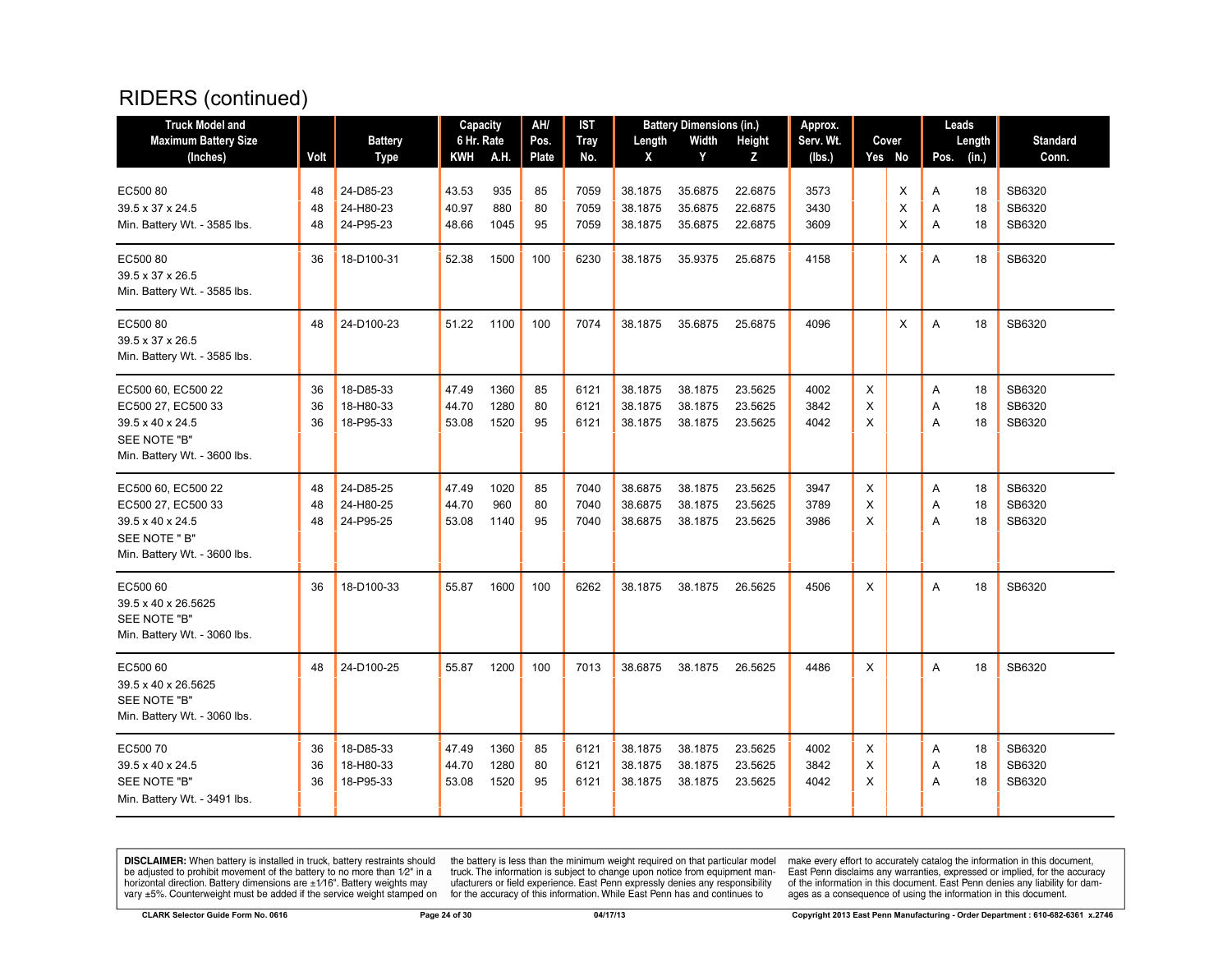| <b>Truck Model and</b>                                                                                        |                |                                     | Capacity                |                      | AH/            | IST                  |                               | <b>Battery Dimensions (in.)</b> |                               | Approx.              |             |             | Leads       |                |                            |
|---------------------------------------------------------------------------------------------------------------|----------------|-------------------------------------|-------------------------|----------------------|----------------|----------------------|-------------------------------|---------------------------------|-------------------------------|----------------------|-------------|-------------|-------------|----------------|----------------------------|
| <b>Maximum Battery Size</b>                                                                                   |                | <b>Battery</b>                      | 6 Hr. Rate              |                      | Pos.           | <b>Tray</b>          | Length                        | Width                           | Height                        | Serv. Wt.            |             | Cover       |             | Length         | <b>Standard</b>            |
| (Inches)                                                                                                      | Volt           | Type                                | KWH                     | A.H.                 | Plate          | No.                  | X                             | Y                               | Z                             | (lbs.)               |             | Yes No      | Pos.        | (in.)          | Conn.                      |
| EC50080<br>39.5 x 37 x 24.5<br>Min. Battery Wt. - 3585 lbs.                                                   | 48<br>48<br>48 | 24-D85-23<br>24-H80-23<br>24-P95-23 | 43.53<br>40.97<br>48.66 | 935<br>880<br>1045   | 85<br>80<br>95 | 7059<br>7059<br>7059 | 38.1875<br>38.1875<br>38.1875 | 35.6875<br>35.6875<br>35.6875   | 22.6875<br>22.6875<br>22.6875 | 3573<br>3430<br>3609 |             | X<br>X<br>X | Α<br>Α<br>A | 18<br>18<br>18 | SB6320<br>SB6320<br>SB6320 |
| EC50080<br>39.5 x 37 x 26.5<br>Min. Battery Wt. - 3585 lbs.                                                   | 36             | 18-D100-31                          | 52.38                   | 1500                 | 100            | 6230                 | 38.1875                       | 35.9375                         | 25.6875                       | 4158                 |             | X           | A           | 18             | SB6320                     |
| EC50080<br>39.5 x 37 x 26.5<br>Min. Battery Wt. - 3585 lbs.                                                   | 48             | 24-D100-23                          | 51.22                   | 1100                 | 100            | 7074                 | 38.1875                       | 35.6875                         | 25.6875                       | 4096                 |             | X           | A           | 18             | SB6320                     |
| EC500 60, EC500 22<br>EC500 27, EC500 33<br>39.5 x 40 x 24.5<br>SEE NOTE "B"<br>Min. Battery Wt. - 3600 lbs.  | 36<br>36<br>36 | 18-D85-33<br>18-H80-33<br>18-P95-33 | 47.49<br>44.70<br>53.08 | 1360<br>1280<br>1520 | 85<br>80<br>95 | 6121<br>6121<br>6121 | 38.1875<br>38.1875<br>38.1875 | 38.1875<br>38.1875<br>38.1875   | 23.5625<br>23.5625<br>23.5625 | 4002<br>3842<br>4042 | X<br>X<br>X |             | Α<br>A<br>A | 18<br>18<br>18 | SB6320<br>SB6320<br>SB6320 |
| EC500 60, EC500 22<br>EC500 27, EC500 33<br>39.5 x 40 x 24.5<br>SEE NOTE " B"<br>Min. Battery Wt. - 3600 lbs. | 48<br>48<br>48 | 24-D85-25<br>24-H80-25<br>24-P95-25 | 47.49<br>44.70<br>53.08 | 1020<br>960<br>1140  | 85<br>80<br>95 | 7040<br>7040<br>7040 | 38.6875<br>38.6875<br>38.6875 | 38.1875<br>38.1875<br>38.1875   | 23.5625<br>23.5625<br>23.5625 | 3947<br>3789<br>3986 | X<br>X<br>X |             | A<br>A<br>A | 18<br>18<br>18 | SB6320<br>SB6320<br>SB6320 |
| EC500 60<br>39.5 x 40 x 26.5625<br>SEE NOTE "B"<br>Min. Battery Wt. - 3060 lbs.                               | 36             | 18-D100-33                          | 55.87                   | 1600                 | 100            | 6262                 | 38.1875                       | 38.1875                         | 26.5625                       | 4506                 | X           |             | A           | 18             | SB6320                     |
| EC500 60<br>39.5 x 40 x 26.5625<br>SEE NOTE "B"<br>Min. Battery Wt. - 3060 lbs.                               | 48             | 24-D100-25                          | 55.87                   | 1200                 | 100            | 7013                 | 38.6875                       | 38.1875                         | 26.5625                       | 4486                 | X           |             | A           | 18             | SB6320                     |
| EC50070<br>39.5 x 40 x 24.5<br>SEE NOTE "B"<br>Min. Battery Wt. - 3491 lbs.                                   | 36<br>36<br>36 | 18-D85-33<br>18-H80-33<br>18-P95-33 | 47.49<br>44.70<br>53.08 | 1360<br>1280<br>1520 | 85<br>80<br>95 | 6121<br>6121<br>6121 | 38.1875<br>38.1875<br>38.1875 | 38.1875<br>38.1875<br>38.1875   | 23.5625<br>23.5625<br>23.5625 | 4002<br>3842<br>4042 | X<br>X<br>X |             | A<br>Α<br>A | 18<br>18<br>18 | SB6320<br>SB6320<br>SB6320 |

**DISCLAIMER:** When battery is installed in truck, battery restraints should be adjusted to prohibit movement of the battery to no more than  $12^v$  in a horizontal direction. Battery dimensions are  $\pm 1/16^v$ . Battery wei

the battery is less than the minimum weight required on that particular model<br>truck. The information is subject to change upon notice from equipment man-<br>ufacturers or field experience. East Penn expressly denies any respo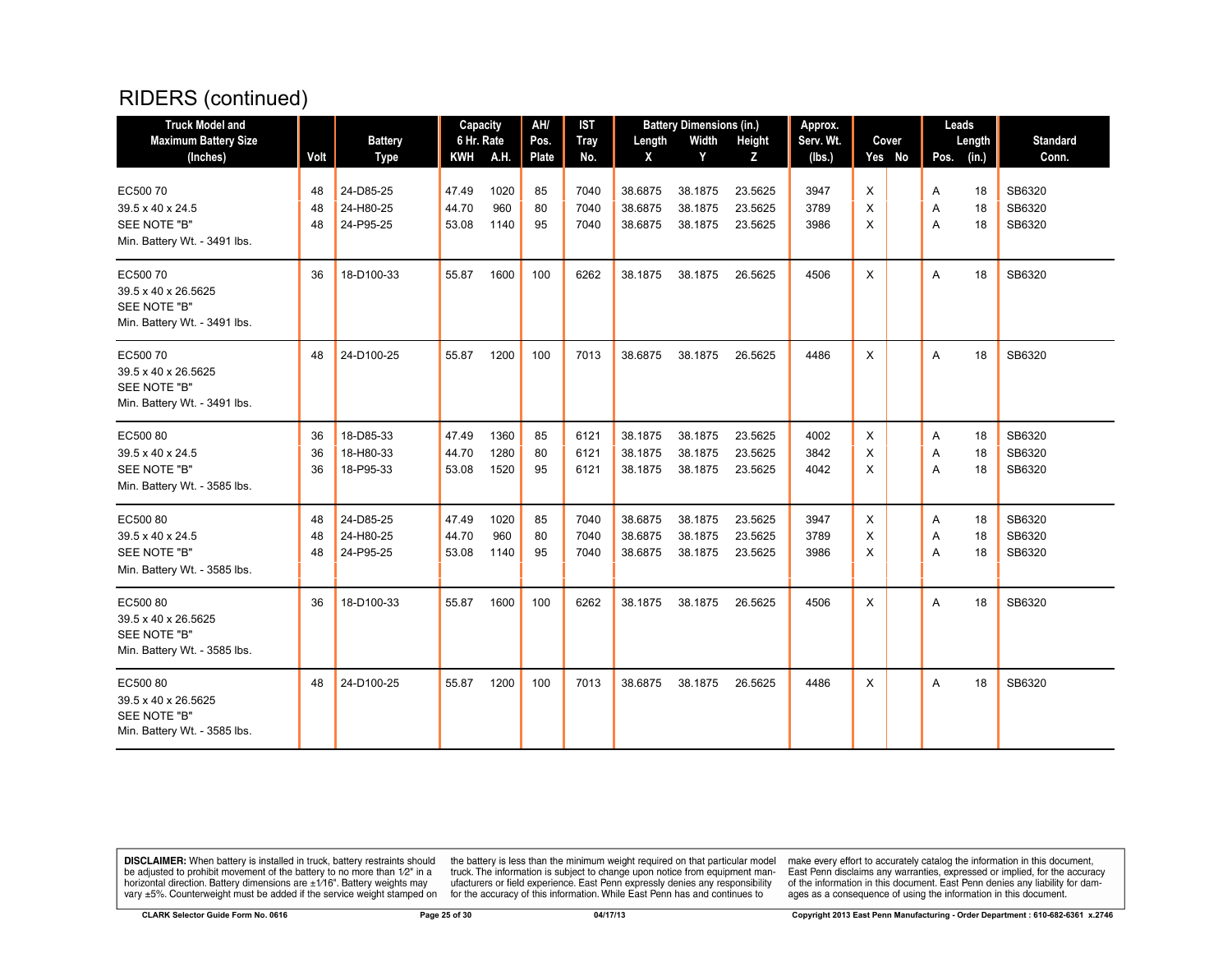| <b>Truck Model and</b>                                                         |                |                                     | Capacity                |                      | AH/            | <b>IST</b>           |                               | <b>Battery Dimensions (in.)</b> |                               | Approx.              |             |        |             | Leads          |                            |
|--------------------------------------------------------------------------------|----------------|-------------------------------------|-------------------------|----------------------|----------------|----------------------|-------------------------------|---------------------------------|-------------------------------|----------------------|-------------|--------|-------------|----------------|----------------------------|
| <b>Maximum Battery Size</b>                                                    |                | <b>Battery</b>                      | 6 Hr. Rate              |                      | Pos.           | <b>Tray</b>          | Length                        | Width                           | Height                        | Serv. Wt.            |             | Cover  |             | Length         | <b>Standard</b>            |
| (Inches)                                                                       | Volt           | <b>Type</b>                         | <b>KWH</b>              | A.H.                 | <b>Plate</b>   | No.                  | X                             | Y                               | Z                             | (lbs.)               |             | Yes No | Pos.        | (in.)          | Conn.                      |
| EC50070<br>39.5 x 40 x 24.5<br>SEE NOTE "B"<br>Min. Battery Wt. - 3491 lbs.    | 48<br>48<br>48 | 24-D85-25<br>24-H80-25<br>24-P95-25 | 47.49<br>44.70<br>53.08 | 1020<br>960<br>1140  | 85<br>80<br>95 | 7040<br>7040<br>7040 | 38.6875<br>38.6875<br>38.6875 | 38.1875<br>38.1875<br>38.1875   | 23.5625<br>23.5625<br>23.5625 | 3947<br>3789<br>3986 | X<br>X<br>X |        | Α<br>A<br>A | 18<br>18<br>18 | SB6320<br>SB6320<br>SB6320 |
| EC50070<br>39.5 x 40 x 26.5625<br>SEE NOTE "B"<br>Min. Battery Wt. - 3491 lbs. | 36             | 18-D100-33                          | 55.87                   | 1600                 | 100            | 6262                 | 38.1875                       | 38.1875                         | 26.5625                       | 4506                 | X           |        | A           | 18             | SB6320                     |
| EC50070<br>39.5 x 40 x 26.5625<br>SEE NOTE "B"<br>Min. Battery Wt. - 3491 lbs. | 48             | 24-D100-25                          | 55.87                   | 1200                 | 100            | 7013                 | 38.6875                       | 38.1875                         | 26.5625                       | 4486                 | X           |        | A           | 18             | SB6320                     |
| EC50080<br>39.5 x 40 x 24.5<br>SEE NOTE "B"<br>Min. Battery Wt. - 3585 lbs.    | 36<br>36<br>36 | 18-D85-33<br>18-H80-33<br>18-P95-33 | 47.49<br>44.70<br>53.08 | 1360<br>1280<br>1520 | 85<br>80<br>95 | 6121<br>6121<br>6121 | 38.1875<br>38.1875<br>38.1875 | 38.1875<br>38.1875<br>38.1875   | 23.5625<br>23.5625<br>23.5625 | 4002<br>3842<br>4042 | X<br>X<br>X |        | Α<br>A<br>A | 18<br>18<br>18 | SB6320<br>SB6320<br>SB6320 |
| EC50080<br>39.5 x 40 x 24.5<br>SEE NOTE "B"<br>Min. Battery Wt. - 3585 lbs.    | 48<br>48<br>48 | 24-D85-25<br>24-H80-25<br>24-P95-25 | 47.49<br>44.70<br>53.08 | 1020<br>960<br>1140  | 85<br>80<br>95 | 7040<br>7040<br>7040 | 38.6875<br>38.6875<br>38.6875 | 38.1875<br>38.1875<br>38.1875   | 23.5625<br>23.5625<br>23.5625 | 3947<br>3789<br>3986 | X<br>X<br>X |        | Α<br>A<br>A | 18<br>18<br>18 | SB6320<br>SB6320<br>SB6320 |
| EC50080<br>39.5 x 40 x 26.5625<br>SEE NOTE "B"<br>Min. Battery Wt. - 3585 lbs. | 36             | 18-D100-33                          | 55.87                   | 1600                 | 100            | 6262                 | 38.1875                       | 38.1875                         | 26.5625                       | 4506                 | X           |        | A           | 18             | SB6320                     |
| EC50080<br>39.5 x 40 x 26.5625<br>SEE NOTE "B"<br>Min. Battery Wt. - 3585 lbs. | 48             | 24-D100-25                          | 55.87                   | 1200                 | 100            | 7013                 | 38.6875                       | 38.1875                         | 26.5625                       | 4486                 | X           |        | A           | 18             | SB6320                     |

**DISCLAIMER:** When battery is installed in truck, battery restraints should be adjusted to prohibit movement of the battery to no more than  $1/2$ " in a horizontal direction. Battery dimensions are  $\pm 1/16$ ". Battery weig

the battery is less than the minimum weight required on that particular model<br>truck. The information is subject to change upon notice from equipment man-<br>ufacturers or field experience. East Penn expressly denies any respo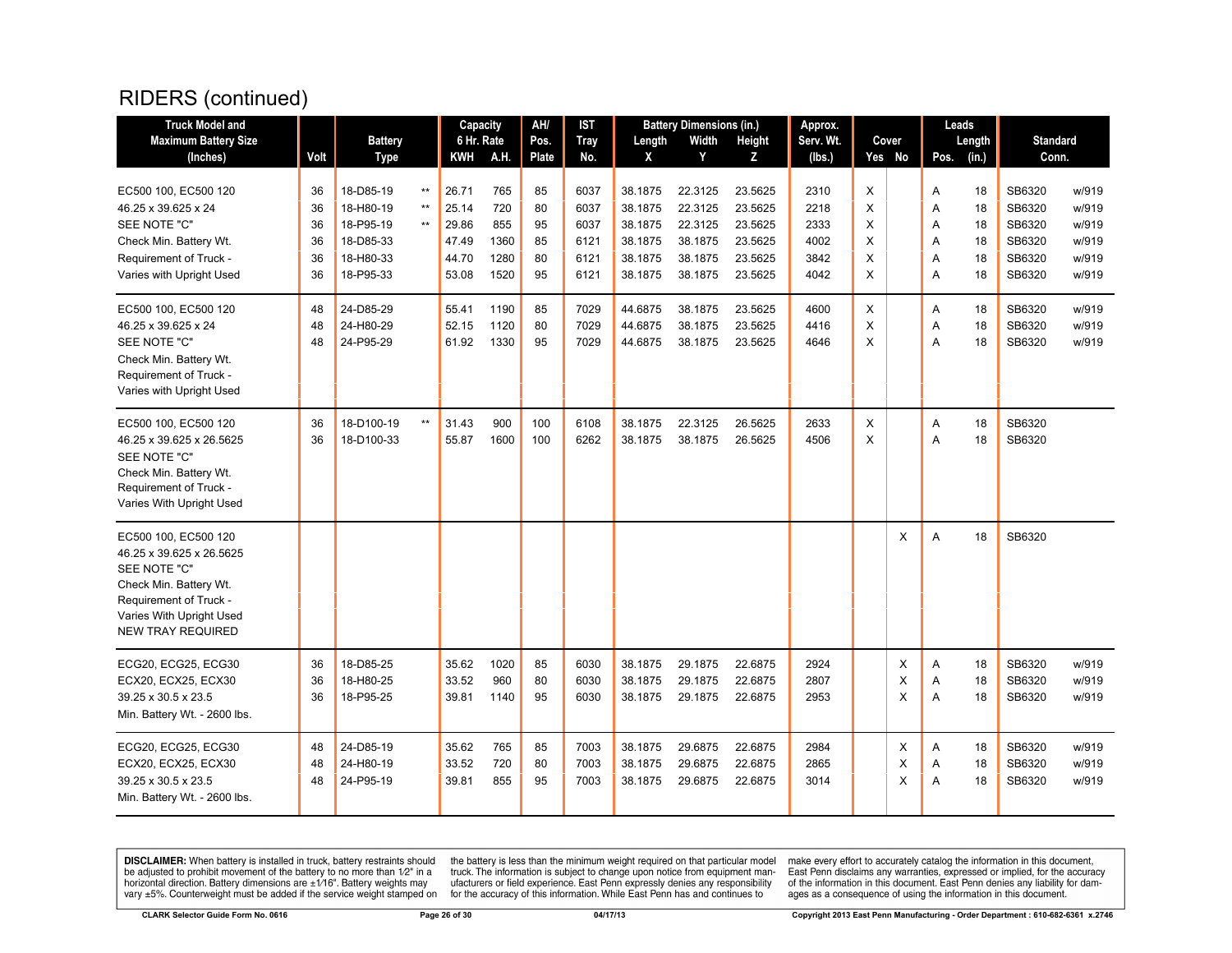| <b>Truck Model and</b>                                                                                                                                                                     |                                              |                                                                                                      |                                                       | Capacity                                                             |                                                           | AH/                                          | IST                                                          |                                                                                      | <b>Battery Dimensions (in.)</b>                                                      |                                                                                      | Approx.                                                      |                                      |                    |                                      | Leads                                        |                                                                              |                                                                      |
|--------------------------------------------------------------------------------------------------------------------------------------------------------------------------------------------|----------------------------------------------|------------------------------------------------------------------------------------------------------|-------------------------------------------------------|----------------------------------------------------------------------|-----------------------------------------------------------|----------------------------------------------|--------------------------------------------------------------|--------------------------------------------------------------------------------------|--------------------------------------------------------------------------------------|--------------------------------------------------------------------------------------|--------------------------------------------------------------|--------------------------------------|--------------------|--------------------------------------|----------------------------------------------|------------------------------------------------------------------------------|----------------------------------------------------------------------|
| <b>Maximum Battery Size</b>                                                                                                                                                                |                                              | <b>Battery</b>                                                                                       |                                                       | 6 Hr. Rate                                                           |                                                           | Pos.                                         | <b>Tray</b>                                                  | Length                                                                               | Width                                                                                | Height                                                                               | Serv. Wt.                                                    |                                      | Cover              |                                      | Length                                       | <b>Standard</b>                                                              |                                                                      |
| (Inches)                                                                                                                                                                                   | Volt                                         | <b>Type</b>                                                                                          |                                                       | KWH                                                                  | A.H.                                                      | Plate                                        | No.                                                          | X                                                                                    | Y                                                                                    | z                                                                                    | (lbs.)                                                       |                                      | Yes No             | Pos.                                 | (in.)                                        | Conn.                                                                        |                                                                      |
| EC500 100, EC500 120<br>46.25 x 39.625 x 24<br>SEE NOTE "C"<br>Check Min. Battery Wt.<br>Requirement of Truck -<br>Varies with Upright Used<br>EC500 100, EC500 120<br>46.25 x 39.625 x 24 | 36<br>36<br>36<br>36<br>36<br>36<br>48<br>48 | 18-D85-19<br>18-H80-19<br>18-P95-19<br>18-D85-33<br>18-H80-33<br>18-P95-33<br>24-D85-29<br>24-H80-29 | $^{\star\star}$<br>$^{\star\star}$<br>$^{\star\star}$ | 26.71<br>25.14<br>29.86<br>47.49<br>44.70<br>53.08<br>55.41<br>52.15 | 765<br>720<br>855<br>1360<br>1280<br>1520<br>1190<br>1120 | 85<br>80<br>95<br>85<br>80<br>95<br>85<br>80 | 6037<br>6037<br>6037<br>6121<br>6121<br>6121<br>7029<br>7029 | 38.1875<br>38.1875<br>38.1875<br>38.1875<br>38.1875<br>38.1875<br>44.6875<br>44.6875 | 22.3125<br>22.3125<br>22.3125<br>38.1875<br>38.1875<br>38.1875<br>38.1875<br>38.1875 | 23.5625<br>23.5625<br>23.5625<br>23.5625<br>23.5625<br>23.5625<br>23.5625<br>23.5625 | 2310<br>2218<br>2333<br>4002<br>3842<br>4042<br>4600<br>4416 | X<br>X<br>X<br>X<br>X<br>X<br>X<br>X |                    | Α<br>A<br>Α<br>A<br>A<br>A<br>Α<br>A | 18<br>18<br>18<br>18<br>18<br>18<br>18<br>18 | SB6320<br>SB6320<br>SB6320<br>SB6320<br>SB6320<br>SB6320<br>SB6320<br>SB6320 | w/919<br>w/919<br>w/919<br>w/919<br>w/919<br>w/919<br>w/919<br>w/919 |
| SEE NOTE "C"<br>Check Min. Battery Wt.<br>Requirement of Truck -<br>Varies with Upright Used                                                                                               | 48                                           | 24-P95-29                                                                                            |                                                       | 61.92                                                                | 1330                                                      | 95                                           | 7029                                                         | 44.6875                                                                              | 38.1875                                                                              | 23.5625                                                                              | 4646                                                         | X                                    |                    | A                                    | 18                                           | SB6320                                                                       | w/919                                                                |
| EC500 100, EC500 120<br>46.25 x 39.625 x 26.5625<br>SEE NOTE "C"<br>Check Min. Battery Wt.<br>Requirement of Truck -<br>Varies With Upright Used                                           | 36<br>36                                     | 18-D100-19<br>18-D100-33                                                                             | $^{\star\star}$                                       | 31.43<br>55.87                                                       | 900<br>1600                                               | 100<br>100                                   | 6108<br>6262                                                 | 38.1875<br>38.1875                                                                   | 22.3125<br>38.1875                                                                   | 26.5625<br>26.5625                                                                   | 2633<br>4506                                                 | Χ<br>X                               |                    | Α<br>A                               | 18<br>18                                     | SB6320<br>SB6320                                                             |                                                                      |
| EC500 100, EC500 120<br>46.25 x 39.625 x 26.5625<br>SEE NOTE "C"<br>Check Min. Battery Wt.<br>Requirement of Truck -<br>Varies With Upright Used<br><b>NEW TRAY REQUIRED</b>               |                                              |                                                                                                      |                                                       |                                                                      |                                                           |                                              |                                                              |                                                                                      |                                                                                      |                                                                                      |                                                              |                                      | X                  | A                                    | 18                                           | SB6320                                                                       |                                                                      |
| ECG20, ECG25, ECG30<br>ECX20, ECX25, ECX30<br>39.25 x 30.5 x 23.5<br>Min. Battery Wt. - 2600 lbs.                                                                                          | 36<br>36<br>36                               | 18-D85-25<br>18-H80-25<br>18-P95-25                                                                  |                                                       | 35.62<br>33.52<br>39.81                                              | 1020<br>960<br>1140                                       | 85<br>80<br>95                               | 6030<br>6030<br>6030                                         | 38.1875<br>38.1875<br>38.1875                                                        | 29.1875<br>29.1875<br>29.1875                                                        | 22.6875<br>22.6875<br>22.6875                                                        | 2924<br>2807<br>2953                                         |                                      | X<br>X<br>$\times$ | A<br>A<br>A                          | 18<br>18<br>18                               | SB6320<br>SB6320<br>SB6320                                                   | w/919<br>w/919<br>w/919                                              |
| ECG20, ECG25, ECG30<br>ECX20, ECX25, ECX30<br>39.25 x 30.5 x 23.5<br>Min. Battery Wt. - 2600 lbs.                                                                                          | 48<br>48<br>48                               | 24-D85-19<br>24-H80-19<br>24-P95-19                                                                  |                                                       | 35.62<br>33.52<br>39.81                                              | 765<br>720<br>855                                         | 85<br>80<br>95                               | 7003<br>7003<br>7003                                         | 38.1875<br>38.1875<br>38.1875                                                        | 29.6875<br>29.6875<br>29.6875                                                        | 22.6875<br>22.6875<br>22.6875                                                        | 2984<br>2865<br>3014                                         |                                      | Х<br>Χ<br>X        | A<br>Α<br>A                          | 18<br>18<br>18                               | SB6320<br>SB6320<br>SB6320                                                   | w/919<br>w/919<br>w/919                                              |

**DISCLAIMER:** When battery is installed in truck, battery restraints should be adjusted to prohibit movement of the battery to no more than  $1/2$ " in a horizontal direction. Battery dimensions are  $\pm 1/16$ ". Battery weig

the battery is less than the minimum weight required on that particular model<br>truck. The information is subject to change upon notice from equipment man-<br>ufacturers or field experience. East Penn expressly denies any respo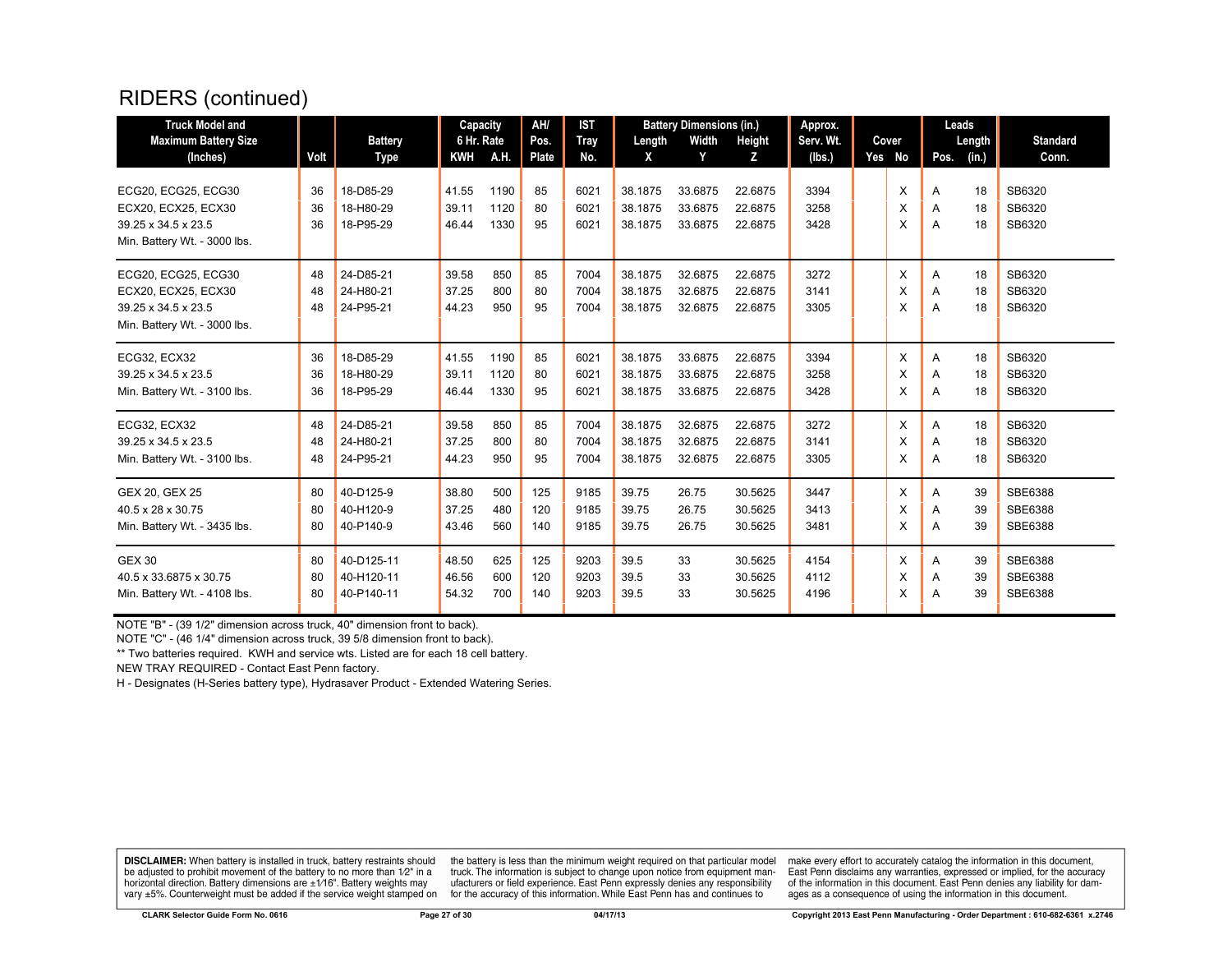| <b>Truck Model and</b><br><b>Maximum Battery Size</b><br>(Inches)                                 | Volt           | <b>Battery</b><br>Type                 | Capacity<br>6 Hr. Rate<br>KWH | A.H.                 | AH/<br>Pos.<br>Plate | <b>IST</b><br>Tray<br>No. | Length<br>X                   | <b>Battery Dimensions (in.)</b><br>Width<br>Y | Height<br>Z                   | Approx.<br>Serv. Wt.<br>(lbs.) | Cover<br>Yes No | Leads<br>Length<br>(in.)<br>Pos. | <b>Standard</b><br>Conn.      |
|---------------------------------------------------------------------------------------------------|----------------|----------------------------------------|-------------------------------|----------------------|----------------------|---------------------------|-------------------------------|-----------------------------------------------|-------------------------------|--------------------------------|-----------------|----------------------------------|-------------------------------|
| ECG20, ECG25, ECG30<br>ECX20, ECX25, ECX30<br>39.25 x 34.5 x 23.5<br>Min. Battery Wt. - 3000 lbs. | 36<br>36<br>36 | 18-D85-29<br>18-H80-29<br>18-P95-29    | 41.55<br>39.11<br>46.44       | 1190<br>1120<br>1330 | 85<br>80<br>95       | 6021<br>6021<br>6021      | 38.1875<br>38.1875<br>38.1875 | 33.6875<br>33.6875<br>33.6875                 | 22.6875<br>22.6875<br>22.6875 | 3394<br>3258<br>3428           | X<br>X<br>X     | 18<br>Α<br>18<br>A<br>18<br>A    | SB6320<br>SB6320<br>SB6320    |
| ECG20, ECG25, ECG30<br>ECX20, ECX25, ECX30<br>39.25 x 34.5 x 23.5<br>Min. Battery Wt. - 3000 lbs. | 48<br>48<br>48 | 24-D85-21<br>24-H80-21<br>24-P95-21    | 39.58<br>37.25<br>44.23       | 850<br>800<br>950    | 85<br>80<br>95       | 7004<br>7004<br>7004      | 38.1875<br>38.1875<br>38.1875 | 32.6875<br>32.6875<br>32.6875                 | 22.6875<br>22.6875<br>22.6875 | 3272<br>3141<br>3305           | X<br>X<br>X     | 18<br>A<br>18<br>A<br>18<br>A    | SB6320<br>SB6320<br>SB6320    |
| ECG32, ECX32<br>39.25 x 34.5 x 23.5<br>Min. Battery Wt. - 3100 lbs.                               | 36<br>36<br>36 | 18-D85-29<br>18-H80-29<br>18-P95-29    | 41.55<br>39.11<br>46.44       | 1190<br>1120<br>1330 | 85<br>80<br>95       | 6021<br>6021<br>6021      | 38.1875<br>38.1875<br>38.1875 | 33.6875<br>33.6875<br>33.6875                 | 22.6875<br>22.6875<br>22.6875 | 3394<br>3258<br>3428           | X<br>X<br>X     | 18<br>A<br>18<br>A<br>18<br>A    | SB6320<br>SB6320<br>SB6320    |
| ECG32, ECX32<br>39.25 x 34.5 x 23.5<br>Min. Battery Wt. - 3100 lbs.                               | 48<br>48<br>48 | 24-D85-21<br>24-H80-21<br>24-P95-21    | 39.58<br>37.25<br>44.23       | 850<br>800<br>950    | 85<br>80<br>95       | 7004<br>7004<br>7004      | 38.1875<br>38.1875<br>38.1875 | 32.6875<br>32.6875<br>32.6875                 | 22.6875<br>22.6875<br>22.6875 | 3272<br>3141<br>3305           | X<br>X<br>X     | 18<br>A<br>18<br>A<br>18<br>A    | SB6320<br>SB6320<br>SB6320    |
| GEX 20, GEX 25<br>40.5 x 28 x 30.75<br>Min. Battery Wt. - 3435 lbs.                               | 80<br>80<br>80 | 40-D125-9<br>40-H120-9<br>40-P140-9    | 38.80<br>37.25<br>43.46       | 500<br>480<br>560    | 125<br>120<br>140    | 9185<br>9185<br>9185      | 39.75<br>39.75<br>39.75       | 26.75<br>26.75<br>26.75                       | 30.5625<br>30.5625<br>30.5625 | 3447<br>3413<br>3481           | X<br>X<br>X     | 39<br>A<br>39<br>A<br>39<br>A    | SBE6388<br>SBE6388<br>SBE6388 |
| <b>GEX 30</b><br>40.5 x 33.6875 x 30.75<br>Min. Battery Wt. - 4108 lbs.                           | 80<br>80<br>80 | 40-D125-11<br>40-H120-11<br>40-P140-11 | 48.50<br>46.56<br>54.32       | 625<br>600<br>700    | 125<br>120<br>140    | 9203<br>9203<br>9203      | 39.5<br>39.5<br>39.5          | 33<br>33<br>33                                | 30.5625<br>30.5625<br>30.5625 | 4154<br>4112<br>4196           | X<br>X<br>X     | 39<br>A<br>39<br>Α<br>39<br>A    | SBE6388<br>SBE6388<br>SBE6388 |

NOTE "B" - (39 1/2" dimension across truck, 40" dimension front to back).

NOTE "C" - (46 1/4" dimension across truck, 39 5/8 dimension front to back).

\*\* Two batteries required. KWH and service wts. Listed are for each 18 cell battery.

NEW TRAY REQUIRED - Contact East Penn factory.

H - Designates (H-Series battery type), Hydrasaver Product - Extended Watering Series.

**DISCLAIMER:** When battery is installed in truck, battery restraints should be adjusted to prohibit movement of the battery to no more than 1/2" in a horizontal direction. Battery dimensions are  $\pm 1/16$ ". Battery weights may vary ±5%. Counterweight must be added if the service weight stamped on

the battery is less than the minimum weight required on that particular model<br>truck. The information is subject to change upon notice from equipment manufacturers or field experience. East Penn expressly denies any responsibility for the accuracy of this information. While East Penn has and continues to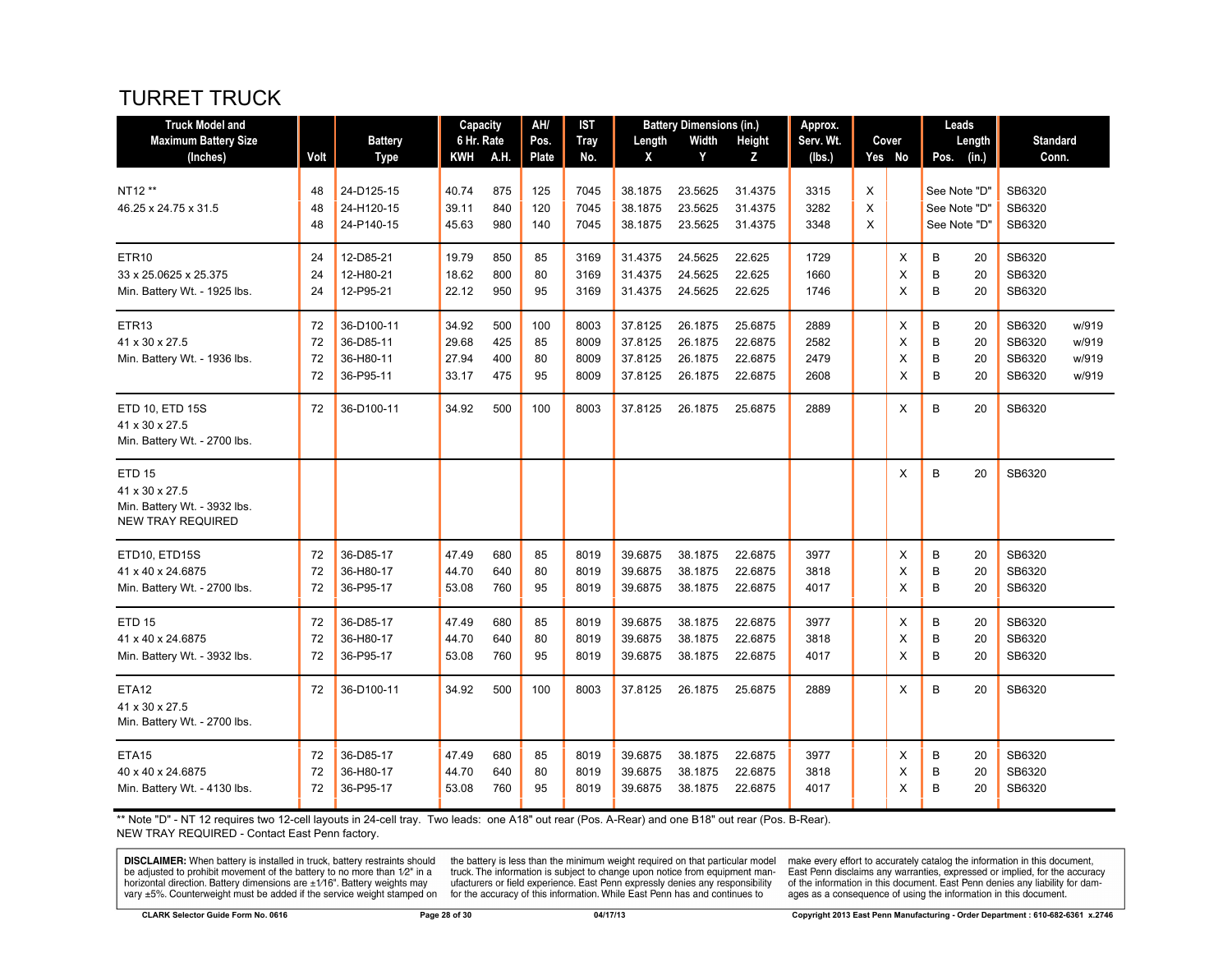# TURRET TRUCK

| <b>Truck Model and</b>                                                                      |                      |                                                   | Capacity                         |                          | AH/                   | <b>IST</b>                   |                                          | <b>Battery Dimensions (in.)</b>          |                                          | Approx.                      |             |                  | Leads                                        |                                                                          |
|---------------------------------------------------------------------------------------------|----------------------|---------------------------------------------------|----------------------------------|--------------------------|-----------------------|------------------------------|------------------------------------------|------------------------------------------|------------------------------------------|------------------------------|-------------|------------------|----------------------------------------------|--------------------------------------------------------------------------|
| <b>Maximum Battery Size</b>                                                                 |                      | <b>Battery</b>                                    | 6 Hr. Rate                       |                          | Pos.                  | <b>Tray</b>                  | Length                                   | Width                                    | Height                                   | Serv. Wt.                    |             | Cover            | Length                                       | <b>Standard</b>                                                          |
| (Inches)                                                                                    | Volt                 | <b>Type</b>                                       | KWH                              | A.H.                     | Plate                 | No.                          | X                                        | Y                                        | z                                        | (lbs.)                       |             | Yes No           | (in.)<br>Pos.                                | Conn.                                                                    |
| NT12 **<br>46.25 x 24.75 x 31.5                                                             | 48<br>48<br>48       | 24-D125-15<br>24-H120-15<br>24-P140-15            | 40.74<br>39.11<br>45.63          | 875<br>840<br>980        | 125<br>120<br>140     | 7045<br>7045<br>7045         | 38.1875<br>38.1875<br>38.1875            | 23.5625<br>23.5625<br>23.5625            | 31.4375<br>31.4375<br>31.4375            | 3315<br>3282<br>3348         | X<br>X<br>X |                  | See Note "D"<br>See Note "D"<br>See Note "D" | SB6320<br>SB6320<br>SB6320                                               |
| ETR <sub>10</sub><br>33 x 25.0625 x 25.375<br>Min. Battery Wt. - 1925 lbs.                  | 24<br>24<br>24       | 12-D85-21<br>12-H80-21<br>12-P95-21               | 19.79<br>18.62<br>22.12          | 850<br>800<br>950        | 85<br>80<br>95        | 3169<br>3169<br>3169         | 31.4375<br>31.4375<br>31.4375            | 24.5625<br>24.5625<br>24.5625            | 22.625<br>22.625<br>22.625               | 1729<br>1660<br>1746         |             | Χ<br>X<br>X      | B<br>20<br>B<br>20<br>B<br>20                | SB6320<br>SB6320<br>SB6320                                               |
| ETR <sub>13</sub><br>41 x 30 x 27.5<br>Min. Battery Wt. - 1936 lbs.                         | 72<br>72<br>72<br>72 | 36-D100-11<br>36-D85-11<br>36-H80-11<br>36-P95-11 | 34.92<br>29.68<br>27.94<br>33.17 | 500<br>425<br>400<br>475 | 100<br>85<br>80<br>95 | 8003<br>8009<br>8009<br>8009 | 37.8125<br>37.8125<br>37.8125<br>37.8125 | 26.1875<br>26.1875<br>26.1875<br>26.1875 | 25.6875<br>22.6875<br>22.6875<br>22.6875 | 2889<br>2582<br>2479<br>2608 |             | X<br>X<br>X<br>X | В<br>20<br>B<br>20<br>B<br>20<br>B<br>20     | SB6320<br>w/919<br>SB6320<br>w/919<br>SB6320<br>w/919<br>SB6320<br>w/919 |
| ETD 10, ETD 15S<br>41 x 30 x 27.5<br>Min. Battery Wt. - 2700 lbs.                           | 72                   | 36-D100-11                                        | 34.92                            | 500                      | 100                   | 8003                         | 37.8125                                  | 26.1875                                  | 25.6875                                  | 2889                         |             | X                | B<br>20                                      | SB6320                                                                   |
| <b>ETD 15</b><br>41 x 30 x 27.5<br>Min. Battery Wt. - 3932 lbs.<br><b>NEW TRAY REQUIRED</b> |                      |                                                   |                                  |                          |                       |                              |                                          |                                          |                                          |                              |             | X                | B<br>20                                      | SB6320                                                                   |
| ETD10, ETD15S<br>41 x 40 x 24.6875<br>Min. Battery Wt. - 2700 lbs.                          | 72<br>72<br>72       | 36-D85-17<br>36-H80-17<br>36-P95-17               | 47.49<br>44.70<br>53.08          | 680<br>640<br>760        | 85<br>80<br>95        | 8019<br>8019<br>8019         | 39.6875<br>39.6875<br>39.6875            | 38.1875<br>38.1875<br>38.1875            | 22.6875<br>22.6875<br>22.6875            | 3977<br>3818<br>4017         |             | X<br>Х<br>X      | B<br>20<br>B<br>20<br>B<br>20                | SB6320<br>SB6320<br>SB6320                                               |
| <b>ETD 15</b><br>41 x 40 x 24.6875<br>Min. Battery Wt. - 3932 lbs.                          | 72<br>72<br>72       | 36-D85-17<br>36-H80-17<br>36-P95-17               | 47.49<br>44.70<br>53.08          | 680<br>640<br>760        | 85<br>80<br>95        | 8019<br>8019<br>8019         | 39.6875<br>39.6875<br>39.6875            | 38.1875<br>38.1875<br>38.1875            | 22.6875<br>22.6875<br>22.6875            | 3977<br>3818<br>4017         |             | X<br>X<br>X      | B<br>20<br>B<br>20<br>B<br>20                | SB6320<br>SB6320<br>SB6320                                               |
| <b>ETA12</b><br>41 x 30 x 27.5<br>Min. Battery Wt. - 2700 lbs.                              | 72                   | 36-D100-11                                        | 34.92                            | 500                      | 100                   | 8003                         | 37.8125                                  | 26.1875                                  | 25.6875                                  | 2889                         |             | X                | B<br>20                                      | SB6320                                                                   |
| ETA <sub>15</sub><br>40 x 40 x 24.6875<br>Min. Battery Wt. - 4130 lbs.                      | 72<br>72<br>72       | 36-D85-17<br>36-H80-17<br>36-P95-17               | 47.49<br>44.70<br>53.08          | 680<br>640<br>760        | 85<br>80<br>95        | 8019<br>8019<br>8019         | 39.6875<br>39.6875<br>39.6875            | 38.1875<br>38.1875<br>38.1875            | 22.6875<br>22.6875<br>22.6875            | 3977<br>3818<br>4017         |             | Х<br>X<br>X      | B<br>20<br>B<br>20<br>B<br>20                | SB6320<br>SB6320<br>SB6320                                               |

\*\* Note "D" - NT 12 requires two 12-cell layouts in 24-cell tray. Two leads: one A18" out rear (Pos. A-Rear) and one B18" out rear (Pos. B-Rear). NEW TRAY REQUIRED - Contact East Penn factory.

**DISCLAIMER:** When battery is installed in truck, battery restraints should be adjusted to prohibit movement of the battery to no more than 1/2" in a horizontal direction. Battery dimensions are  $\pm 1/16$ ". Battery weights vary ±5%. Counterweight must be added if the service weight stamped on

the battery is less than the minimum weight required on that particular model<br>truck. The information is subject to change upon notice from equipment man-<br>ufacturers or field experience. East Penn expressly denies any respo for the accuracy of this information. While East Penn has and continues to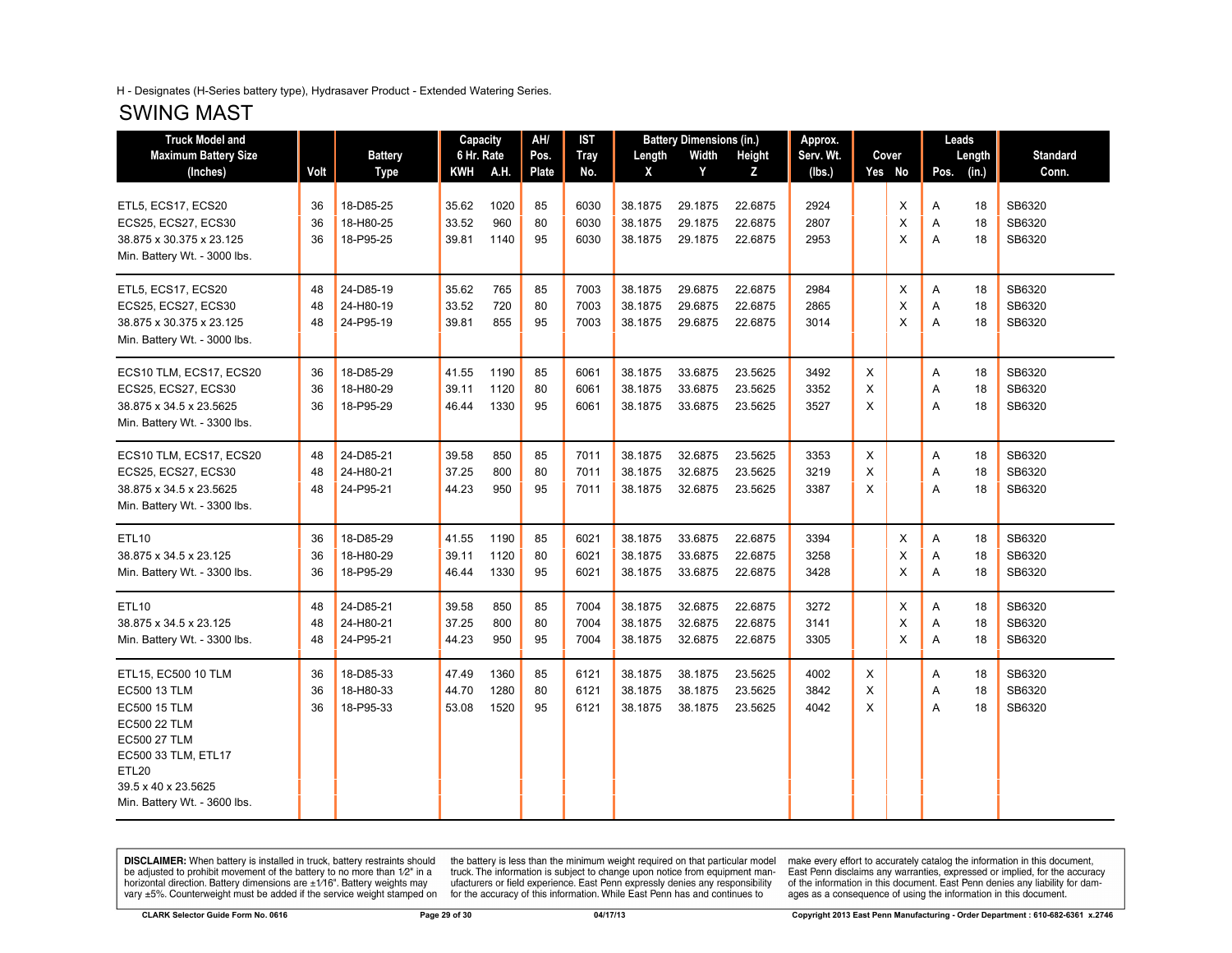#### H - Designates (H-Series battery type), Hydrasaver Product - Extended Watering Series.

#### SWING MAST

| <b>Truck Model and</b>                                                                                                                                                                   |                |                                     |                         | <b>Capacity</b>      | AH/            | IST                  |                               | <b>Battery Dimensions (in.)</b> |                               | Approx.              |             |             |             | Leads          |                            |
|------------------------------------------------------------------------------------------------------------------------------------------------------------------------------------------|----------------|-------------------------------------|-------------------------|----------------------|----------------|----------------------|-------------------------------|---------------------------------|-------------------------------|----------------------|-------------|-------------|-------------|----------------|----------------------------|
| <b>Maximum Battery Size</b>                                                                                                                                                              |                | <b>Battery</b>                      | 6 Hr. Rate              |                      | Pos.           | <b>Tray</b>          | Length                        | Width                           | Height                        | Serv. Wt.            |             | Cover       |             | Length         | <b>Standard</b>            |
| (Inches)                                                                                                                                                                                 | Volt           | <b>Type</b>                         | <b>KWH</b>              | A.H.                 | <b>Plate</b>   | No.                  | X                             | Y                               | z                             | (lbs.)               |             | Yes No      | Pos.        | (in.)          | Conn.                      |
| ETL5, ECS17, ECS20<br><b>ECS25, ECS27, ECS30</b><br>38.875 x 30.375 x 23.125<br>Min. Battery Wt. - 3000 lbs.                                                                             | 36<br>36<br>36 | 18-D85-25<br>18-H80-25<br>18-P95-25 | 35.62<br>33.52<br>39.81 | 1020<br>960<br>1140  | 85<br>80<br>95 | 6030<br>6030<br>6030 | 38.1875<br>38.1875<br>38.1875 | 29.1875<br>29.1875<br>29.1875   | 22.6875<br>22.6875<br>22.6875 | 2924<br>2807<br>2953 |             | Χ<br>X<br>X | Α<br>Α<br>A | 18<br>18<br>18 | SB6320<br>SB6320<br>SB6320 |
| ETL5, ECS17, ECS20<br>ECS25, ECS27, ECS30<br>38.875 x 30.375 x 23.125<br>Min. Battery Wt. - 3000 lbs.                                                                                    | 48<br>48<br>48 | 24-D85-19<br>24-H80-19<br>24-P95-19 | 35.62<br>33.52<br>39.81 | 765<br>720<br>855    | 85<br>80<br>95 | 7003<br>7003<br>7003 | 38.1875<br>38.1875<br>38.1875 | 29.6875<br>29.6875<br>29.6875   | 22.6875<br>22.6875<br>22.6875 | 2984<br>2865<br>3014 |             | X<br>X<br>X | A<br>A<br>A | 18<br>18<br>18 | SB6320<br>SB6320<br>SB6320 |
| ECS10 TLM, ECS17, ECS20<br><b>ECS25, ECS27, ECS30</b><br>38.875 x 34.5 x 23.5625<br>Min. Battery Wt. - 3300 lbs.                                                                         | 36<br>36<br>36 | 18-D85-29<br>18-H80-29<br>18-P95-29 | 41.55<br>39.11<br>46.44 | 1190<br>1120<br>1330 | 85<br>80<br>95 | 6061<br>6061<br>6061 | 38.1875<br>38.1875<br>38.1875 | 33.6875<br>33.6875<br>33.6875   | 23.5625<br>23.5625<br>23.5625 | 3492<br>3352<br>3527 | X<br>X<br>X |             | A<br>A<br>A | 18<br>18<br>18 | SB6320<br>SB6320<br>SB6320 |
| ECS10 TLM, ECS17, ECS20<br><b>ECS25, ECS27, ECS30</b><br>38.875 x 34.5 x 23.5625<br>Min. Battery Wt. - 3300 lbs.                                                                         | 48<br>48<br>48 | 24-D85-21<br>24-H80-21<br>24-P95-21 | 39.58<br>37.25<br>44.23 | 850<br>800<br>950    | 85<br>80<br>95 | 7011<br>7011<br>7011 | 38.1875<br>38.1875<br>38.1875 | 32.6875<br>32.6875<br>32.6875   | 23.5625<br>23.5625<br>23.5625 | 3353<br>3219<br>3387 | X<br>X<br>X |             | Α<br>A<br>A | 18<br>18<br>18 | SB6320<br>SB6320<br>SB6320 |
| <b>ETL10</b><br>38.875 x 34.5 x 23.125<br>Min. Battery Wt. - 3300 lbs.                                                                                                                   | 36<br>36<br>36 | 18-D85-29<br>18-H80-29<br>18-P95-29 | 41.55<br>39.11<br>46.44 | 1190<br>1120<br>1330 | 85<br>80<br>95 | 6021<br>6021<br>6021 | 38.1875<br>38.1875<br>38.1875 | 33.6875<br>33.6875<br>33.6875   | 22.6875<br>22.6875<br>22.6875 | 3394<br>3258<br>3428 |             | X<br>X<br>X | A<br>Α<br>A | 18<br>18<br>18 | SB6320<br>SB6320<br>SB6320 |
| <b>ETL10</b><br>38.875 x 34.5 x 23.125<br>Min. Battery Wt. - 3300 lbs.                                                                                                                   | 48<br>48<br>48 | 24-D85-21<br>24-H80-21<br>24-P95-21 | 39.58<br>37.25<br>44.23 | 850<br>800<br>950    | 85<br>80<br>95 | 7004<br>7004<br>7004 | 38.1875<br>38.1875<br>38.1875 | 32.6875<br>32.6875<br>32.6875   | 22.6875<br>22.6875<br>22.6875 | 3272<br>3141<br>3305 |             | X<br>X<br>X | Α<br>A<br>A | 18<br>18<br>18 | SB6320<br>SB6320<br>SB6320 |
| ETL15, EC500 10 TLM<br><b>EC500 13 TLM</b><br><b>EC500 15 TLM</b><br>EC500 22 TLM<br>EC500 27 TLM<br>EC500 33 TLM, ETL17<br>ETL20<br>39.5 x 40 x 23.5625<br>Min. Battery Wt. - 3600 lbs. | 36<br>36<br>36 | 18-D85-33<br>18-H80-33<br>18-P95-33 | 47.49<br>44.70<br>53.08 | 1360<br>1280<br>1520 | 85<br>80<br>95 | 6121<br>6121<br>6121 | 38.1875<br>38.1875<br>38.1875 | 38.1875<br>38.1875<br>38.1875   | 23.5625<br>23.5625<br>23.5625 | 4002<br>3842<br>4042 | X<br>X<br>X |             | Α<br>A<br>A | 18<br>18<br>18 | SB6320<br>SB6320<br>SB6320 |

**DISCLAIMER:** When battery is installed in truck, battery restraints should be adjusted to prohibit movement of the battery to no more than  $1/2$ " in a horizontal direction. Battery dimensions are  $\pm 1/16$ ". Battery weig

the battery is less than the minimum weight required on that particular model<br>truck. The information is subject to change upon notice from equipment man-<br>ufacturers or field experience. East Penn expressly denies any respo